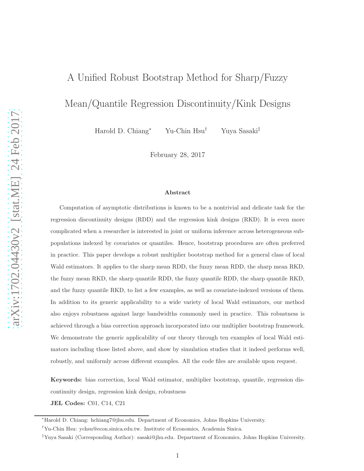# A Unified Robust Bootstrap Method for Sharp/Fuzzy

## Mean/Quantile Regression Discontinuity/Kink Designs

Harold D. Chiang<sup>∗</sup> Yu-Chin Hsu† Yuya Sasaki‡

February 28, 2017

#### Abstract

Computation of asymptotic distributions is known to be a nontrivial and delicate task for the regression discontinuity designs (RDD) and the regression kink designs (RKD). It is even more complicated when a researcher is interested in joint or uniform inference across heterogeneous subpopulations indexed by covariates or quantiles. Hence, bootstrap procedures are often preferred in practice. This paper develops a robust multiplier bootstrap method for a general class of local Wald estimators. It applies to the sharp mean RDD, the fuzzy mean RDD, the sharp mean RKD, the fuzzy mean RKD, the sharp quantile RDD, the fuzzy quantile RDD, the sharp quantile RKD, and the fuzzy quantile RKD, to list a few examples, as well as covariate-indexed versions of them. In addition to its generic applicability to a wide variety of local Wald estimators, our method also enjoys robustness against large bandwidths commonly used in practice. This robustness is achieved through a bias correction approach incorporated into our multiplier bootstrap framework. We demonstrate the generic applicability of our theory through ten examples of local Wald estimators including those listed above, and show by simulation studies that it indeed performs well, robustly, and uniformly across different examples. All the code files are available upon request.

Keywords: bias correction, local Wald estimator, multiplier bootstrap, quantile, regression discontinuity design, regression kink design, robustness

JEL Codes: C01, C14, C21

<sup>∗</sup>Harold D. Chiang: hchiang7@jhu.edu. Department of Economics, Johns Hopkins University.

<sup>†</sup>Yu-Chin Hsu: ychsu@econ.sinica.edu.tw. Institute of Economics, Academia Sinica.

<sup>‡</sup>Yuya Sasaki (Corresponding Author): sasaki@jhu.edu. Department of Economics, Johns Hopkins University.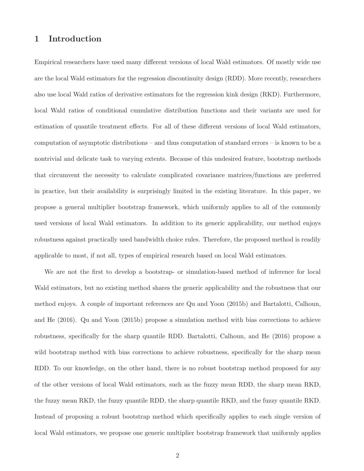## 1 Introduction

Empirical researchers have used many different versions of local Wald estimators. Of mostly wide use are the local Wald estimators for the regression discontinuity design (RDD). More recently, researchers also use local Wald ratios of derivative estimators for the regression kink design (RKD). Furthermore, local Wald ratios of conditional cumulative distribution functions and their variants are used for estimation of quantile treatment effects. For all of these different versions of local Wald estimators, computation of asymptotic distributions – and thus computation of standard errors – is known to be a nontrivial and delicate task to varying extents. Because of this undesired feature, bootstrap methods that circumvent the necessity to calculate complicated covariance matrices/functions are preferred in practice, but their availability is surprisingly limited in the existing literature. In this paper, we propose a general multiplier bootstrap framework, which uniformly applies to all of the commonly used versions of local Wald estimators. In addition to its generic applicability, our method enjoys robustness against practically used bandwidth choice rules. Therefore, the proposed method is readily applicable to most, if not all, types of empirical research based on local Wald estimators.

We are not the first to develop a bootstrap- or simulation-based method of inference for local Wald estimators, but no existing method shares the generic applicability and the robustness that our method enjoys. A couple of important references are Qu and Yoon (2015b) and Bartalotti, Calhoun, and He (2016). Qu and Yoon (2015b) propose a simulation method with bias corrections to achieve robustness, specifically for the sharp quantile RDD. Bartalotti, Calhoun, and He (2016) propose a wild bootstrap method with bias corrections to achieve robustness, specifically for the sharp mean RDD. To our knowledge, on the other hand, there is no robust bootstrap method proposed for any of the other versions of local Wald estimators, such as the fuzzy mean RDD, the sharp mean RKD, the fuzzy mean RKD, the fuzzy quantile RDD, the sharp quantile RKD, and the fuzzy quantile RKD. Instead of proposing a robust bootstrap method which specifically applies to each single version of local Wald estimators, we propose one generic multiplier bootstrap framework that uniformly applies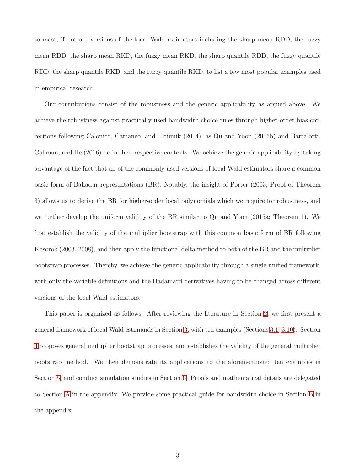to most, if not all, versions of the local Wald estimators including the sharp mean RDD, the fuzzy mean RDD, the sharp mean RKD, the fuzzy mean RKD, the sharp quantile RDD, the fuzzy quantile RDD, the sharp quantile RKD, and the fuzzy quantile RKD, to list a few most popular examples used in empirical research.

Our contributions consist of the robustness and the generic applicability as argued above. We achieve the robustness against practically used bandwidth choice rules through higher-order bias corrections following Calonico, Cattaneo, and Titiunik (2014), as Qu and Yoon (2015b) and Bartalotti, Calhoun, and He (2016) do in their respective contexts. We achieve the generic applicability by taking advantage of the fact that all of the commonly used versions of local Wald estimators share a common basic form of Bahadur representations (BR). Notably, the insight of Porter (2003; Proof of Theorem 3) allows us to derive the BR for higher-order local polynomials which we require for robustness, and we further develop the uniform validity of the BR similar to Qu and Yoon (2015a; Theorem 1). We first establish the validity of the multiplier bootstrap with this common basic form of BR following Kosorok (2003, 2008), and then apply the functional delta method to both of the BR and the multiplier bootstrap processes. Thereby, we achieve the generic applicability through a single unified framework, with only the variable definitions and the Hadamard derivatives having to be changed across different versions of the local Wald estimators.

This paper is organized as follows. After reviewing the literature in Section [2,](#page-3-0) we first present a general framework of local Wald estimands in Section [3,](#page-5-0) with ten examples (Sections [3.1](#page-6-0)[–3.10\)](#page-10-0). Section [4](#page-11-0) proposes general multiplier bootstrap processes, and establishes the validity of the general multiplier bootstrap method. We then demonstrate its applications to the aforementioned ten examples in Section [5,](#page-18-0) and conduct simulation studies in Section [6.](#page-39-0) Proofs and mathematical details are delegated to Section [A](#page-49-0) in the appendix. We provide some practical guide for bandwidth choice in Section [B](#page-79-0) in the appendix.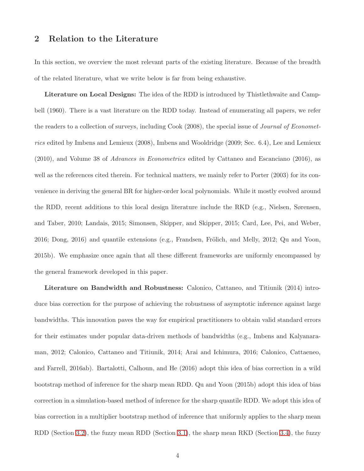## <span id="page-3-0"></span>2 Relation to the Literature

In this section, we overview the most relevant parts of the existing literature. Because of the breadth of the related literature, what we write below is far from being exhaustive.

Literature on Local Designs: The idea of the RDD is introduced by Thistlethwaite and Campbell (1960). There is a vast literature on the RDD today. Instead of enumerating all papers, we refer the readers to a collection of surveys, including Cook (2008), the special issue of Journal of Econometrics edited by Imbens and Lemieux (2008), Imbens and Wooldridge (2009; Sec. 6.4), Lee and Lemieux (2010), and Volume 38 of Advances in Econometrics edited by Cattaneo and Escanciano (2016), as well as the references cited therein. For technical matters, we mainly refer to Porter (2003) for its convenience in deriving the general BR for higher-order local polynomials. While it mostly evolved around the RDD, recent additions to this local design literature include the RKD (e.g., Nielsen, Sørensen, and Taber, 2010; Landais, 2015; Simonsen, Skipper, and Skipper, 2015; Card, Lee, Pei, and Weber,  $2016$ ; Dong,  $2016$ ) and quantile extensions (e.g., Frandsen, Frölich, and Melly,  $2012$ ; Qu and Yoon, 2015b). We emphasize once again that all these different frameworks are uniformly encompassed by the general framework developed in this paper.

Literature on Bandwidth and Robustness: Calonico, Cattaneo, and Titiunik (2014) introduce bias correction for the purpose of achieving the robustness of asymptotic inference against large bandwidths. This innovation paves the way for empirical practitioners to obtain valid standard errors for their estimates under popular data-driven methods of bandwidths (e.g., Imbens and Kalyanaraman, 2012; Calonico, Cattaneo and Titiunik, 2014; Arai and Ichimura, 2016; Calonico, Cattaeneo, and Farrell, 2016ab). Bartalotti, Calhoun, and He (2016) adopt this idea of bias correction in a wild bootstrap method of inference for the sharp mean RDD. Qu and Yoon (2015b) adopt this idea of bias correction in a simulation-based method of inference for the sharp quantile RDD. We adopt this idea of bias correction in a multiplier bootstrap method of inference that uniformly applies to the sharp mean RDD (Section [3.2\)](#page-6-1), the fuzzy mean RDD (Section [3.1\)](#page-6-0), the sharp mean RKD (Section [3.4\)](#page-7-0), the fuzzy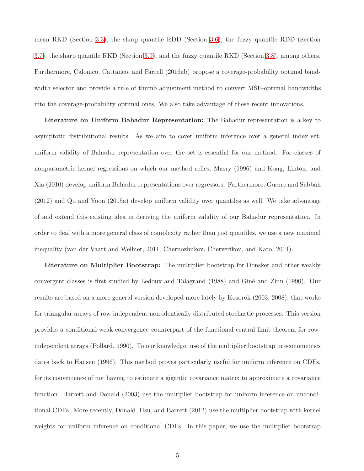mean RKD (Section [3.3\)](#page-7-1), the sharp quantile RDD (Section [3.6\)](#page-8-0), the fuzzy quantile RDD (Section [3.7\)](#page-8-1), the sharp quantile RKD (Section [3.9\)](#page-10-1), and the fuzzy quantile RKD (Section [3.8\)](#page-9-0), among others. Furthermore, Calonico, Cattaneo, and Farrell (2016ab) propose a coverage-probability optimal bandwidth selector and provide a rule of thumb adjustment method to convert MSE-optimal bandwidths into the coverage-probability optimal ones. We also take advantage of these recent innovations.

Literature on Uniform Bahadur Representation: The Bahadur representation is a key to asymptotic distributional results. As we aim to cover uniform inference over a general index set, uniform validity of Bahadur representation over the set is essential for our method. For classes of nonparametric kernel regressions on which our method relies, Masry (1996) and Kong, Linton, and Xia (2010) develop uniform Bahadur representations over regressors. Furthermore, Guerre and Sabbah (2012) and Qu and Yoon (2015a) develop uniform validity over quantiles as well. We take advantage of and extend this existing idea in deriving the uniform validity of our Bahadur representation. In order to deal with a more general class of complexity rather than just quantiles, we use a new maximal inequality (van der Vaart and Wellner, 2011; Chernozhukov, Chetverikov, and Kato, 2014).

Literature on Multiplier Bootstrap: The multiplier bootstrap for Donsker and other weakly convergent classes is first studied by Ledoux and Talagrand (1988) and Giné and Zinn (1990). Our results are based on a more general version developed more lately by Kosorok (2003, 2008), that works for triangular arrays of row-independent non-identically distributed stochastic processes. This version provides a conditional-weak-convergence counterpart of the functional central limit theorem for rowindependent arrays (Pollard, 1990). To our knowledge, use of the multiplier bootstrap in econometrics dates back to Hansen (1996). This method proves particularly useful for uniform inference on CDFs, for its convenience of not having to estimate a gigantic covariance matrix to approximate a covariance function. Barrett and Donald (2003) use the multiplier bootstrap for uniform inference on unconditional CDFs. More recently, Donald, Hsu, and Barrett (2012) use the multiplier bootstrap with kernel weights for uniform inference on conditional CDFs. In this paper, we use the multiplier bootstrap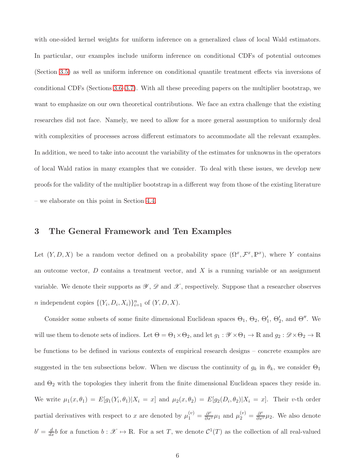with one-sided kernel weights for uniform inference on a generalized class of local Wald estimators. In particular, our examples include uniform inference on conditional CDFs of potential outcomes (Section [3.5\)](#page-7-2) as well as uniform inference on conditional quantile treatment effects via inversions of conditional CDFs (Sections [3.6–](#page-8-0)[3.7\)](#page-8-1). With all these preceding papers on the multiplier bootstrap, we want to emphasize on our own theoretical contributions. We face an extra challenge that the existing researches did not face. Namely, we need to allow for a more general assumption to uniformly deal with complexities of processes across different estimators to accommodate all the relevant examples. In addition, we need to take into account the variability of the estimates for unknowns in the operators of local Wald ratios in many examples that we consider. To deal with these issues, we develop new proofs for the validity of the multiplier bootstrap in a different way from those of the existing literature – we elaborate on this point in Section [4.4.](#page-15-0)

## <span id="page-5-0"></span>3 The General Framework and Ten Examples

Let  $(Y, D, X)$  be a random vector defined on a probability space  $(\Omega^x, \mathcal{F}^x, \mathbb{P}^x)$ , where Y contains an outcome vector,  $D$  contains a treatment vector, and  $X$  is a running variable or an assignment variable. We denote their supports as  $\mathscr{Y}, \mathscr{D}$  and  $\mathscr{X}$ , respectively. Suppose that a researcher observes *n* independent copies  $\{(Y_i, D_i, X_i)\}_{i=1}^n$  of  $(Y, D, X)$ .

Consider some subsets of some finite dimensional Euclidean spaces  $\Theta_1$ ,  $\Theta_2$ ,  $\Theta'_1$ ,  $\Theta'_2$ , and  $\Theta''$ . We will use them to denote sets of indices. Let  $\Theta = \Theta_1 \times \Theta_2$ , and let  $g_1 : \mathscr{Y} \times \Theta_1 \to \mathbb{R}$  and  $g_2 : \mathscr{D} \times \Theta_2 \to \mathbb{R}$ be functions to be defined in various contexts of empirical research designs – concrete examples are suggested in the ten subsections below. When we discuss the continuity of  $g_k$  in  $\theta_k$ , we consider  $\Theta_1$ and  $\Theta_2$  with the topologies they inherit from the finite dimensional Euclidean spaces they reside in. We write  $\mu_1(x, \theta_1) = E[g_1(Y_i, \theta_1)|X_i = x]$  and  $\mu_2(x, \theta_2) = E[g_2(D_i, \theta_2)|X_i = x]$ . Their v-th order partial derivatives with respect to x are denoted by  $\mu_1^{(v)} = \frac{\partial^v}{\partial x^v} \mu_1$  and  $\mu_2^{(v)} = \frac{\partial^v}{\partial x^v} \mu_2$ . We also denote  $b' = \frac{d}{dx}b$  for a function  $b : \mathcal{X} \to \mathbb{R}$ . For a set T, we denote  $C^1(T)$  as the collection of all real-valued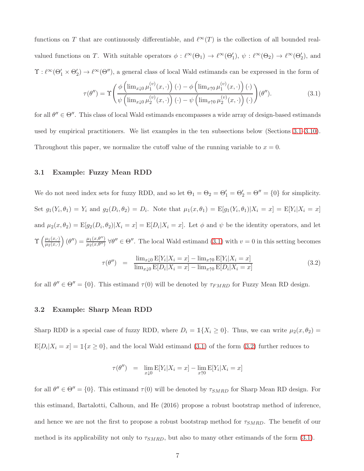functions on T that are continuously differentiable, and  $\ell^{\infty}(T)$  is the collection of all bounded realvalued functions on T. With suitable operators  $\phi: \ell^{\infty}(\Theta_1) \to \ell^{\infty}(\Theta'_1)$ ,  $\psi: \ell^{\infty}(\Theta_2) \to \ell^{\infty}(\Theta'_2)$ , and  $\Upsilon : \ell^{\infty}(\Theta_1' \times \Theta_2') \to \ell^{\infty}(\Theta'')$ , a general class of local Wald estimands can be expressed in the form of

<span id="page-6-2"></span>
$$
\tau(\theta'') = \Upsilon \left( \frac{\phi\left(\lim_{x \downarrow 0} \mu_1^{(v)}(x, \cdot)\right)(\cdot) - \phi\left(\lim_{x \uparrow 0} \mu_1^{(v)}(x, \cdot)\right)(\cdot)}{\psi\left(\lim_{x \downarrow 0} \mu_2^{(v)}(x, \cdot)\right)(\cdot) - \psi\left(\lim_{x \uparrow 0} \mu_2^{(v)}(x, \cdot)\right)(\cdot)} \right) (\theta''). \tag{3.1}
$$

for all  $\theta'' \in \Theta''$ . This class of local Wald estimands encompasses a wide array of design-based estimands used by empirical practitioners. We list examples in the ten subsections below (Sections [3.1–](#page-6-0)[3.10\)](#page-10-0). Throughout this paper, we normalize the cutoff value of the running variable to  $x = 0$ .

#### <span id="page-6-0"></span>3.1 Example: Fuzzy Mean RDD

We do not need index sets for fuzzy RDD, and so let  $\Theta_1 = \Theta_2 = \Theta'_1 = \Theta'_2 = \Theta'' = \{0\}$  for simplicity. Set  $g_1(Y_i, \theta_1) = Y_i$  and  $g_2(D_i, \theta_2) = D_i$ . Note that  $\mu_1(x, \theta_1) = \mathbb{E}[g_1(Y_i, \theta_1)|X_i = x] = \mathbb{E}[Y_i|X_i = x]$ and  $\mu_2(x,\theta_2) = \mathbb{E}[g_2(D_i,\theta_2)|X_i=x] = \mathbb{E}[D_i|X_i=x]$ . Let  $\phi$  and  $\psi$  be the identity operators, and let  $\Upsilon$   $\left( \frac{\mu_1(x, \cdot)}{\mu_2(x, \cdot)} \right)$  $\mu_2(x,\cdot)$  $(\theta'') = \frac{\mu_1(x,\theta'')}{\mu_2(x,\theta'')}$   $\forall \theta'' \in \Theta''$ . The local Wald estimand [\(3.1\)](#page-6-2) with  $v = 0$  in this setting becomes  $\tau(\theta'') = \frac{\lim_{x\downarrow 0} \mathbb{E}[Y_i|X_i=x] - \lim_{x\uparrow 0} \mathbb{E}[Y_i|X_i=x]}{\prod_{x\downarrow 0} \mathbb{E}[Y_i|X_i=x]}$  $\lim_{x\downarrow 0} \mathbb{E}[D_i|X_i=x] - \lim_{x\uparrow 0} \mathbb{E}[D_i|X_i=x]$ (3.2)

<span id="page-6-3"></span><span id="page-6-1"></span>for all  $\theta'' \in \Theta'' = \{0\}$ . This estimand  $\tau(0)$  will be denoted by  $\tau_{FMRD}$  for Fuzzy Mean RD design.

#### 3.2 Example: Sharp Mean RDD

Sharp RDD is a special case of fuzzy RDD, where  $D_i = \mathbb{1}\{X_i \geq 0\}$ . Thus, we can write  $\mu_2(x, \theta_2)$  $E[D_i|X_i = x] = \mathbb{1}\{x \ge 0\}$ , and the local Wald estimand [\(3.1\)](#page-6-2) of the form [\(3.2\)](#page-6-3) further reduces to

$$
\tau(\theta'') = \lim_{x \downarrow 0} \mathbb{E}[Y_i | X_i = x] - \lim_{x \uparrow 0} \mathbb{E}[Y_i | X_i = x]
$$

for all  $\theta'' \in \Theta'' = \{0\}$ . This estimand  $\tau(0)$  will be denoted by  $\tau_{SMRD}$  for Sharp Mean RD design. For this estimand, Bartalotti, Calhoun, and He (2016) propose a robust bootstrap method of inference, and hence we are not the first to propose a robust bootstrap method for  $\tau_{SMRD}$ . The benefit of our method is its applicability not only to  $\tau_{SMRD}$ , but also to many other estimands of the form [\(3.1\)](#page-6-2).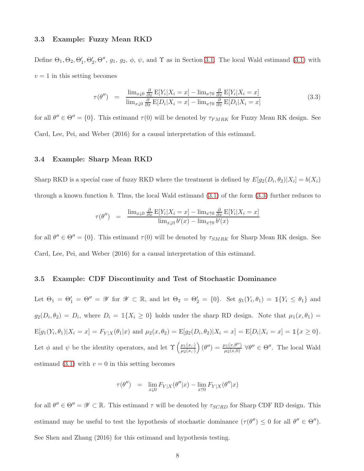#### <span id="page-7-1"></span>3.3 Example: Fuzzy Mean RKD

Define  $\Theta_1, \Theta_2, \Theta'_1, \Theta'_2, \Theta'', g_1, g_2, \phi, \psi$ , and  $\Upsilon$  as in Section [3.1.](#page-6-0) The local Wald estimand [\(3.1\)](#page-6-2) with  $v = 1$  in this setting becomes

<span id="page-7-3"></span>
$$
\tau(\theta'') = \frac{\lim_{x\downarrow 0} \frac{\partial}{\partial x} E[Y_i | X_i = x] - \lim_{x\uparrow 0} \frac{\partial}{\partial x} E[Y_i | X_i = x]}{\lim_{x\downarrow 0} \frac{\partial}{\partial x} E[D_i | X_i = x] - \lim_{x\uparrow 0} \frac{\partial}{\partial x} E[D_i | X_i = x]} \tag{3.3}
$$

<span id="page-7-0"></span>for all  $\theta'' \in \Theta'' = \{0\}$ . This estimand  $\tau(0)$  will be denoted by  $\tau_{FMRK}$  for Fuzzy Mean RK design. See Card, Lee, Pei, and Weber (2016) for a causal interpretation of this estimand.

#### 3.4 Example: Sharp Mean RKD

Sharp RKD is a special case of fuzzy RKD where the treatment is defined by  $E[g_2(D_i, \theta_2)|X_i] = b(X_i)$ through a known function b. Thus, the local Wald estimand  $(3.1)$  of the form  $(3.3)$  further reduces to

$$
\tau(\theta'') = \frac{\lim_{x \downarrow 0} \frac{\partial}{\partial x} E[Y_i | X_i = x] - \lim_{x \uparrow 0} \frac{\partial}{\partial x} E[Y_i | X_i = x]}{\lim_{x \downarrow 0} b'(x) - \lim_{x \uparrow 0} b'(x)}
$$

<span id="page-7-2"></span>for all  $\theta'' \in \Theta'' = \{0\}$ . This estimand  $\tau(0)$  will be denoted by  $\tau_{SMRK}$  for Sharp Mean RK design. See Card, Lee, Pei, and Weber (2016) for a causal interpretation of this estimand.

#### 3.5 Example: CDF Discontinuity and Test of Stochastic Dominance

Let  $\Theta_1 = \Theta_1' = \Theta'' = \mathscr{Y}$  for  $\mathscr{Y} \subset \mathbb{R}$ , and let  $\Theta_2 = \Theta_2' = \{0\}$ . Set  $g_1(Y_i, \theta_1) = \mathbb{1}\{Y_i \leq \theta_1\}$  and  $g_2(D_i, \theta_2) = D_i$ , where  $D_i = \mathbb{1}\{X_i \geq 0\}$  holds under the sharp RD design. Note that  $\mu_1(x, \theta_1) =$  $E[g_1(Y_i, \theta_1)|X_i = x] = F_{Y|X}(\theta_1|x)$  and  $\mu_2(x, \theta_2) = E[g_2(D_i, \theta_2)|X_i = x] = E[D_i|X_i = x] = \mathbb{1}\{x \ge 0\}.$ Let  $\phi$  and  $\psi$  be the identity operators, and let  $\Upsilon\left(\frac{\mu_1(x,\cdot)}{\mu_2(x,\cdot)}\right)$  $\mu_2(x,\cdot)$  $(\theta'') = \frac{\mu_1(x, \theta'')}{\mu_2(x, 0)}$   $\forall \theta'' \in \Theta''$ . The local Wald estimand [\(3.1\)](#page-6-2) with  $v = 0$  in this setting becomes

$$
\tau(\theta'') = \lim_{x \downarrow 0} F_{Y|X}(\theta''|x) - \lim_{x \uparrow 0} F_{Y|X}(\theta''|x)
$$

for all  $\theta'' \in \Theta'' = \mathscr{Y} \subset \mathbb{R}$ . This estimand  $\tau$  will be denoted by  $\tau_{SCRD}$  for Sharp CDF RD design. This estimand may be useful to test the hypothesis of stochastic dominance  $(\tau(\theta'') \leq 0$  for all  $\theta'' \in \Theta'')$ . See Shen and Zhang (2016) for this estimand and hypothesis testing.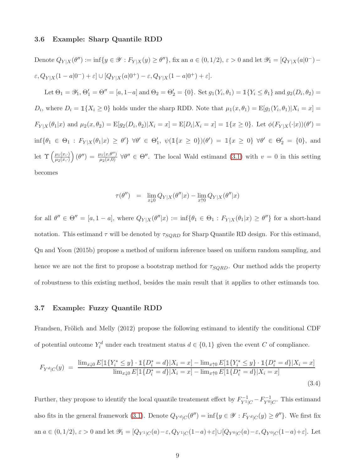#### <span id="page-8-0"></span>3.6 Example: Sharp Quantile RDD

Denote  $Q_{Y|X}(\theta'') := \inf\{y \in \mathscr{Y} : F_{Y|X}(y) \ge \theta''\}$ , fix an  $a \in (0, 1/2)$ ,  $\varepsilon > 0$  and let  $\mathscr{Y}_1 = [Q_{Y|X}(a|0^-) \varepsilon$ ,  $Q_{Y|X}(1 - a|0^-) + \varepsilon] \cup [Q_{Y|X}(a|0^+) - \varepsilon$ ,  $Q_{Y|X}(1 - a|0^+) + \varepsilon]$ . Let  $\Theta_1 = \mathscr{Y}_1, \Theta_1' = \Theta'' = [a, 1-a]$  and  $\Theta_2 = \Theta_2' = \{0\}$ . Set  $g_1(Y_i, \theta_1) = \mathbb{1}\{Y_i \le \theta_1\}$  and  $g_2(D_i, \theta_2) =$  $D_i$ , where  $D_i = \mathbb{1}\{X_i \geq 0\}$  holds under the sharp RDD. Note that  $\mu_1(x, \theta_1) = \mathbb{E}[g_1(Y_i, \theta_1)|X_i = x] =$  $F_{Y|X}(\theta_1|x)$  and  $\mu_2(x,\theta_2) = \mathbb{E}[g_2(D_i,\theta_2)|X_i=x] = \mathbb{E}[D_i|X_i=x] = \mathbb{1}\{x \ge 0\}$ . Let  $\phi(F_{Y|X}(\cdot|x))(\theta') =$  $\inf\{\theta_1 \in \Theta_1 : F_{Y|X}(\theta_1|x) \geq \theta'\} \ \forall \theta' \in \Theta'_1, \ \psi(\mathbb{1}\{x \geq 0\})(\theta') = \mathbb{1}\{x \geq 0\} \ \forall \theta' \in \Theta'_2 = \{0\}, \text{ and}$ let  $\Upsilon$   $\left( \frac{\mu_1(x, \cdot)}{\mu_2(x, \cdot)} \right)$  $\mu_2(x,\cdot)$  $(\theta'') = \frac{\mu_1(x,\theta'')}{\mu_2(x,0)}$   $\forall \theta'' \in \Theta''$ . The local Wald estimand [\(3.1\)](#page-6-2) with  $v = 0$  in this setting becomes

$$
\tau(\theta'') = \lim_{x \downarrow 0} Q_{Y|X}(\theta''|x) - \lim_{x \uparrow 0} Q_{Y|X}(\theta''|x)
$$

for all  $\theta'' \in \Theta'' = [a, 1 - a]$ , where  $Q_{Y|X}(\theta''|x) := \inf \{\theta_1 \in \Theta_1 : F_{Y|X}(\theta_1|x) \ge \theta''\}$  for a short-hand notation. This estimand  $\tau$  will be denoted by  $\tau_{SQRD}$  for Sharp Quantile RD design. For this estimand, Qu and Yoon (2015b) propose a method of uniform inference based on uniform random sampling, and hence we are not the first to propose a bootstrap method for  $\tau_{SORD}$ . Our method adds the property of robustness to this existing method, besides the main result that it applies to other estimands too.

#### <span id="page-8-1"></span>3.7 Example: Fuzzy Quantile RDD

Frandsen, Frölich and Melly (2012) propose the following estimand to identify the conditional CDF of potential outcome  $Y_i^d$  under each treatment status  $d \in \{0, 1\}$  given the event C of compliance.

<span id="page-8-2"></span>
$$
F_{Y^d|C}(y) = \frac{\lim_{x\downarrow 0} E[\mathbb{1}\{Y_i^* \leq y\} \cdot \mathbb{1}\{D_i^* = d\}|X_i = x] - \lim_{x\uparrow 0} E[\mathbb{1}\{Y_i^* \leq y\} \cdot \mathbb{1}\{D_i^* = d\}|X_i = x]}{\lim_{x\downarrow 0} E[\mathbb{1}\{D_i^* = d\}|X_i = x] - \lim_{x\uparrow 0} E[\mathbb{1}\{D_i^* = d\}|X_i = x]} \tag{3.4}
$$

Further, they propose to identify the local quantile treatement effect by  $F_{Y^1|C}^{-1} - F_{Y^0|C}^{-1}$ . This estimand also fits in the general framework [\(3.1\)](#page-6-2). Denote  $Q_{Y^d|C}(\theta'') = \inf\{y \in \mathscr{Y} : F_{Y^d|C}(y) \ge \theta''\}$ . We first fix an  $a \in (0, 1/2), \varepsilon > 0$  and let  $\mathscr{Y}_1 = [Q_{Y^1|C}(a) - \varepsilon, Q_{Y^1|C}(1-a) + \varepsilon] \cup [Q_{Y^0|C}(a) - \varepsilon, Q_{Y^0|C}(1-a) + \varepsilon].$  Let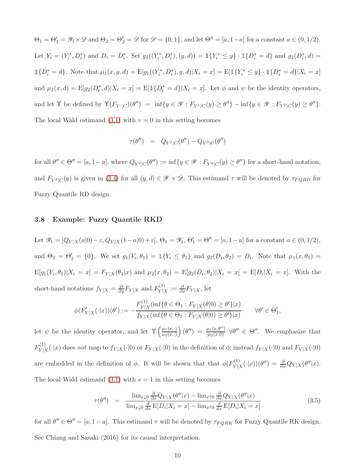$\Theta_1 = \Theta_1' = \mathscr{Y}_1 \times \mathscr{D}$  and  $\Theta_2 = \Theta_2' = \mathscr{D}$  for  $\mathscr{D} = \{0, 1\}$ , and let  $\Theta'' = [a, 1-a]$  for a constant  $a \in (0, 1/2)$ . Let  $Y_i = (Y_i^*, D_i^*)$  and  $D_i = D_i^*$ . Set  $g_1((Y_i^*, D_i^*), (y, d)) = \mathbb{1}\{Y_i^* \leq y\} \cdot \mathbb{1}\{D_i^* = d\}$  and  $g_2(D_i^*, d) =$  $\mathbb{1}{D_i^* = d}$ . Note that  $\mu_1(x, y, d) = \mathbb{E}[g_1((Y_i^*, D_i^*), y, d)|X_i = x] = \mathbb{E}[\mathbb{1}{Y_i^* \leq y} \cdot \mathbb{1}{D_i^* = d}|X_i = x]$ and  $\mu_2(x,d) = \mathbb{E}[g_2(D_i^*,d)|X_i = x] = \mathbb{E}[\mathbb{1}\{D_i^* = d\}|X_i = x]$ . Let  $\phi$  and  $\psi$  be the identity operators, and let  $\Upsilon$  be defined by  $\Upsilon(F_{Y}|_C)(\theta'') = \inf\{y \in \mathscr{Y} : F_{Y^1|C}(y) \ge \theta''\} - \inf\{y \in \mathscr{Y} : F_{Y^0|C}(y) \ge \theta''\}.$ The local Wald estimand  $(3.1)$  with  $v = 0$  in this setting becomes

$$
\tau(\theta'') = Q_{Y^1|C}(\theta'') - Q_{Y^0|C}(\theta'')
$$

for all  $\theta'' \in \Theta'' = [a, 1-a]$ , where  $Q_{Y^d|C}(\theta'') := \inf\{y \in \mathscr{Y} : F_{Y^d|C}(y) \ge \theta''\}$  for a short-hand notation, and  $F_{Y^d|C}(y)$  is given in [\(3.4\)](#page-8-2) for all  $(y, d) \in \mathscr{Y} \times \mathscr{D}$ . This estimand  $\tau$  will be denoted by  $\tau_{FQRD}$  for Fuzzy Quantile RD design.

#### <span id="page-9-0"></span>3.8 Example: Fuzzy Quantile RKD

Let  $\mathscr{Y}_1 = [Q_{Y|X}(a|0) - \varepsilon, Q_{Y|X}(1-a|0) + \varepsilon], \Theta_1 = \mathscr{Y}_1, \Theta_1' = \Theta'' = [a, 1-a]$  for a constant  $a \in (0, 1/2),$ and  $\Theta_2 = \Theta_2' = \{0\}$ . We set  $g_1(Y_i, \theta_1) = \mathbb{1}\{Y_i \leq \theta_1\}$  and  $g_2(D_i, \theta_2) = D_i$ . Note that  $\mu_1(x, \theta_1) =$  $E[g_1(Y_i, \theta_1)|X_i = x] = F_{Y|X}(\theta_1|x)$  and  $\mu_2(x, \theta_2) = E[g_2(D_i, \theta_2)|X_i = x] = E[D_i|X_i = x]$ . With the short-hand notations  $f_{Y|X} = \frac{\partial}{\partial y} F_{Y|X}$  and  $F_{Y|X}^{(1)}$  $Y|X := \frac{\partial}{\partial x}F_{Y|X}$ , let

$$
\phi(F'_{Y|X}(\cdot|x))(\theta') := -\frac{F_{Y|X}^{(1)}(\inf\{\theta \in \Theta_1 : F_{Y|X}(\theta|0) \ge \theta'\}|x)}{f_{Y|X}(\inf\{\theta \in \Theta_1 : F_{Y|X}(\theta|0) \ge \theta'\}|x)} \qquad \forall \theta' \in \Theta_1',
$$

let  $\psi$  be the identity operator, and let  $\Upsilon\left(\frac{\mu_1(x,\cdot)}{\mu_2(x,\cdot)}\right)$  $\mu_2(x,\cdot)$  $(\theta'') = \frac{\mu_1(x,\theta'')}{\mu_2(x,0)}$   $\forall \theta'' \in \Theta''$ . We emphasize that  $F^{(1)}_{\rm V12}$  $Y|X^{(1)}(x)| \leq Y|X(\cdot|x)|$  does not map to  $f_{Y|X}(\cdot|0)$  or  $F_{Y|X}(\cdot|0)$  in the definition of  $\phi$ ; instead  $f_{Y|X}(\cdot|0)$  and  $F_{Y|X}(\cdot|0)$ are embedded in the definition of  $\phi$ . It will be shown that that  $\phi(F_{V}^{(1)})$  $Y|X^{(1)}(x)(\theta'') = \frac{\partial}{\partial x}Q_{Y|X}(\theta''|x).$ The local Wald estimand  $(3.1)$  with  $v = 1$  in this setting becomes

<span id="page-9-1"></span>
$$
\tau(\theta'') = \frac{\lim_{x \downarrow 0} \frac{\partial}{\partial x} Q_{Y|X}(\theta''|x) - \lim_{x \uparrow 0} \frac{\partial}{\partial x} Q_{Y|X}(\theta''|x)}{\lim_{x \downarrow 0} \frac{d}{dx} \mathbb{E}[D_i|X_i = x] - \lim_{x \uparrow 0} \frac{d}{dx} \mathbb{E}[D_i|X_i = x]} \tag{3.5}
$$

for all  $\theta'' \in \Theta'' = [a, 1-a]$ . This estimand  $\tau$  will be denoted by  $\tau_{FQRK}$  for Fuzzy Quantile RK design. See Chiang and Sasaki (2016) for its causal interpretation.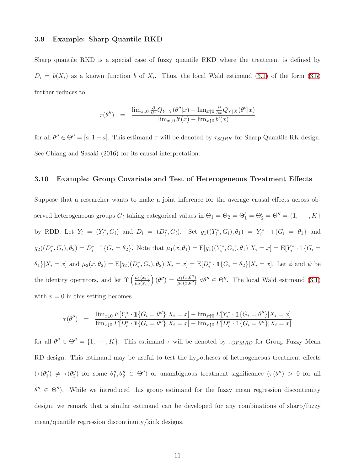#### <span id="page-10-1"></span>3.9 Example: Sharp Quantile RKD

Sharp quantile RKD is a special case of fuzzy quantile RKD where the treatment is defined by  $D_i = b(X_i)$  as a known function b of  $X_i$ . Thus, the local Wald estimand [\(3.1\)](#page-6-2) of the form [\(3.5\)](#page-9-1) further reduces to

$$
\tau(\theta'') = \frac{\lim_{x\downarrow 0} \frac{\partial}{\partial x} Q_{Y|X}(\theta''|x) - \lim_{x\uparrow 0} \frac{\partial}{\partial x} Q_{Y|X}(\theta''|x)}{\lim_{x\downarrow 0} b'(x) - \lim_{x\uparrow 0} b'(x)}
$$

<span id="page-10-0"></span>for all  $\theta'' \in \Theta'' = [a, 1-a]$ . This estimand  $\tau$  will be denoted by  $\tau_{SQRK}$  for Sharp Quantile RK design. See Chiang and Sasaki (2016) for its causal interpretation.

#### 3.10 Example: Group Covariate and Test of Heterogeneous Treatment Effects

Suppose that a researcher wants to make a joint inference for the average causal effects across observed heterogeneous groups  $G_i$  taking categorical values in  $\Theta_1 = \Theta_2 = \Theta'_1 = \Theta'_2 = \Theta'' = \{1, \cdots, K\}$ by RDD. Let  $Y_i = (Y_i^*, G_i)$  and  $D_i = (D_i^*, G_i)$ . Set  $g_1((Y_i^*, G_i), \theta_1) = Y_i^* \cdot \mathbb{1}\{G_i = \theta_1\}$  and  $g_2((D_i^*, G_i), \theta_2) = D_i^* \cdot \mathbbm{1}{G_i = \theta_2}.$  Note that  $\mu_1(x, \theta_1) = \text{E}[g_1((Y_i^*, G_i), \theta_1)|X_i = x] = \text{E}[Y_i^* \cdot \mathbbm{1}{G_i = \theta_1}$  $\theta_1$ } $X_i = x$  and  $\mu_2(x, \theta_2) = \mathbb{E}[g_2((D_i^*, G_i), \theta_2)|X_i = x] = \mathbb{E}[D_i^* \cdot \mathbb{1}\{G_i = \theta_2\}|X_i = x]$ . Let  $\phi$  and  $\psi$  be the identity operators, and let  $\Upsilon$   $\left(\frac{\mu_1(x, \cdot)}{\mu_2(x, \cdot)}\right)$  $\mu_2(x,\cdot)$  $(\theta'') = \frac{\mu_1(x,\theta'')}{\mu_2(x,\theta'')}$   $\forall \theta'' \in \Theta''$ . The local Wald estimand [\(3.1\)](#page-6-2) with  $v = 0$  in this setting becomes

$$
\tau(\theta'') = \frac{\lim_{x\downarrow 0} E[Y_i^* \cdot \mathbb{1}\{G_i = \theta''\}|X_i = x] - \lim_{x\uparrow 0} E[Y_i^* \cdot \mathbb{1}\{G_i = \theta''\}|X_i = x]}{\lim_{x\downarrow 0} E[D_i^* \cdot \mathbb{1}\{G_i = \theta''\}|X_i = x] - \lim_{x\uparrow 0} E[D_i^* \cdot \mathbb{1}\{G_i = \theta''\}|X_i = x]}
$$

for all  $\theta'' \in \Theta'' = \{1, \dots, K\}$ . This estimand  $\tau$  will be denoted by  $\tau_{GFMRD}$  for Group Fuzzy Mean RD design. This estimand may be useful to test the hypotheses of heterogeneous treatment effects  $(\tau(\theta_1'') \neq \tau(\theta_2'')$  for some  $\theta_1'', \theta_2'' \in \Theta'')$  or unambiguous treatment significance  $(\tau(\theta'') > 0$  for all  $\theta'' \in \Theta''$ ). While we introduced this group estimand for the fuzzy mean regression discontinuity design, we remark that a similar estimand can be developed for any combinations of sharp/fuzzy mean/quantile regression discontinuity/kink designs.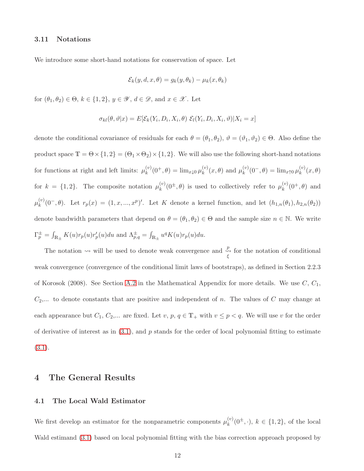#### 3.11 Notations

We introduce some short-hand notations for conservation of space. Let

$$
\mathcal{E}_k(y, d, x, \theta) = g_k(y, \theta_k) - \mu_k(x, \theta_k)
$$

for  $(\theta_1, \theta_2) \in \Theta$ ,  $k \in \{1, 2\}$ ,  $y \in \mathscr{Y}$ ,  $d \in \mathscr{D}$ , and  $x \in \mathscr{X}$ . Let

$$
\sigma_{kl}(\theta,\vartheta|x) = E[\mathcal{E}_k(Y_i,D_i,X_i,\theta) \mathcal{E}_l(Y_i,D_i,X_i,\vartheta)|X_i = x]
$$

denote the conditional covariance of residuals for each  $\theta = (\theta_1, \theta_2), \vartheta = (\vartheta_1, \vartheta_2) \in \Theta$ . Also define the product space  $\mathbb{T} = \Theta \times \{1,2\} = (\Theta_1 \times \Theta_2) \times \{1,2\}$ . We will also use the following short-hand notations for functions at right and left limits:  $\mu_k^{(v)}$  $\lim_{k} (0^+, \theta) = \lim_{x \downarrow 0} \mu_k^{(v)}$  $_{k}^{(v)}(x,\theta)$  and  $\mu_k^{(v)}$  $\lim_{k} (0^-, \theta) = \lim_{x \uparrow 0} \mu_k^{(v)}$  $\binom{v}{k}(x,\theta)$ for  $k = \{1, 2\}$ . The composite notation  $\mu_k^{(v)}$  $\mu_k^{(v)}(0^{\pm},\theta)$  is used to collectively refer to  $\mu_k^{(v)}$  $k^{(v)}(0^+,\theta)$  and  $\mu_k^{(v)}$  $\binom{v}{k}(0^-, \theta)$ . Let  $r_p(x) = (1, x, ..., x^p)'$ . Let K denote a kernel function, and let  $(h_{1,n}(\theta_1), h_{2,n}(\theta_2))$ denote bandwidth parameters that depend on  $\theta = (\theta_1, \theta_2) \in \Theta$  and the sample size  $n \in \mathbb{N}$ . We write  $\Gamma_p^{\pm} = \int_{\mathbb{R}_{\pm}} K(u) r_p(u) r_p'(u) du$  and  $\Lambda_{p,q}^{\pm} = \int_{\mathbb{R}_{\pm}} u^q K(u) r_p(u) du$ .

The notation  $\rightsquigarrow$  will be used to denote weak convergence and  $\frac{p}{\xi}$  for the notation of conditional weak convergence (convergence of the conditional limit laws of bootstraps), as defined in Section 2.2.3 of Korosok (2008). See Section [A.2](#page-57-0) in the Mathematical Appendix for more details. We use  $C, C_1$ ,  $C_2$ ,... to denote constants that are positive and independent of n. The values of C may change at each appearance but  $C_1, C_2,...$  are fixed. Let  $v, p, q \in \mathbb{T}_+$  with  $v \leq p < q$ . We will use v for the order of derivative of interest as in  $(3.1)$ , and p stands for the order of local polynomial fitting to estimate  $(3.1).$  $(3.1).$ 

## <span id="page-11-0"></span>4 The General Results

#### 4.1 The Local Wald Estimator

We first develop an estimator for the nonparametric components  $\mu_k^{(v)}$  $k^{(0)}(0^{\pm},\cdot), k \in \{1,2\},\$  of the local Wald estimand  $(3.1)$  based on local polynomial fitting with the bias correction approach proposed by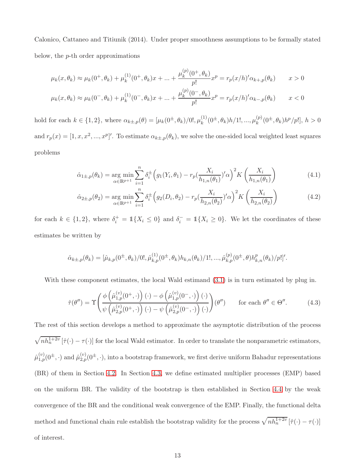Calonico, Cattaneo and Titiunik (2014). Under proper smoothness assumptions to be formally stated below, the p-th order approximations

$$
\mu_k(x, \theta_k) \approx \mu_k(0^+, \theta_k) + \mu_k^{(1)}(0^+, \theta_k)x + \dots + \frac{\mu_k^{(p)}(0^+, \theta_k)}{p!}x^p = r_p(x/h)' \alpha_{k+,p}(\theta_k) \qquad x > 0
$$
  

$$
\mu_k(x, \theta_k) \approx \mu_k(0^-, \theta_k) + \mu_k^{(1)}(0^-, \theta_k)x + \dots + \frac{\mu_k^{(p)}(0^-, \theta_k)}{p!}x^p = r_p(x/h)' \alpha_{k-,p}(\theta_k) \qquad x < 0
$$

hold for each  $k \in \{1, 2\}$ , where  $\alpha_{k \pm, p}(\theta) = [\mu_k(0^{\pm}, \theta_k)/0!, \mu_k^{(1)}]$  $k^{(1)}(0^{\pm},\theta_k)h/1!,...,\mu_k^{(p)}$  $_{k}^{(p)}(0^{\pm},\theta_{k})h^{p}/p!], h>0$ and  $r_p(x) = [1, x, x^2, ..., x^p]'$ . To estimate  $\alpha_{k\pm,p}(\theta_k)$ , we solve the one-sided local weighted least squares problems

$$
\hat{\alpha}_{1\pm,p}(\theta_k) = \underset{\alpha \in \mathbb{R}^{p+1}}{\arg \min} \sum_{i=1}^n \delta_i^{\pm} \Big( g_1(Y_i, \theta_1) - r_p \left( \frac{X_i}{h_{1,n}(\theta_1)} \right)^2 K \left( \frac{X_i}{h_{1,n}(\theta_1)} \right) \tag{4.1}
$$

$$
\hat{\alpha}_{2\pm,p}(\theta_2) = \underset{\alpha \in \mathbb{R}^{p+1}}{\arg \min} \sum_{i=1}^n \delta_i^{\pm} \Big( g_2(D_i, \theta_2) - r_p \big( \frac{X_i}{h_{2,n}(\theta_2)} \big)' \alpha \Big)^2 K \left( \frac{X_i}{h_{2,n}(\theta_2)} \right) \tag{4.2}
$$

for each  $k \in \{1,2\}$ , where  $\delta_i^+ = \mathbb{1}\{X_i \leq 0\}$  and  $\delta_i^- = \mathbb{1}\{X_i \geq 0\}$ . We let the coordinates of these estimates be written by

$$
\hat{\alpha}_{k\pm,p}(\theta_k) = [\hat{\mu}_{k,p}(0^{\pm},\theta_k)/0!,\hat{\mu}_{k,p}^{(1)}(0^{\pm},\theta_k)h_{k,n}(\theta_k)/1!,...,\hat{\mu}_{k,p}^{(p)}(0^{\pm},\theta)h_{k,n}^p(\theta_k)/p!]'
$$

With these component estimates, the local Wald estimand  $(3.1)$  is in turn estimated by plug in.

<span id="page-12-0"></span>
$$
\hat{\tau}(\theta'') = \Upsilon \left( \frac{\phi\left(\hat{\mu}_{1,p}^{(v)}(0^+,\cdot)\right)(\cdot) - \phi\left(\hat{\mu}_{1,p}^{(v)}(0^-,\cdot)\right)(\cdot)}{\psi\left(\hat{\mu}_{2,p}^{(v)}(0^+,\cdot)\right)(\cdot) - \psi\left(\hat{\mu}_{2,p}^{(v)}(0^-,\cdot)\right)(\cdot)} \right) (\theta'') \quad \text{for each } \theta'' \in \Theta''.
$$
\n(4.3)

The rest of this section develops a method to approximate the asymptotic distribution of the process  $\sqrt{nh_n^{1+2v}}$   $[\hat{\tau}(\cdot) - \tau(\cdot)]$  for the local Wald estimator. In order to translate the nonparametric estimators,  $\hat{\mu}_{1,p}^{(v)}(0^{\pm},\cdot)$  and  $\hat{\mu}_{2,p}^{(v)}(0^{\pm},\cdot)$ , into a bootstrap framework, we first derive uniform Bahadur representations (BR) of them in Section [4.2.](#page-13-0) In Section [4.3,](#page-14-0) we define estimated multiplier processes (EMP) based on the uniform BR. The validity of the bootstrap is then established in Section [4.4](#page-15-0) by the weak convergence of the BR and the conditional weak convergence of the EMP. Finally, the functional delta method and functional chain rule establish the bootstrap validity for the process  $\sqrt{nh_n^{1+2\nu}}$   $[\hat{\tau}(\cdot) - \tau(\cdot)]$ of interest.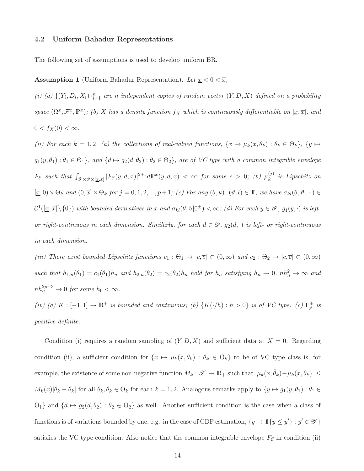#### <span id="page-13-0"></span>4.2 Uniform Bahadur Representations

<span id="page-13-1"></span>The following set of assumptions is used to develop uniform BR.

**Assumption 1** (Uniform Bahadur Representation). Let  $\underline{x} < 0 < \overline{x}$ ,

(i) (a)  $\{(Y_i, D_i, X_i)\}_{i=1}^n$  are n independent copies of random vector  $(Y, D, X)$  defined on a probability space  $(\Omega^x, \mathcal{F}^x, \mathbb{P}^x)$ ; (b) X has a density function  $f_X$  which is continuously differentiable on  $[\underline{x}, \overline{x}]$ , and  $0 < f_X(0) < \infty$ .

(ii) For each  $k = 1, 2$ , (a) the collections of real-valued functions,  $\{x \mapsto \mu_k(x, \theta_k) : \theta_k \in \Theta_k\}$ ,  $\{y \mapsto$  $g_1(y, \theta_1): \theta_1 \in \Theta_1$ , and  $\{d \mapsto g_2(d, \theta_2): \theta_2 \in \Theta_2\}$ , are of VC type with a common integrable envelope  $F_{\mathcal{E}}$  such that  $\int_{\mathscr{Y}\times\mathscr{D}\times[\underline{x},\overline{x}]}|F_{\mathcal{E}}(y,d,x)|^{2+\epsilon}d\mathbb{P}^{x}(y,d,x) < \infty$  for some  $\epsilon > 0$ ; (b)  $\mu_k^{(j)}$  $\binom{U}{k}$  is Lipschitz on  $[\underline{x}, 0) \times \Theta_k$  and  $(0, \overline{x}] \times \Theta_k$  for  $j = 0, 1, 2, ..., p+1$ ; (c) For any  $(\theta, k)$ ,  $(\vartheta, l) \in \mathbb{T}$ , we have  $\sigma_{kl}(\theta, \vartheta | \cdot ) \in$  $\mathcal{C}^1([\underline{x}, \overline{x}]\setminus\{0\})$  with bounded derivatives in x and  $\sigma_{kl}(\theta, \vartheta|0^{\pm}) < \infty$ ; (d) For each  $y \in \mathscr{Y}$ ,  $g_1(y, \cdot)$  is leftor right-continuous in each dimension. Similarly, for each  $d \in \mathcal{D}$ ,  $g_2(d, \cdot)$  is left- or right-continuous in each dimension.

(iii) There exist bounded Lipschitz functions  $c_1 : \Theta_1 \to [\underline{c}, \overline{c}] \subset (0, \infty)$  and  $c_2 : \Theta_2 \to [\underline{c}, \overline{c}] \subset (0, \infty)$ such that  $h_{1,n}(\theta_1) = c_1(\theta_1)h_n$  and  $h_{2,n}(\theta_2) = c_2(\theta_2)h_n$  hold for  $h_n$  satisfying  $h_n \to 0$ ,  $nh_n^2 \to \infty$  and  $nh_n^{2p+3} \to 0$  for some  $h_0 < \infty$ .

(iv) (a)  $K : [-1,1] \to \mathbb{R}^+$  is bounded and continuous; (b)  $\{K(\cdot/h) : h > 0\}$  is of VC type. (c)  $\Gamma_p^{\pm}$  is positive definite.

Condition (i) requires a random sampling of  $(Y, D, X)$  and sufficient data at  $X = 0$ . Regarding condition (ii), a sufficient condition for  $\{x \mapsto \mu_k(x, \theta_k) : \theta_k \in \Theta_k\}$  to be of VC type class is, for example, the existence of some non-negative function  $M_k : \mathscr{X} \to \mathbb{R}_+$  such that  $|\mu_k(x, \bar{\theta}_k) - \mu_k(x, \theta_k)| \le$  $M_k(x)|\bar{\theta}_k - \theta_k|$  for all  $\bar{\theta}_k, \theta_k \in \Theta_k$  for each  $k = 1, 2$ . Analogous remarks apply to  $\{y \mapsto g_1(y, \theta_1) : \theta_1 \in$  $\Theta_1$ } and  $\{d \mapsto g_2(d, \theta_2) : \theta_2 \in \Theta_2\}$  as well. Another sufficient condition is the case when a class of functions is of variations bounded by one, e.g. in the case of CDF estimation,  $\{y \mapsto \mathbb{1}\{y \leq y'\} : y' \in \mathscr{Y}\}\$ satisfies the VC type condition. Also notice that the common integrable envelope  $F_{\mathcal{E}}$  in condition (ii)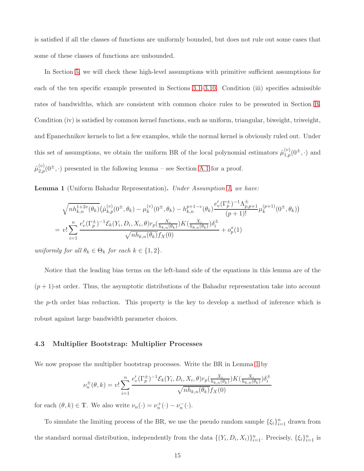is satisfied if all the classes of functions are uniformly bounded, but does not rule out some cases that some of these classes of functions are unbounded.

In Section [5,](#page-18-0) we will check these high-level assumptions with primitive sufficient assumptions for each of the ten specific example presented in Sections [3.1–](#page-6-0)[3.10.](#page-10-0) Condition (iii) specifies admissible rates of bandwidths, which are consistent with common choice rules to be presented in Section [B.](#page-79-0) Condition (iv) is satisfied by common kernel functions, such as uniform, triangular, biweight, triweight, and Epanechnikov kernels to list a few examples, while the normal kernel is obviously ruled out. Under this set of assumptions, we obtain the uniform BR of the local polynomial estimators  $\hat{\mu}_{1,p}^{(v)}(0^{\pm},\cdot)$  and  $\hat{\mu}_{2,p}^{(v)}(0^{\pm},\cdot)$  presented in the following lemma – see Section [A.1](#page-50-0) for a proof.

<span id="page-14-1"></span>Lemma 1 (Uniform Bahadur Representation). Under Assumption [1,](#page-13-1) we have:

$$
\sqrt{nh_{k,n}^{1+2\upsilon}(\theta_k)}(\hat{\mu}_{k,p}^{(\upsilon)}(0^{\pm},\theta_k) - \mu_k^{(\upsilon)}(0^{\pm},\theta_k) - h_{k,n}^{p+1-\upsilon}(\theta_k) \frac{e_v'(\Gamma_p^{\pm})^{-1}\Lambda_{p,p+1}^{\pm}}{(p+1)!} \mu_k^{(p+1)}(0^{\pm},\theta_k))
$$
  
= 
$$
v! \sum_{i=1}^n \frac{e_v'(\Gamma_p^{\pm})^{-1} \mathcal{E}_k(Y_i, D_i, X_i, \theta) r_p(\frac{X_i}{h_{k,n}(\theta_k)}) K(\frac{X_i}{h_{k,n}(\theta_k)}) \delta_i^{\pm}}{\sqrt{nh_{k,n}(\theta_k)} f_X(0)} + o_p^x(1)
$$

uniformly for all  $\theta_k \in \Theta_k$  for each  $k \in \{1,2\}$ .

Notice that the leading bias terms on the left-hand side of the equations in this lemma are of the  $(p+1)$ -st order. Thus, the asymptotic distributions of the Bahadur representation take into account the p-th order bias reduction. This property is the key to develop a method of inference which is robust against large bandwidth parameter choices.

#### <span id="page-14-0"></span>4.3 Multiplier Bootstrap: Multiplier Processes

We now propose the multiplier bootstrap processes. Write the BR in Lemma [1](#page-14-1) by

$$
\nu_n^{\pm}(\theta, k) = v! \sum_{i=1}^n \frac{e'_v(\Gamma_p^{\pm})^{-1} \mathcal{E}_k(Y_i, D_i, X_i, \theta) r_p(\frac{X_i}{h_{k,n}(\theta_k)}) K(\frac{X_i}{h_{k,n}(\theta_k)}) \delta_i^{\pm}}{\sqrt{n h_{k,n}(\theta_k)} f_X(0)}
$$

for each  $(\theta, k) \in \mathbb{T}$ . We also write  $\nu_n(\cdot) = \nu_n^+(\cdot) - \nu_n^-(\cdot)$ .

To simulate the limiting process of the BR, we use the pseudo random sample  $\{\xi_i\}_{i=1}^n$  drawn from the standard normal distribution, independently from the data  $\{(Y_i, D_i, X_i)\}_{i=1}^n$ . Precisely,  $\{\xi_i\}_{i=1}^n$  is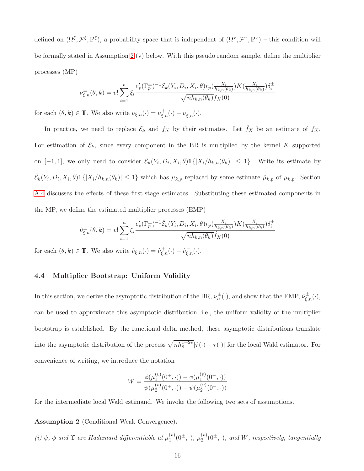defined on  $(\Omega^{\xi}, \mathcal{F}^{\xi}, \mathbb{P}^{\xi})$ , a probability space that is independent of  $(\Omega^x, \mathcal{F}^x, \mathbb{P}^x)$  - this condition will be formally stated in Assumption [2](#page-15-1) (v) below. With this pseudo random sample, define the multiplier processes (MP)

$$
\nu_{\xi,n}^{\pm}(\theta,k) = v! \sum_{i=1}^{n} \xi_i \frac{e_v'(\Gamma_p^{\pm})^{-1} \mathcal{E}_k(Y_i, D_i, X_i, \theta) r_p(\frac{X_i}{h_{k,n}(\theta_k)}) K(\frac{X_i}{h_{k,n}(\theta_k)}) \delta_i^{\pm}}{\sqrt{n h_{k,n}(\theta_k)} f_X(0)}
$$

for each  $(\theta, k) \in \mathbb{T}$ . We also write  $\nu_{\xi,n}(\cdot) = \nu_{\xi,n}^+(\cdot) - \nu_{\xi,n}^-(\cdot)$ .

In practice, we need to replace  $\mathcal{E}_k$  and  $f_X$  by their estimates. Let  $\hat{f}_X$  be an estimate of  $f_X$ . For estimation of  $\mathcal{E}_k$ , since every component in the BR is multiplied by the kernel K supported on [-1,1], we only need to consider  $\mathcal{E}_k(Y_i, D_i, X_i, \theta) \mathbb{1}\{|X_i/h_{k,n}(\theta_k)| \leq 1\}$ . Write its estimate by  $\hat{\mathcal{E}}_k(Y_i, D_i, X_i, \theta) \mathbb{1}\{|X_i/h_{k,n}(\theta_k)| \leq 1\}$  which has  $\mu_{k,p}$  replaced by some estimate  $\tilde{\mu}_{k,p}$  of  $\mu_{k,p}$ . Section [A.4](#page-65-0) discusses the effects of these first-stage estimates. Substituting these estimated components in the MP, we define the estimated multiplier processes (EMP)

$$
\hat{\nu}_{\xi,n}^{\pm}(\theta,k) = v! \sum_{i=1}^{n} \xi_i \frac{e_v'(\Gamma_p^{\pm})^{-1} \hat{\mathcal{E}}_k(Y_i, D_i, X_i, \theta) r_p(\frac{X_i}{h_{k,n}(\theta_k)}) K(\frac{X_i}{h_{k,n}(\theta_k)}) \delta_i^{\pm}}{\sqrt{n h_{k,n}(\theta_k) \hat{f}_X(0)}}
$$

<span id="page-15-0"></span>for each  $(\theta, k) \in \mathbb{T}$ . We also write  $\hat{\nu}_{\xi,n}(\cdot) = \hat{\nu}_{\xi,n}^+(\cdot) - \hat{\nu}_{\xi,n}^-(\cdot)$ .

#### 4.4 Multiplier Bootstrap: Uniform Validity

In this section, we derive the asymptotic distribution of the BR,  $\nu_n^{\pm}(\cdot)$ , and show that the EMP,  $\hat{\nu}_{\xi,n}^{\pm}(\cdot)$ , can be used to approximate this asymptotic distribution, i.e., the uniform validity of the multiplier bootstrap is established. By the functional delta method, these asymptotic distributions translate into the asymptotic distribution of the process  $\sqrt{nh_n^{1+2v}}[\hat{\tau}(\cdot) - \tau(\cdot)]$  for the local Wald estimator. For convenience of writing, we introduce the notation

$$
W = \frac{\phi(\mu_1^{(v)}(0^+,\cdot)) - \phi(\mu_1^{(v)}(0^-,\cdot))}{\psi(\mu_2^{(v)}(0^+,\cdot)) - \psi(\mu_2^{(v)}(0^-,\cdot))}
$$

for the intermediate local Wald estimand. We invoke the following two sets of assumptions.

<span id="page-15-1"></span>Assumption 2 (Conditional Weak Convergence).

(i)  $\psi$ ,  $\phi$  and  $\Upsilon$  are Hadamard differentiable at  $\mu_1^{(v)}$  $\mathcal{L}_1^{(v)}(0^{\pm},\cdot), \mu_2^{(v)}$  $\chi_2^{(v)}(0^{\pm},\cdot)$ , and W, respectively, tangentially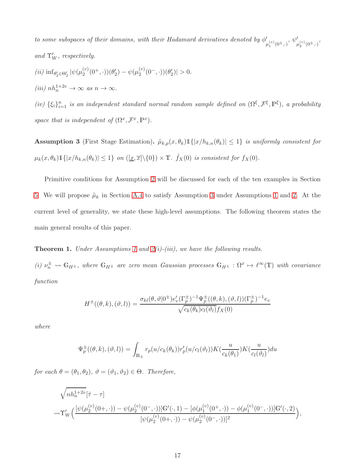$to$  some subspaces of their domains, with their Hadamard derivatives denoted by  $\phi'_{\mu_1^{(v)}(0^{\pm},\cdot)},\psi'_{\mu_2^{(v)}(0^{\pm},\cdot)},$ and  $\Upsilon'_W$ , respectively.

(*ii*)  $\inf_{\theta_2' \in \Theta_2'} |\psi(\mu_2^{(v)})|$  $\psi_2^{(v)}(0^+,\cdot))(\theta_2') - \psi(\mu_2^{(v)})$  $\binom{0}{2} (0^-, \cdot) (\theta_2')| > 0.$ (iii)  $nh_n^{1+2v} \to \infty$  as  $n \to \infty$ .

(iv)  $\{\xi_i\}_{i=1}^n$  is an independent standard normal random sample defined on  $(\Omega^{\xi}, \mathcal{F}^{\xi}, \mathbb{P}^{\xi})$ , a probability space that is independent of  $(\Omega^x, \mathcal{F}^x, \mathbb{P}^x)$ .

<span id="page-16-0"></span>**Assumption 3** (First Stage Estimation).  $\tilde{\mu}_{k,p}(x, \theta_k) \mathbb{1}\{|x/h_{k,n}(\theta_k)| \leq 1\}$  is uniformly consistent for  $\mu_k(x, \theta_k) \mathbb{1}\{|x/h_{k,n}(\theta_k)| \leq 1\}$  on  $(\underline{[x, \overline{x}]} \setminus \{0\}) \times \mathbb{T}$ .  $\hat{f}_X(0)$  is consistent for  $f_X(0)$ .

Primitive conditions for Assumption [2](#page-15-1) will be discussed for each of the ten examples in Section [5.](#page-18-0) We will propose  $\tilde{\mu}_k$  in Section [A.4](#page-65-0) to satisfy Assumption [3](#page-16-0) under Assumptions [1](#page-13-1) and [2.](#page-15-1) At the current level of generality, we state these high-level assumptions. The following theorem states the main general results of this paper.

<span id="page-16-1"></span>**Theorem [1](#page-13-1).** Under Assumptions 1 and  $2(i)-(iii)$ , we have the following results.

(i)  $\nu_n^{\pm} \rightsquigarrow \mathbb{G}_{H^{\pm}}$ , where  $\mathbb{G}_{H^{\pm}}$  are zero mean Gaussian processes  $\mathbb{G}_{H^{\pm}} : \Omega^x \mapsto \ell^{\infty}(\mathbb{T})$  with covariance function

$$
H^{\pm}((\theta,k),(\vartheta,l)) = \frac{\sigma_{kl}(\theta,\vartheta|0^{\pm})e_v'(\Gamma_p^{\pm})^{-1}\Psi_p^{\pm}((\theta,k),(\vartheta,l))(\Gamma_p^{\pm})^{-1}e_v}{\sqrt{c_k(\theta_k)c_l(\vartheta_l)}f_X(0)}
$$

where

$$
\Psi_p^{\pm}((\theta,k),(\vartheta,l))=\int_{\mathbb{R}_\pm}r_p(u/c_k(\theta_k))r_p'(u/c_l(\vartheta_l))K(\frac{u}{c_k(\theta_1)})K(\frac{u}{c_l(\vartheta_l)})du
$$

for each  $\theta = (\theta_1, \theta_2), \vartheta = (\vartheta_1, \vartheta_2) \in \Theta$ . Therefore,

$$
\begin{aligned}\n&\sqrt{nh_n^{1+2v}}[\hat{\tau} - \tau] \\
&\leadsto \Upsilon'_W\Big(\frac{[\psi(\mu_2^{(v)}(0+,\cdot)) - \psi(\mu_2^{(v)}(0^-,\cdot))]\mathbb{G}'(\cdot,1) - [\phi(\mu_1^{(v)}(0^+,\cdot)) - \phi(\mu_1^{(v)}(0^-,\cdot))]\mathbb{G}'(\cdot,2)}{[\psi(\mu_2^{(v)}(0+,\cdot)) - \psi(\mu_2^{(v)}(0^-,\cdot))]^2}\Big),\n\end{aligned}
$$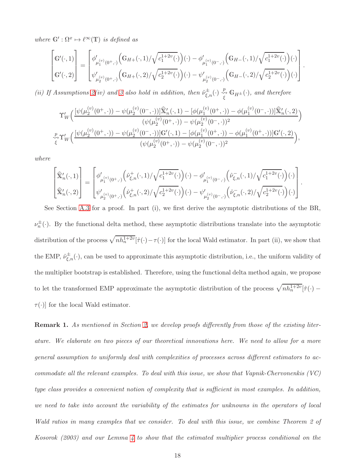where  $\mathbb{G}' : \Omega^x \mapsto \ell^{\infty}(\mathbb{T})$  is defined as

$$
\begin{bmatrix} \mathbb{G}'(\cdot,1) \\ \mathbb{G}'(\cdot,2) \end{bmatrix} = \begin{bmatrix} \phi'_{\mu_1^{(v)}(0^+,\cdot)} \Big( \mathbb{G}_{H+}(\cdot,1)/\sqrt{c_1^{1+2v}(\cdot)} \Big)(\cdot) - \phi'_{\mu_1^{(v)}(0^-,\cdot)} \Big( \mathbb{G}_{H-}(\cdot,1)/\sqrt{c_1^{1+2v}(\cdot)} \Big)(\cdot) \\ \psi'_{\mu_2^{(v)}(0^+,\cdot)} \Big( \mathbb{G}_{H+}(\cdot,2)/\sqrt{c_2^{1+2v}(\cdot)} \Big)(\cdot) - \psi'_{\mu_2^{(v)}(0^-,\cdot)} \Big( \mathbb{G}_{H-}(\cdot,2)/\sqrt{c_2^{1+2v}(\cdot)} \Big)(\cdot) \end{bmatrix}.
$$

(ii) If Assumptions [2\(](#page-15-1)iv) and [3](#page-16-0) also hold in addition, then  $\hat{\nu}^{\pm}_{\xi,n}(\cdot) \stackrel{p}{\underset{\xi}{\longleftrightarrow}} \mathbb{G}_{H^{\pm}}(\cdot)$ , and therefore

$$
\Upsilon'_W\Big(\frac{[\psi(\mu_2^{(v)}(0^+,\cdot))-\psi(\mu_2^{(v)}(0^-,\cdot))]\widehat{\mathbf{X}}'_n(\cdot,1)-[\phi(\mu_1^{(v)}(0^+,\cdot))-\phi(\mu_1^{(v)}(0^-,\cdot))]\widehat{\mathbf{X}}'_n(\cdot,2)}{(\psi(\mu_2^{(v)}(0^+,\cdot))-\psi(\mu_2^{(v)}(0^-,\cdot))^2}\Big)\newline\sum_{\zeta\uparrow\Upsilon'_W\Big(\frac{[\psi(\mu_2^{(v)}(0^+,\cdot))-\psi(\mu_2^{(v)}(0^-,\cdot))]\mathbf{G}'(\cdot,1)-[\phi(\mu_1^{(v)}(0^+,\cdot))-\phi(\mu_1^{(v)}(0^+,\cdot))]\mathbf{G}'(\cdot,2)}{(\psi(\mu_2^{(v)}(0^+,\cdot))-\psi(\mu_2^{(v)}(0^-,\cdot))^2}\Big),
$$

where

$$
\begin{bmatrix} \widehat{\mathbb{X}}'_n(\cdot,1) \\ \widehat{\mathbb{X}}'_n(\cdot,2) \end{bmatrix} = \begin{bmatrix} \phi'_{\mu_1^{(v)}(0^+,\cdot)}\Big(\widehat{\nu}^+_{\xi,n}(\cdot,1)/\sqrt{c_1^{1+2v}(\cdot)}\Big)(\cdot) - \phi'_{\mu_1^{(v)}(0^-,\cdot)}\Big(\widehat{\nu}^-_{\xi,n}(\cdot,1)/\sqrt{c_1^{1+2v}(\cdot)}\Big)(\cdot) \\ \psi'_{\mu_2^{(v)}(0^+,\cdot)}\Big(\widehat{\nu}^+_{\xi,n}(\cdot,2)/\sqrt{c_2^{1+2v}(\cdot)}\Big)(\cdot) - \psi'_{\mu_2^{(v)}(0^-,\cdot)}\Big(\widehat{\nu}^-_{\xi,n}(\cdot,2)/\sqrt{c_2^{1+2v}(\cdot)}\Big)(\cdot) \end{bmatrix}
$$

.

See Section [A.3](#page-60-0) for a proof. In part (i), we first derive the asymptotic distributions of the BR,  $\nu_n^{\pm}(\cdot)$ . By the functional delta method, these asymptotic distributions translate into the asymptotic distribution of the process  $\sqrt{nh_n^{1+2v}}[\hat{\tau}(\cdot)-\tau(\cdot)]$  for the local Wald estimator. In part (ii), we show that the EMP,  $\hat{\nu}_{\xi,n}^{\pm}(\cdot)$ , can be used to approximate this asymptotic distribution, i.e., the uniform validity of the multiplier bootstrap is established. Therefore, using the functional delta method again, we propose to let the transformed EMP approximate the asymptotic distribution of the process  $\sqrt{nh_n^{1+2\nu}}[\hat{\tau}(\cdot)$  –  $\tau(\cdot)$  for the local Wald estimator.

Remark 1. As mentioned in Section [2,](#page-3-0) we develop proofs differently from those of the existing literature. We elaborate on two pieces of our theoretical innovations here. We need to allow for a more general assumption to uniformly deal with complexities of processes across different estimators to accommodate all the relevant examples. To deal with this issue, we show that Vapnik-Chervonenkis (VC) type class provides a convenient notion of complexity that is sufficient in most examples. In addition, we need to take into account the variability of the estimates for unknowns in the operators of local Wald ratios in many examples that we consider. To deal with this issue, we combine Theorem 2 of Kosorok (2003) and our Lemma [4](#page-57-1) to show that the estimated multiplier process conditional on the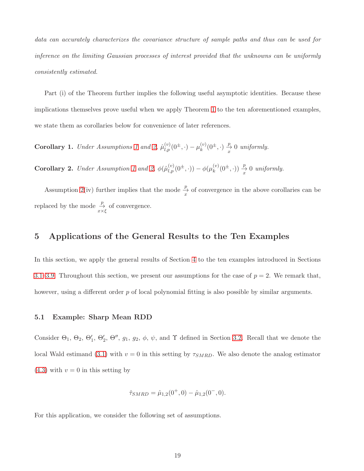data can accurately characterizes the covariance structure of sample paths and thus can be used for inference on the limiting Gaussian processes of interest provided that the unknowns can be uniformly consistently estimated.

Part (i) of the Theorem further implies the following useful asymptotic identities. Because these implications themselves prove useful when we apply Theorem [1](#page-16-1) to the ten aforementioned examples, we state them as corollaries below for convenience of later references.

**Corollary [1](#page-13-1).** Under Assumptions 1 and [2,](#page-15-1)  $\hat{\mu}_{l,p}^{(v)}(0^{\pm},\cdot) - \mu_k^{(v)}$  $_{k}^{(v)}(0^{\pm},\cdot) \stackrel{p}{\rightarrow} 0$  uniformly.

**Corollary 2.** Under Assumption [1](#page-13-1) and [2,](#page-15-1)  $\phi(\hat{\mu}_{l,p}^{(v)}(0^{\pm},\cdot)) - \phi(\mu_k^{(v)})$  $_{k}^{(v)}(0^{\pm},\cdot)) \stackrel{p}{\rightarrow} 0$  uniformly.

Assumption [2\(](#page-15-1)iv) further implies that the mode  $\frac{p}{x}$  of convergence in the above corollaries can be replaced by the mode  $\frac{p}{x \times \xi}$  of convergence.

## <span id="page-18-0"></span>5 Applications of the General Results to the Ten Examples

In this section, we apply the general results of Section [4](#page-11-0) to the ten examples introduced in Sections [3.1–](#page-6-0)[3.9.](#page-10-1) Throughout this section, we present our assumptions for the case of  $p = 2$ . We remark that, however, using a different order p of local polynomial fitting is also possible by similar arguments.

#### 5.1 Example: Sharp Mean RDD

Consider  $\Theta_1$ ,  $\Theta_2$ ,  $\Theta'_1$ ,  $\Theta'_2$ ,  $\Theta''$ ,  $g_1$ ,  $g_2$ ,  $\phi$ ,  $\psi$ , and  $\Upsilon$  defined in Section [3.2.](#page-6-1) Recall that we denote the local Wald estimand [\(3.1\)](#page-6-2) with  $v = 0$  in this setting by  $\tau_{SMRD}$ . We also denote the analog estimator  $(4.3)$  with  $v = 0$  in this setting by

$$
\hat{\tau}_{SMRD} = \hat{\mu}_{1,2}(0^+,0) - \hat{\mu}_{1,2}(0^-,0).
$$

For this application, we consider the following set of assumptions.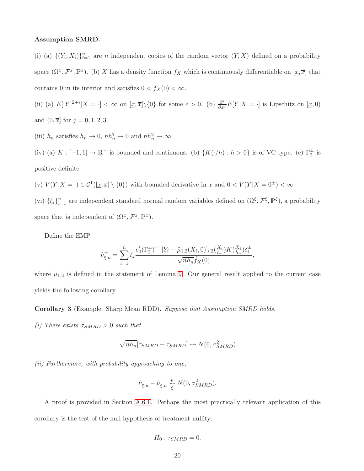#### Assumption SMRD.

(i) (a)  $\{(Y_i, X_i)\}_{i=1}^n$  are *n* independent copies of the random vector  $(Y, X)$  defined on a probability space  $(\Omega^x, \mathcal{F}^x, \mathbb{P}^x)$ . (b) X has a density function  $f_X$  which is continuously differentiable on  $[\underline{x}, \overline{x}]$  that contains 0 in its interior and satisfies  $0 < f_X(0) < \infty$ .

(ii) (a)  $E[|Y|^{2+\epsilon}|X = \cdot] < \infty$  on  $[\underline{x}, \overline{x}]\setminus\{0\}$  for some  $\epsilon > 0$ . (b)  $\frac{\partial^j}{\partial x^j}E[Y|X = \cdot]$  is Lipschitz on  $[\underline{x}, 0]$ and  $(0, \overline{x}]$  for  $j = 0, 1, 2, 3$ .

(iii)  $h_n$  satisfies  $h_n \to 0$ ,  $nh_n^7 \to 0$  and  $nh_n^2 \to \infty$ .

(iv) (a)  $K: [-1,1] \to \mathbb{R}^+$  is bounded and continuous. (b)  $\{K(\cdot/h) : h > 0\}$  is of VC type. (c)  $\Gamma_2^{\pm}$  is positive definite.

(v)  $V(Y|X = \cdot) \in \mathcal{C}^1([\underline{x}, \overline{x}] \setminus \{0\})$  with bounded derivative in x and  $0 < V(Y|X = 0^{\pm}) < \infty$ 

(vi)  $\{\xi_i\}_{i=1}^n$  are independent standard normal random variables defined on  $(\Omega^{\xi}, \mathcal{F}^{\xi}, \mathbb{P}^{\xi})$ , a probability space that is independent of  $(\Omega^x, \mathcal{F}^x, \mathbb{P}^x)$ .

Define the EMP

$$
\hat{\nu}_{\xi,n}^{\pm} = \sum_{i=1}^{n} \xi_i \frac{e_0'(\Gamma_2^{\pm})^{-1} [Y_i - \tilde{\mu}_{1,2}(X_i, 0)] r_2(\frac{X_i}{h_n}) K(\frac{X_i}{h_n}) \delta_i^{\pm}}{\sqrt{n h_n} \hat{f}_X(0)},
$$

where  $\tilde{\mu}_{1,2}$  is defined in the statement of Lemma [9.](#page-65-1) Our general result applied to the current case yields the following corollary.

<span id="page-19-0"></span>Corollary 3 (Example: Sharp Mean RDD). Suppose that Assumption SMRD holds.

(i) There exists  $\sigma_{SMRD} > 0$  such that

$$
\sqrt{nh_n}[\hat{\tau}_{SMRD} - \tau_{SMRD}] \rightsquigarrow N(0, \sigma_{SMRD}^2)
$$

(ii) Furthermore, with probability approaching to one,

$$
\hat{\nu}_{\xi,n}^+ - \hat{\nu}_{\xi,n}^- \overset{p}{\underset{\xi}{\leadsto}} N(0,\sigma_{SMRD}^2).
$$

A proof is provided in Section [A.6.1.](#page-73-0) Perhaps the most practically relevant application of this corollary is the test of the null hypothesis of treatment nullity:

$$
H_0: \tau_{SMRD} = 0.
$$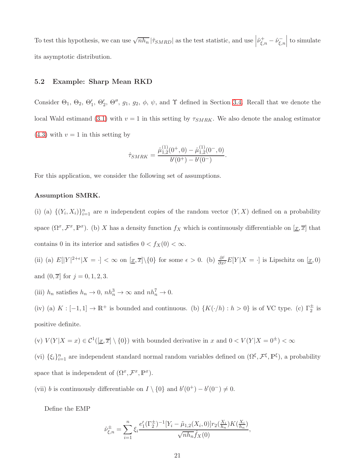To test this hypothesis, we can use  $\sqrt{nh_n} |\hat{\tau}_{SMRD}|$  as the test statistic, and use  $\left| \hat{\nu}_{\xi,n}^+ - \hat{\nu}_{\xi,n}^- \right|$  $\Big\vert$  to simulate its asymptotic distribution.

#### 5.2 Example: Sharp Mean RKD

Consider  $\Theta_1$ ,  $\Theta_2$ ,  $\Theta'_1$ ,  $\Theta'_2$ ,  $\Theta''$ ,  $g_1$ ,  $g_2$ ,  $\phi$ ,  $\psi$ , and  $\Upsilon$  defined in Section [3.4.](#page-7-0) Recall that we denote the local Wald estimand [\(3.1\)](#page-6-2) with  $v = 1$  in this setting by  $\tau_{SMRK}$ . We also denote the analog estimator  $(4.3)$  with  $v = 1$  in this setting by

$$
\hat{\tau}_{SMRK} = \frac{\hat{\mu}_{1,2}^{(1)}(0^+,0) - \hat{\mu}_{1,2}^{(1)}(0^-,0)}{b'(0^+) - b'(0^-)}.
$$

For this application, we consider the following set of assumptions.

#### Assumption SMRK.

(i) (a)  $\{(Y_i, X_i)\}_{i=1}^n$  are *n* independent copies of the random vector  $(Y, X)$  defined on a probability space  $(\Omega^x, \mathcal{F}^x, \mathbb{P}^x)$ . (b) X has a density function  $f_X$  which is continuously differentiable on  $[\underline{x}, \overline{x}]$  that contains 0 in its interior and satisfies  $0 < f_X(0) < \infty$ .

(ii) (a)  $E[|Y|^{2+\epsilon}|X = \cdot] < \infty$  on  $[\underline{x}, \overline{x}]\setminus\{0\}$  for some  $\epsilon > 0$ . (b)  $\frac{\partial^j}{\partial x^j}E[Y|X = \cdot]$  is Lipschitz on  $[\underline{x}, 0]$ and  $(0, \overline{x}]$  for  $j = 0, 1, 2, 3$ .

(iii)  $h_n$  satisfies  $h_n \to 0$ ,  $nh_n^3 \to \infty$  and  $nh_n^7 \to 0$ .

(iv) (a)  $K: [-1,1] \to \mathbb{R}^+$  is bounded and continuous. (b)  $\{K(\cdot/h) : h > 0\}$  is of VC type. (c)  $\Gamma_2^{\pm}$  is positive definite.

(v)  $V(Y|X=x) \in \mathcal{C}^1(\underline{x}, \overline{x}] \setminus \{0\})$  with bounded derivative in x and  $0 < V(Y|X=0^{\pm}) < \infty$ 

(vi)  $\{\xi_i\}_{i=1}^n$  are independent standard normal random variables defined on  $(\Omega^{\xi}, \mathcal{F}^{\xi}, \mathbb{P}^{\xi})$ , a probability space that is independent of  $(\Omega^x, \mathcal{F}^x, \mathbb{P}^x)$ .

(vii) b is continuously differentiable on  $I \setminus \{0\}$  and  $b'(0^+) - b'(0^-) \neq 0$ .

Define the EMP

$$
\hat{\nu}_{\xi,n}^{\pm} = \sum_{i=1}^{n} \xi_i \frac{e'_1 (\Gamma_2^{\pm})^{-1} [Y_i - \tilde{\mu}_{1,2}(X_i, 0)] r_2(\frac{X_i}{h_n}) K(\frac{X_i}{h_n})}{\sqrt{n h_n} \hat{f}_X(0)},
$$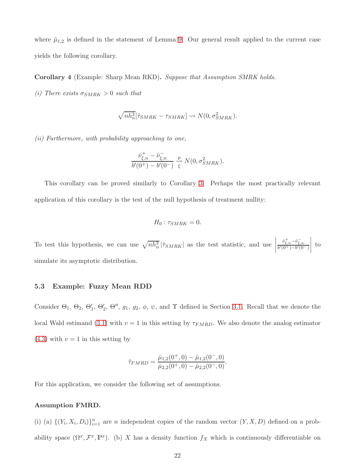where  $\tilde{\mu}_{1,2}$  is defined in the statement of Lemma [9.](#page-65-1) Our general result applied to the current case yields the following corollary.

Corollary 4 (Example: Sharp Mean RKD). Suppose that Assumption SMRK holds.

(i) There exists  $\sigma_{SMRK} > 0$  such that

$$
\sqrt{nh_n^3}[\hat{\tau}_{SMRK} - \tau_{SMRK}] \rightsquigarrow N(0, \sigma_{SMRK}^2).
$$

(ii) Furthermore, with probability approaching to one,

$$
\frac{\hat{\nu}_{\xi,n}^+ - \hat{\nu}_{\xi,n}^-}{b'(0^+) - b'(0^-)} \overset{p}{\Leftrightarrow} N(0, \sigma_{SMRK}^2).
$$

This corollary can be proved similarly to Corollary [3.](#page-19-0) Perhaps the most practically relevant application of this corollary is the test of the null hypothesis of treatment nullity:

$$
H_0: \tau_{SMRK} = 0.
$$

To test this hypothesis, we can use  $\sqrt{nh_n^3}$   $|\hat{\tau}_{SMRK}|$  as the test statistic, and use  $\frac{\hat{\nu}^+_{\xi,n}-\hat{\nu}^-_{\xi,n}}{b'(0^+)-b'(0^-)}$  $\begin{array}{c} \begin{array}{c} \begin{array}{c} \end{array} \\ \begin{array}{c} \end{array} \end{array} \end{array}$ to simulate its asymptotic distribution.

#### 5.3 Example: Fuzzy Mean RDD

Consider  $\Theta_1$ ,  $\Theta_2$ ,  $\Theta'_1$ ,  $\Theta'_2$ ,  $\Theta''$ ,  $g_1$ ,  $g_2$ ,  $\phi$ ,  $\psi$ , and  $\Upsilon$  defined in Section [3.1.](#page-6-0) Recall that we denote the local Wald estimand [\(3.1\)](#page-6-2) with  $v = 1$  in this setting by  $\tau_{FMRD}$ . We also denote the analog estimator  $(4.3)$  with  $v = 1$  in this setting by

$$
\hat{\tau}_{FMRD} = \frac{\hat{\mu}_{1,2}(0^+,0) - \hat{\mu}_{1,2}(0^-,0)}{\hat{\mu}_{2,2}(0^+,0) - \hat{\mu}_{2,2}(0^-,0)}.
$$

For this application, we consider the following set of assumptions.

#### Assumption FMRD.

(i) (a)  $\{(Y_i, X_i, D_i)\}_{i=1}^n$  are *n* independent copies of the random vector  $(Y, X, D)$  defined on a probability space  $(\Omega^x, \mathcal{F}^x, \mathbb{P}^x)$ . (b) X has a density function  $f_X$  which is continuously differentiable on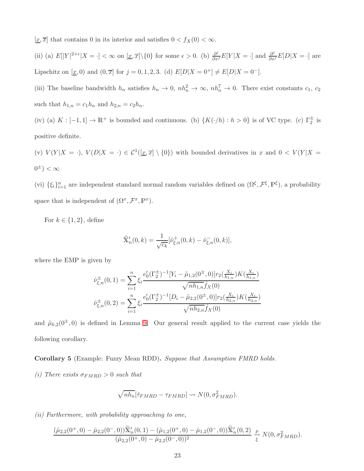$[\underline{x}, \overline{x}]$  that contains 0 in its interior and satisfies  $0 < f_X(0) < \infty$ .

(ii) (a)  $E[|Y|^{2+\epsilon}|X = \cdot] < \infty$  on  $[\underline{x}, \overline{x}]\setminus\{0\}$  for some  $\epsilon > 0$ . (b)  $\frac{\partial^j}{\partial x^j}E[Y|X = \cdot]$  and  $\frac{\partial^j}{\partial x^j}E[D|X = \cdot]$  are Lipschitz on  $[\underline{x}, 0)$  and  $(0, \overline{x}]$  for  $j = 0, 1, 2, 3$ . (d)  $E[D|X = 0^+] \neq E[D|X = 0^-]$ .

(iii) The baseline bandwidth  $h_n$  satisfies  $h_n \to 0$ ,  $nh_n^2 \to \infty$ ,  $nh_n^7 \to 0$ . There exist constants  $c_1$ ,  $c_2$ such that  $h_{1,n} = c_1 h_n$  and  $h_{2,n} = c_2 h_n$ .

(iv) (a)  $K: [-1,1] \to \mathbb{R}^+$  is bounded and continuous. (b)  $\{K(\cdot/h) : h > 0\}$  is of VC type. (c)  $\Gamma_2^{\pm}$  is positive definite.

(v)  $V(Y|X = \cdot)$ ,  $V(D|X = \cdot) \in C^{1}([\underline{x}, \overline{x}] \setminus \{0\})$  with bounded derivatives in x and  $0 < V(Y|X = \cdot)$  $0^{\pm}$ )  $< \infty$ 

(vi)  $\{\xi_i\}_{i=1}^n$  are independent standard normal random variables defined on  $(\Omega^{\xi}, \mathcal{F}^{\xi}, \mathbb{P}^{\xi})$ , a probability space that is independent of  $(\Omega^x, \mathcal{F}^x, \mathbb{P}^x)$ .

For  $k \in \{1, 2\}$ , define

$$
\widehat{\mathbf{X}}'_n(0,k) = \frac{1}{\sqrt{c_k}} [\widehat{\nu}_{\xi,n}^+(0,k) - \widehat{\nu}_{\xi,n}^-(0,k)],
$$

where the EMP is given by

$$
\hat{\nu}_{\xi,n}^{\pm}(0,1) = \sum_{i=1}^{n} \xi_i \frac{e'_0(\Gamma_2^{\pm})^{-1} [Y_i - \tilde{\mu}_{1,2}(0^{\pm},0)] r_2(\frac{X_i}{h_{1,n}}) K(\frac{X_i}{h_{1,n}})}{\sqrt{n h_{1,n}} \hat{f}_X(0)}
$$

$$
\hat{\nu}_{\xi,n}^{\pm}(0,2) = \sum_{i=1}^{n} \xi_i \frac{e'_0(\Gamma_2^{\pm})^{-1} [D_i - \tilde{\mu}_{2,2}(0^{\pm},0)] r_2(\frac{X_i}{h_{2,n}}) K(\frac{X_i}{h_{2,n}})}{\sqrt{n h_{2,n}} \hat{f}_X(0)}
$$

and  $\tilde{\mu}_{k,2}(0^{\pm},0)$  is defined in Lemma [9.](#page-65-1) Our general result applied to the current case yields the following corollary.

#### <span id="page-22-0"></span>Corollary 5 (Example: Fuzzy Mean RDD). Suppose that Assumption FMRD holds.

(i) There exists  $\sigma_{FMRD} > 0$  such that

$$
\sqrt{nh_n}[\hat{\tau}_{FMRD} - \tau_{FMRD}] \rightsquigarrow N(0, \sigma_{FMRD}^2).
$$

(ii) Furthermore, with probability approaching to one,

$$
\frac{(\hat{\mu}_{2,2}(0^+,0) - \hat{\mu}_{2,2}(0^-,0))\widehat{\mathbf{X}}'_n(0,1) - (\hat{\mu}_{1,2}(0^+,0) - \hat{\mu}_{1,2}(0^-,0))\widehat{\mathbf{X}}'_n(0,2)}{(\hat{\mu}_{2,2}(0^+,0) - \hat{\mu}_{2,2}(0^-,0))^2} \underset{\xi}{\overset{p}{\longrightarrow}} N(0,\sigma_{FMRD}^2).
$$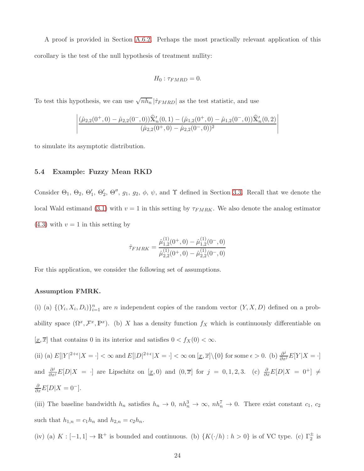A proof is provided in Section [A.6.2.](#page-73-1) Perhaps the most practically relevant application of this corollary is the test of the null hypothesis of treatment nullity:

$$
H_0: \tau_{FMRD} = 0.
$$

To test this hypothesis, we can use  $\sqrt{nh_n} |\hat{\tau}_{FMRD}|$  as the test statistic, and use

$$
\left|\frac{(\hat{\mu}_{2,2}(0^+,0)-\hat{\mu}_{2,2}(0^-,0))\widehat{\mathbf{X}}'_n(0,1)-(\hat{\mu}_{1,2}(0^+,0)-\hat{\mu}_{1,2}(0^-,0))\widehat{\mathbf{X}}'_n(0,2)}{(\hat{\mu}_{2,2}(0^+,0)-\hat{\mu}_{2,2}(0^-,0))^2}\right|
$$

to simulate its asymptotic distribution.

#### 5.4 Example: Fuzzy Mean RKD

Consider  $\Theta_1$ ,  $\Theta_2$ ,  $\Theta'_1$ ,  $\Theta'_2$ ,  $\Theta''$ ,  $g_1$ ,  $g_2$ ,  $\phi$ ,  $\psi$ , and  $\Upsilon$  defined in Section [3.3.](#page-7-1) Recall that we denote the local Wald estimand [\(3.1\)](#page-6-2) with  $v = 1$  in this setting by  $\tau_{FMRK}$ . We also denote the analog estimator  $(4.3)$  with  $v = 1$  in this setting by

$$
\hat{\tau}_{FMRK} = \frac{\hat{\mu}_{1,2}^{(1)}(0^+,0) - \hat{\mu}_{1,2}^{(1)}(0^-,0)}{\hat{\mu}_{2,2}^{(1)}(0^+,0) - \hat{\mu}_{2,2}^{(1)}(0^-,0)}
$$

For this application, we consider the following set of assumptions.

#### Assumption FMRK.

(i) (a)  $\{(Y_i, X_i, D_i)\}_{i=1}^n$  are *n* independent copies of the random vector  $(Y, X, D)$  defined on a probability space  $(\Omega^x, \mathcal{F}^x, \mathbb{P}^x)$ . (b) X has a density function  $f_X$  which is continuously differentiable on  $[\underline{x}, \overline{x}]$  that contains 0 in its interior and satisfies  $0 < f_X(0) < \infty$ .

(ii) (a)  $E[|Y|^{2+\epsilon}|X = \cdot] < \infty$  and  $E[|D|^{2+\epsilon}|X = \cdot] < \infty$  on  $[\underline{x}, \overline{x}]\setminus\{0\}$  for some  $\epsilon > 0$ . (b)  $\frac{\partial^j}{\partial x^j}E[Y|X = \cdot]$ and  $\frac{\partial^j}{\partial x^j}E[D|X = \cdot]$  are Lipschitz on  $[\underline{x},0)$  and  $(0,\overline{x}]$  for  $j = 0,1,2,3$ . (c)  $\frac{\partial}{\partial x}E[D|X = 0^+] \neq 0$  $\frac{\partial}{\partial x}E[D|X=0^{-}].$ 

(iii) The baseline bandwidth  $h_n$  satisfies  $h_n \to 0$ ,  $nh_n^3 \to \infty$ ,  $nh_n^7 \to 0$ . There exist constant  $c_1$ ,  $c_2$ such that  $h_{1,n} = c_1 h_n$  and  $h_{2,n} = c_2 h_n$ .

(iv) (a)  $K: [-1,1] \to \mathbb{R}^+$  is bounded and continuous. (b)  $\{K(\cdot/h) : h > 0\}$  is of VC type. (c)  $\Gamma_2^{\pm}$  is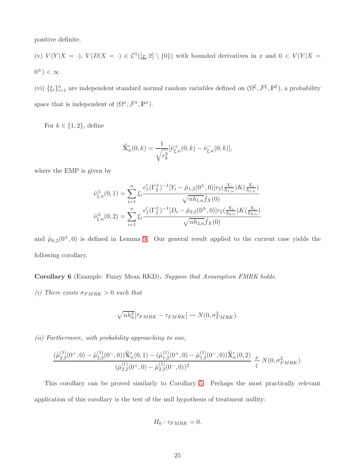positive definite.

(v)  $V(Y|X = \cdot), V(D|X = \cdot) \in C^{1}(\underline{x}, \overline{x}] \setminus \{0\})$  with bounded derivatives in x and  $0 < V(Y|X = \cdot)$  $0^{\pm}$ )  $< \infty$ 

(vi)  $\{\xi_i\}_{i=1}^n$  are independent standard normal random variables defined on  $(\Omega^\xi, \mathcal{F}^\xi, \mathbb{P}^\xi)$ , a probability space that is independent of  $(\Omega^x, \mathcal{F}^x, \mathbb{P}^x)$ .

For  $k \in \{1, 2\}$ , define

$$
\widehat{\mathbf{X}}'_n(0,k) = \frac{1}{\sqrt{c_k^3}} [\widehat{\nu}_{\xi,n}^+(0,k) - \widehat{\nu}_{\xi,n}^-(0,k)],
$$

where the EMP is given by

$$
\hat{\nu}_{\xi,n}^{\pm}(0,1) = \sum_{i=1}^{n} \xi_i \frac{e_1'(\Gamma_2^{\pm})^{-1} [Y_i - \tilde{\mu}_{1,2}(0^{\pm},0)] r_2(\frac{X_i}{h_{1,n}}) K(\frac{X_i}{h_{1,n}})}{\sqrt{n h_{1,n}} \hat{f}_X(0)}
$$

$$
\hat{\nu}_{\xi,n}^{\pm}(0,2) = \sum_{i=1}^{n} \xi_i \frac{e_1'(\Gamma_2^{\pm})^{-1} [D_i - \tilde{\mu}_{2,2}(0^{\pm},0)] r_2(\frac{X_i}{h_{2,n}}) K(\frac{X_i}{h_{2,n}})}{\sqrt{n h_{2,n}} \hat{f}_X(0)}
$$

and  $\tilde{\mu}_{k,2}(0^{\pm},0)$  is defined in Lemma [9.](#page-65-1) Our general result applied to the current case yields the following corollary.

Corollary 6 (Example: Fuzzy Mean RKD). Suppose that Assumption FMRK holds.

(i) There exists  $\sigma_{FMRK} > 0$  such that

$$
\sqrt{nh_n^3}[\hat{\tau}_{FMRK} - \tau_{FMRK}] \leadsto N(0, \sigma_{FMRK}^2).
$$

(ii) Furthermore, with probability approaching to one,

$$
\frac{(\hat{\mu}_{2,2}^{(1)}(0^+,0) - \hat{\mu}_{2,2}^{(1)}(0^-,0))\hat{\mathbf{x}}_n'(0,1) - (\hat{\mu}_{1,2}^{(1)}(0^+,0) - \hat{\mu}_{1,2}^{(1)}(0^-,0))\hat{\mathbf{x}}_n'(0,2)}{(\hat{\mu}_{2,2}^{(1)}(0^+,0) - \hat{\mu}_{2,2}^{(1)}(0^-,0))^2} \underset{\xi}{\overset{p}{\rightsquigarrow}} N(0,\sigma_{FMRK}^2).
$$

This corollary can be proved similarly to Corollary [5.](#page-22-0) Perhaps the most practically relevant application of this corollary is the test of the null hypothesis of treatment nullity:

$$
H_0: \tau_{FMRK} = 0.
$$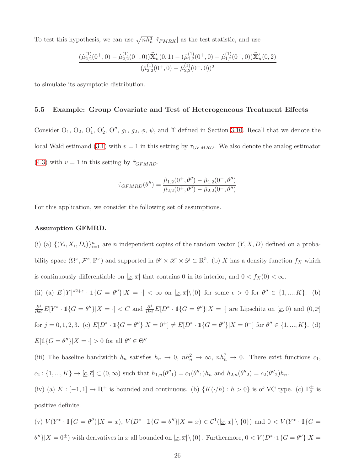To test this hypothesis, we can use  $\sqrt{nh_n^3}$  | $\hat{\tau}_{FMRK}$ | as the test statistic, and use

$$
\left|\frac{(\hat{\mu}_{2,2}^{(1)}(0^{+},0)-\hat{\mu}_{2,2}^{(1)}(0^{-},0))\widehat{X}'_{n}(0,1)-(\hat{\mu}_{1,2}^{(1)}(0^{+},0)-\hat{\mu}_{1,2}^{(1)}(0^{-},0))\widehat{X}'_{n}(0,2)}{(\hat{\mu}_{2,2}^{(1)}(0^{+},0)-\hat{\mu}_{2,2}^{(1)}(0^{-},0))^{2}}\right|
$$

to simulate its asymptotic distribution.

#### 5.5 Example: Group Covariate and Test of Heterogeneous Treatment Effects

Consider  $\Theta_1$ ,  $\Theta_2$ ,  $\Theta'_1$ ,  $\Theta'_2$ ,  $\Theta''$ ,  $g_1$ ,  $g_2$ ,  $\phi$ ,  $\psi$ , and  $\Upsilon$  defined in Section [3.10.](#page-10-0) Recall that we denote the local Wald estimand [\(3.1\)](#page-6-2) with  $v = 1$  in this setting by  $\tau_{GFMRD}$ . We also denote the analog estimator [\(4.3\)](#page-12-0) with  $v = 1$  in this setting by  $\hat{\tau}_{GFMRD}$ .

$$
\hat{\tau}_{GFMRD}(\theta'') = \frac{\hat{\mu}_{1,2}(0^+,\theta'') - \hat{\mu}_{1,2}(0^-,\theta'')}{\hat{\mu}_{2,2}(0^+,\theta'') - \hat{\mu}_{2,2}(0^-,\theta'')}
$$

For this application, we consider the following set of assumptions.

#### Assumption GFMRD.

(i) (a)  $\{(Y_i, X_i, D_i)\}_{i=1}^n$  are n independent copies of the random vector  $(Y, X, D)$  defined on a probability space  $(\Omega^x, \mathcal{F}^x, \mathbb{P}^x)$  and supported in  $\mathscr{Y} \times \mathscr{X} \times \mathscr{D} \subset \mathbb{R}^5$ . (b) X has a density function  $f_X$  which is continuously differentiable on  $[\underline{x}, \overline{x}]$  that contains 0 in its interior, and  $0 < f_X(0) < \infty$ .

(ii) (a) 
$$
E[|Y|^{*2+\epsilon} \cdot \mathbb{1}\{G = \theta''\}|X = \cdot] < \infty
$$
 on  $[\underline{x}, \overline{x}]\setminus\{0\}$  for some  $\epsilon > 0$  for  $\theta'' \in \{1, ..., K\}$ . (b)

$$
\frac{\partial^j}{\partial x^j} E[Y^* \cdot \mathbb{1}\{G = \theta''\}|X = \cdot] < C \text{ and } \frac{\partial^j}{\partial x^j} E[D^* \cdot \mathbb{1}\{G = \theta''\}|X = \cdot] \text{ are Lipschitz on } [\underline{x}, 0) \text{ and } (0, \overline{x}]
$$
\n
$$
\text{for } j = 0, 1, 2, 3. \text{ (c) } E[D^* \cdot \mathbb{1}\{G = \theta''\}|X = 0^+] \neq E[D^* \cdot \mathbb{1}\{G = \theta''\}|X = 0^-] \text{ for } \theta'' \in \{1, ..., K\}. \text{ (d)}
$$
\n
$$
E[\mathbb{1}\{G = \theta''\}|X = \cdot] > 0 \text{ for all } \theta'' \in \Theta''
$$

(iii) The baseline bandwidth  $h_n$  satisfies  $h_n \to 0$ ,  $nh_n^2 \to \infty$ ,  $nh_n^7 \to 0$ . There exist functions  $c_1$ ,  $c_2: \{1, ..., K\} \to [\underline{c}, \overline{c}] \subset (0, \infty)$  such that  $h_{1,n}(\theta'') = c_1(\theta'')h_n$  and  $h_{2,n}(\theta''_2) = c_2(\theta'')h_n$ .

(iv) (a)  $K: [-1,1] \to \mathbb{R}^+$  is bounded and continuous. (b)  $\{K(\cdot/h) : h > 0\}$  is of VC type. (c)  $\Gamma_2^{\pm}$  is positive definite.

(v) 
$$
V(Y^* \cdot \mathbb{1}{G = \theta''}|X = x)
$$
,  $V(D^* \cdot \mathbb{1}{G = \theta''}|X = x) \in C^1([\underline{x}, \overline{x}] \setminus \{0\})$  and  $0 < V(Y^* \cdot \mathbb{1}{G = \theta''}|X = \theta''}|X = 0^{\pm})$  with derivatives in  $x$  all bounded on  $[\underline{x}, \overline{x}] \setminus \{0\}$ . Furthermore,  $0 < V(D^* \cdot \mathbb{1}{G = \theta''}|X = \theta'''|X = \theta'''|X = \theta'''|X = \theta'''|X = \theta'''|X = \theta'''|X = \theta'''|X = \theta'''|X = \theta'''|X = \theta'''|X = \theta'''|X = \theta'''|X = \theta'''|X = \theta'''|X = \theta'''|X = \theta'''|X = \theta'''|X = \theta'''|X = \theta'''|X = \theta'''|X = \theta'''|X = \theta'''|X = \theta'''|X = \theta'''|X = \theta'''|X = \theta'''|X = \theta'''|X = \theta'''|X = \theta'''|X = \theta'''|X = \theta'''|X = \theta'''|X = \theta'''|X = \theta'''|X = \theta'''|X = \theta'''|X = \theta'''|X = \theta'''|X = \theta'''|X = \theta'''|X = \theta'''|X = \theta'''|X = \theta'''|X = \theta'''|X = \theta'''|X = \theta'''|X = \theta'''|X = \theta'''|X = \theta'''|X = \theta'''|X = \theta'''|X = \theta'''|X = \theta'''|X = \theta'''|X = \theta'''|X = \theta'''|X = \theta'''|X = \theta'''|X = \theta'''|X = \theta'''|X = \theta'''|X = \theta'''|X = \theta'''|X = \theta'''|X = \theta'''|X = \theta'''|X = \theta'''|X = \theta'''|X = \theta'''|X = \theta'''|X = \theta'''|X = \theta'''|X = \theta'''|X = \theta'''|X = \theta'''|X = \theta'''|X = \theta'''|X = \theta'''|X = \theta'''|X = \theta'''|X = \theta'''|X = \theta'''|X = \theta'''|X = \theta'''|X = \theta'''|X = \theta'''|X = \theta'''|X = \theta'''|X = \theta'''|X = \theta'''|X = \theta'''|X = \theta'''|X = \theta'''|X = \theta'''|X = \theta'''|X = \theta'''|X = \theta'''|X =$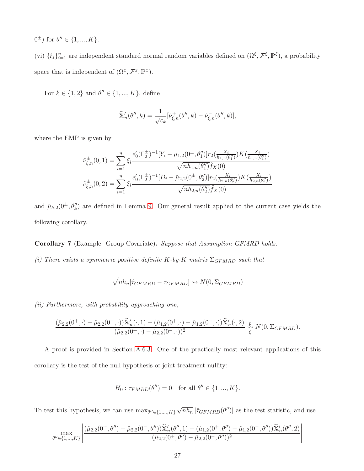$0^{\pm}$ ) for  $\theta'' \in \{1, ..., K\}.$ 

(vi)  $\{\xi_i\}_{i=1}^n$  are independent standard normal random variables defined on  $(\Omega^{\xi}, \mathcal{F}^{\xi}, \mathbb{P}^{\xi})$ , a probability space that is independent of  $(\Omega^x, \mathcal{F}^x, \mathbb{P}^x)$ .

For  $k \in \{1, 2\}$  and  $\theta'' \in \{1, ..., K\}$ , define

$$
\widehat{\mathbf{X}}'_n(\theta'',k) = \frac{1}{\sqrt{c_k}}[\widehat{\nu}_{\xi,n}^+(\theta'',k) - \widehat{\nu}_{\xi,n}^-(\theta'',k)],
$$

where the EMP is given by

$$
\hat{\nu}_{\xi,n}^{\pm}(0,1) = \sum_{i=1}^{n} \xi_i \frac{e'_0(\Gamma_2^{\pm})^{-1} [Y_i - \tilde{\mu}_{1,2}(0^{\pm}, \theta''_1)] r_2(\frac{X_i}{h_{1,n}(\theta''_1)}) K(\frac{X_i}{h_{1,n}(\theta''_1)})}{\sqrt{n h_{1,n}(\theta''_1)} \hat{f}_X(0)}
$$

$$
\hat{\nu}_{\xi,n}^{\pm}(0,2) = \sum_{i=1}^{n} \xi_i \frac{e'_0(\Gamma_2^{\pm})^{-1} [D_i - \tilde{\mu}_{2,2}(0^{\pm}, \theta''_2)] r_2(\frac{X_i}{h_{2,n}(\theta''_2)}) K(\frac{X_i}{h_{2,n}(\theta''_2)})}{\sqrt{n h_{2,n}(\theta''_2)} \hat{f}_X(0)}
$$

and  $\tilde{\mu}_{k,2}(0^{\pm}, \theta''_k)$  are defined in Lemma [9.](#page-65-1) Our general result applied to the current case yields the following corollary.

Corollary 7 (Example: Group Covariate). Suppose that Assumption GFMRD holds.

(i) There exists a symmetric positive definite K-by-K matrix  $\Sigma_{GFMRD}$  such that

$$
\sqrt{nh_n}[\hat{\tau}_{GFMRD} - \tau_{GFMRD}] \rightsquigarrow N(0, \Sigma_{GFMRD})
$$

(ii) Furthermore, with probability approaching one,

$$
\frac{(\hat{\mu}_{2,2}(0^+,\cdot)-\hat{\mu}_{2,2}(0^-,\cdot))\widehat{\mathbf{X}}'_n(\cdot,1)-(\hat{\mu}_{1,2}(0^+,\cdot)-\hat{\mu}_{1,2}(0^-,\cdot))\widehat{\mathbf{X}}'_n(\cdot,2)}{(\hat{\mu}_{2,2}(0^+,\cdot)-\hat{\mu}_{2,2}(0^-,\cdot))^2} \stackrel{p}{\underset{\xi}{\leadsto}} N(0,\Sigma_{GFMRD}).
$$

A proof is provided in Section [A.6.3.](#page-74-0) One of the practically most relevant applications of this corollary is the test of the null hypothesis of joint treatment nullity:

$$
H_0: \tau_{FMRD}(\theta'') = 0
$$
 for all  $\theta'' \in \{1, ..., K\}.$ 

To test this hypothesis, we can use  $\max_{\theta'' \in \{1, ..., K\}}$  $\sqrt{nh_n}$  | $\hat{\tau}_{GFMRD}(\theta'')$ | as the test statistic, and use

$$
\max_{\theta'' \in \{1,\ldots,K\}} \left| \frac{(\hat{\mu}_{2,2}(0^+,\theta'')-\hat{\mu}_{2,2}(0^-,\theta''))\widehat{\mathbf{x}}'_n(\theta'',1)-(\hat{\mu}_{1,2}(0^+,\theta'')-\hat{\mu}_{1,2}(0^-,\theta''))\widehat{\mathbf{x}}'_n(\theta'',2)}{(\hat{\mu}_{2,2}(0^+,\theta'')-\hat{\mu}_{2,2}(0^-,\theta''))^2} \right|
$$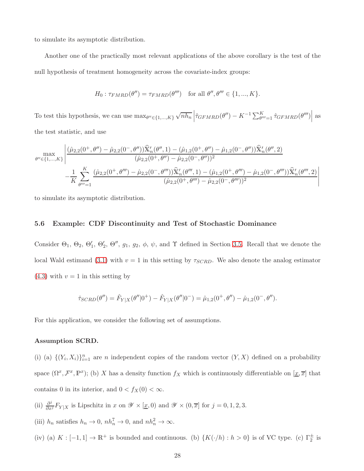to simulate its asymptotic distribution.

Another one of the practically most relevant applications of the above corollary is the test of the null hypothesis of treatment homogeneity across the covariate-index groups:

$$
H_0: \tau_{FMRD}(\theta'') = \tau_{FMRD}(\theta''') \text{ for all } \theta'', \theta''' \in \{1, ..., K\}.
$$

To test this hypothesis, we can use  $\max_{\theta'' \in \{1, ..., K\}}$  $\sqrt{nh_n} \left| \hat{\tau}_{GFMRD}(\theta'') - K^{-1} \sum_{\theta''=1}^{K} \hat{\tau}_{GFMRD}(\theta'') \right|$  as the test statistic, and use

$$
\max_{\theta'' \in \{1,\ldots,K\}} \left| \frac{(\hat{\mu}_{2,2}(0^+,\theta'') - \hat{\mu}_{2,2}(0^-,\theta''))\widehat{\mathbb{X}}'_n(\theta'',1) - (\hat{\mu}_{1,2}(0^+,\theta'') - \hat{\mu}_{1,2}(0^-,\theta''))\widehat{\mathbb{X}}'_n(\theta'',2)}{(\hat{\mu}_{2,2}(0^+,\theta'') - \hat{\mu}_{2,2}(0^-,\theta''))^2} \right|
$$

$$
- \frac{1}{K} \sum_{\theta'''=1}^K \frac{(\hat{\mu}_{2,2}(0^+,\theta''') - \hat{\mu}_{2,2}(0^-,\theta'''))\widehat{\mathbb{X}}'_n(\theta''',1) - (\hat{\mu}_{1,2}(0^+,\theta''') - \hat{\mu}_{1,2}(0^-,\theta'''))\widehat{\mathbb{X}}'_n(\theta''',2)}{(\hat{\mu}_{2,2}(0^+,\theta''') - \hat{\mu}_{2,2}(0^-,\theta'''))^2} \right|
$$

to simulate its asymptotic distribution.

#### 5.6 Example: CDF Discontinuity and Test of Stochastic Dominance

Consider  $\Theta_1$ ,  $\Theta_2$ ,  $\Theta'_1$ ,  $\Theta'_2$ ,  $\Theta''$ ,  $g_1$ ,  $g_2$ ,  $\phi$ ,  $\psi$ , and  $\Upsilon$  defined in Section [3.5.](#page-7-2) Recall that we denote the local Wald estimand [\(3.1\)](#page-6-2) with  $v = 1$  in this setting by  $\tau_{SCRD}$ . We also denote the analog estimator  $(4.3)$  with  $v = 1$  in this setting by

$$
\hat{\tau}_{SCRD}(\theta'') = \hat{F}_{Y|X}(\theta''|0^+) - \hat{F}_{Y|X}(\theta''|0^-) = \hat{\mu}_{1,2}(0^+,\theta'') - \hat{\mu}_{1,2}(0^-,\theta'').
$$

For this application, we consider the following set of assumptions.

#### Assumption SCRD.

(i) (a)  $\{(Y_i, X_i)\}_{i=1}^n$  are *n* independent copies of the random vector  $(Y, X)$  defined on a probability space  $(\Omega^x, \mathcal{F}^x, \mathbb{P}^x)$ ; (b) X has a density function  $f_X$  which is continuously differentiable on  $[\underline{x}, \overline{x}]$  that contains 0 in its interior, and  $0 < f_X(0) < \infty$ .

- (ii)  $\frac{\partial^j}{\partial x^j} F_{Y|X}$  is Lipschitz in x on  $\mathscr{Y} \times [\underline{x}, 0)$  and  $\mathscr{Y} \times (0, \overline{x}]$  for  $j = 0, 1, 2, 3$ .
- (iii)  $h_n$  satisfies  $h_n \to 0$ ,  $nh_n^7 \to 0$ , and  $nh_n^2 \to \infty$ .
- (iv) (a)  $K: [-1,1] \to \mathbb{R}^+$  is bounded and continuous. (b)  $\{K(\cdot/h) : h > 0\}$  is of VC type. (c)  $\Gamma_2^{\pm}$  is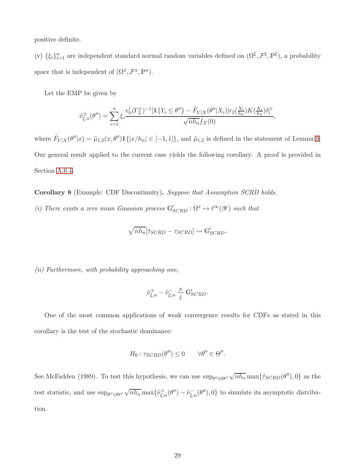positive definite.

(v)  $\{\xi_i\}_{i=1}^n$  are independent standard normal random variables defined on  $(\Omega^\xi, \mathcal{F}^\xi, \mathbb{P}^\xi)$ , a probability space that is independent of  $(\Omega^x, \mathcal{F}^x, \mathbb{P}^x)$ .

Let the EMP be given by

$$
\hat{\nu}_{\xi,n}^{\pm}(\theta'') = \sum_{i=1}^n \xi_i \frac{e_0'(\Gamma_2^{\pm})^{-1} [\mathbb{1}\{Y_i \le \theta''\} - \tilde{F}_{Y|X}(\theta''|X_i)] r_2(\frac{X_i}{h_n}) K(\frac{X_i}{h_n}) \delta_i^{\pm}}{\sqrt{nh_n} \hat{f}_X(0)},
$$

where  $\tilde{F}_{Y|X}(\theta''|x) = \tilde{\mu}_{1,2}(x,\theta'') \mathbb{1}\{|x/h_n| \in [-1,1]\}$ , and  $\tilde{\mu}_{1,2}$  is defined in the statement of Lemma [9.](#page-65-1) Our general result applied to the current case yields the following corollary. A proof is provided in Section [A.6.4.](#page-74-1)

Corollary 8 (Example: CDF Discontinuity). Suppose that Assumption SCRD holds.

(i) There exists a zero mean Gaussian process  $\mathbb{G}'_{SCRD} : \Omega^x \to \ell^{\infty}(\mathscr{Y})$  such that

$$
\sqrt{nh_n}[\hat{\tau}_{SCRD} - \tau_{SCRD}] \rightsquigarrow \mathbb{G}'_{SCRD}.
$$

(ii) Furthermore, with probability approaching one,

$$
\hat{\nu}_{\xi,n}^+ - \hat{\nu}_{\xi,n}^- \overset{p}{\underset{\xi}{\leadsto}} \mathbb{G}'_{SCRD}.
$$

One of the most common applications of weak convergence results for CDFs as stated in this corollary is the test of the stochastic dominance:

$$
H_0: \tau_{SCRD}(\theta'') \leq 0 \qquad \forall \theta'' \in \Theta''.
$$

See McFadden (1989). To test this hypothesis, we can use  $\sup_{\theta'' \in \Theta''} \sqrt{n h_n} \max\{\hat{\tau}_{SCRD}(\theta''),0\}$  as the test statistic, and use  $\sup_{\theta'' \in \Theta''} \sqrt{n h_n} \max \{ \hat{\nu}_{\xi,n}^+(\theta'') - \hat{\nu}_{\xi,n}^-(\theta'') \}$  to simulate its asymptotic distribution.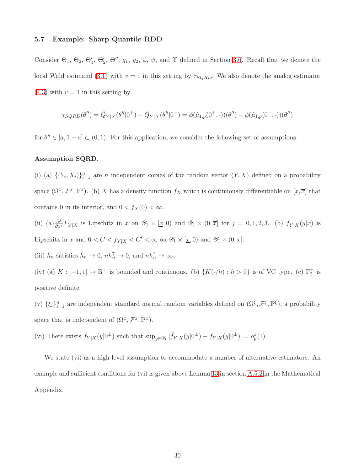#### 5.7 Example: Sharp Quantile RDD

Consider  $\Theta_1$ ,  $\Theta_2$ ,  $\Theta'_1$ ,  $\Theta'_2$ ,  $\Theta''$ ,  $g_1$ ,  $g_2$ ,  $\phi$ ,  $\psi$ , and  $\Upsilon$  defined in Section [3.6.](#page-8-0) Recall that we denote the local Wald estimand [\(3.1\)](#page-6-2) with  $v = 1$  in this setting by  $\tau_{SQRD}$ . We also denote the analog estimator  $(4.3)$  with  $v = 1$  in this setting by

$$
\hat{\tau}_{SQRD}(\theta'') = \hat{Q}_{Y|X}(\theta''|0^+) - \hat{Q}_{Y|X}(\theta''|0^-) = \phi(\hat{\mu}_{1,p}(0^+,\cdot))(\theta'') - \phi(\hat{\mu}_{1,p}(0^-,\cdot))(\theta'')
$$

for  $\theta'' \in [a, 1-a] \subset (0,1)$ . For this application, we consider the following set of assumptions.

#### Assumption SQRD.

(i) (a)  $\{(Y_i, X_i)\}_{i=1}^n$  are *n* independent copies of the random vector  $(Y, X)$  defined on a probability space  $(\Omega^x, \mathcal{F}^x, \mathbb{P}^x)$ . (b) X has a density function  $f_X$  which is continuously differentiable on  $[\underline{x}, \overline{x}]$  that contains 0 in its interior, and  $0 < f_X(0) < \infty$ .

(ii) (a)  $\frac{\partial^j}{\partial x^j} F_{Y|X}$  is Lipschitz in x on  $\mathscr{Y}_1 \times [\underline{x},0)$  and  $\mathscr{Y}_1 \times (0,\overline{x}]$  for  $j = 0,1,2,3$ . (b)  $f_{Y|X}(y|x)$  is Lipschitz in x and  $0 < C < f_{Y|X} < C' < \infty$  on  $\mathscr{Y}_1 \times [\underline{x}, 0)$  and  $\mathscr{Y}_1 \times (0, \overline{x}]$ .

(iii)  $h_n$  satisfies  $h_n \to 0$ ,  $nh_n^7 \to 0$ , and  $nh_n^2 \to \infty$ .

(iv) (a)  $K: [-1,1] \to \mathbb{R}^+$  is bounded and continuous. (b)  $\{K(\cdot/h) : h > 0\}$  is of VC type. (c)  $\Gamma_2^{\pm}$  is positive definite.

(v)  $\{\xi_i\}_{i=1}^n$  are independent standard normal random variables defined on  $(\Omega^\xi, \mathcal{F}^\xi, \mathbb{P}^\xi)$ , a probability space that is independent of  $(\Omega^x, \mathcal{F}^x, \mathbb{P}^x)$ .

(vi) There exists  $\hat{f}_{Y|X}(y|0^{\pm})$  such that  $\sup_{y \in \mathscr{Y}_1} |\hat{f}_{Y|X}(y|0^{\pm}) - f_{Y|X}(y|0^{\pm})| = o_p^x(1)$ .

We state (vi) as a high level assumption to accommodate a number of alternative estimators. An example and sufficient conditions for (vi) is given above Lemma [13](#page-69-0) in section [A.5.2](#page-69-1) in the Mathematical Appendix.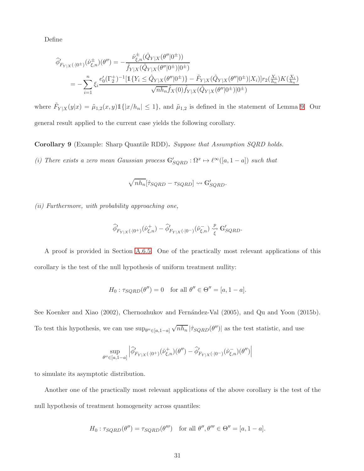Define

$$
\begin{split} \widehat{\phi}'_{F_{Y|X}(\cdot|0^{\pm})}(\widehat{\nu}^{\pm}_{\xi,n})(\theta'') & = -\frac{\widehat{\nu}^{\pm}_{\xi,n}(\hat{Q}_{Y|X}(\theta''|0^{\pm}))}{\widehat{f}_{Y|X}(\hat{Q}_{Y|X}(\theta''|0^{\pm})|0^{\pm})} \\ & = -\sum_{i=1}^{n} \xi_{i} \frac{e'_{0}(\Gamma_{2}^{+})^{-1}[\mathbbm{1}\{Y_{i} \leq \hat{Q}_{Y|X}(\theta''|0^{\pm})\} - \widetilde{F}_{Y|X}(\hat{Q}_{Y|X}(\theta''|0^{\pm})|X_{i})]r_{2}(\frac{X_{i}}{h_{n}})K(\frac{X_{i}}{h_{n}})}{\sqrt{nh_{n}}\widehat{f}_{X}(0)\widehat{f}_{Y|X}(\hat{Q}_{Y|X}(\theta''|0^{\pm})|0^{\pm})} \end{split}
$$

where  $\tilde{F}_{Y|X}(y|x) = \tilde{\mu}_{1,2}(x,y) 1\{|x/h_n| \leq 1\}$ , and  $\tilde{\mu}_{1,2}$  is defined in the statement of Lemma [9.](#page-65-1) Our general result applied to the current case yields the following corollary.

Corollary 9 (Example: Sharp Quantile RDD). Suppose that Assumption SQRD holds. (i) There exists a zero mean Gaussian process  $\mathbb{G}'_{SQRD} : \Omega^x \to \ell^{\infty}([a, 1-a])$  such that

$$
\sqrt{nh_n}[\hat{\tau}_{SQRD} - \tau_{SQRD}] \rightsquigarrow \mathbb{G}'_{SQRD}.
$$

(ii) Furthermore, with probability approaching one,

$$
\widehat{\phi}'_{F_{Y|X}(\cdot|0^+)}(\widehat{\nu}^+_{\xi,n})-\widehat{\phi}'_{F_{Y|X}(\cdot|0^-)}(\widehat{\nu}^-_{\xi,n})\overset{p}{\underset{\xi}{\leadsto}}\mathbb{G}'_{SQRD}.
$$

A proof is provided in Section [A.6.5.](#page-75-0) One of the practically most relevant applications of this corollary is the test of the null hypothesis of uniform treatment nullity:

$$
H_0: \tau_{SQRD}(\theta'') = 0 \quad \text{for all } \theta'' \in \Theta'' = [a, 1 - a].
$$

See Koenker and Xiao (2002), Chernozhukov and Fernández-Val (2005), and Qu and Yoon (2015b). To test this hypothesis, we can use  $\sup_{\theta'' \in [a, 1-a]}$  $\sqrt{nh_n}$  | $\hat{\tau}_{SQRD}(\theta'')$ | as the test statistic, and use

$$
\sup_{\theta''\in [a,1-a]} \left|\widehat{\phi}_{F_{Y|X}(\cdot|0^+)}'(\widehat{\nu}^+_{\xi,n})(\theta'') - \widehat{\phi}_{F_{Y|X}(\cdot|0^-)}'(\widehat{\nu}^-_{\xi,n})(\theta'')\right|
$$

to simulate its asymptotic distribution.

Another one of the practically most relevant applications of the above corollary is the test of the null hypothesis of treatment homogeneity across quantiles:

$$
H_0: \tau_{SQRD}(\theta'') = \tau_{SQRD}(\theta''') \quad \text{for all } \theta'', \theta''' \in \Theta'' = [a, 1 - a].
$$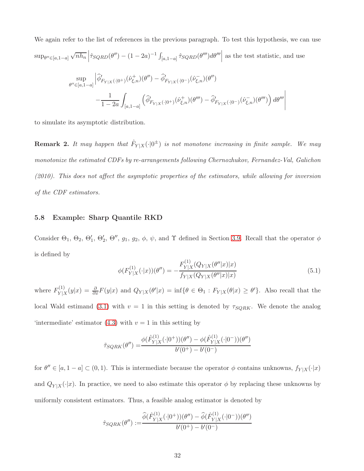We again refer to the list of references in the previous paragraph. To test this hypothesis, we can use  $sup_{\theta'' \in [a, 1-a]}$  $\sqrt{nh_n}$   $\left| \hat{\tau}_{SQRD}(\theta'') - (1 - 2a)^{-1} \int$  $\int_{[a,1-a]} \hat{\tau}_{SQRD}(\theta''') d\theta'''$  as the test statistic, and use sup  $\theta^{\prime\prime} \in [a, 1-a]$  $\Big| \widehat{\phi}'_{F_{Y|X}(\cdot|0^+)}(\widehat{\nu}^+_{\xi,n})(\theta'') - \widehat{\phi}'_{F_{Y|X}(\cdot|0^-)}(\widehat{\nu}^-_{\xi,n})(\theta'') \\$ − 1  $1-2a$  $[a,1-a]$  $\left(\widehat{\phi}'_{F_{Y|X}(\cdot|0^+)}(\widehat{\nu}^+_{\xi,n})(\theta''') - \widehat{\phi}'_{F_{Y|X}(\cdot|0^-)}(\widehat{\nu}^-_{\xi,n})(\theta''')\right)d\theta'''$  $\begin{array}{c} \begin{array}{c} \begin{array}{c} \begin{array}{c} \end{array} \\ \end{array} \\ \begin{array}{c} \end{array} \end{array} \end{array} \end{array}$ 

to simulate its asymptotic distribution.

**Remark 2.** It may happen that  $\hat{F}_{Y|X}(\cdot|0^{\pm})$  is not monotone increasing in finite sample. We may monotonize the estimated CDFs by re-arrangements following Chernozhukov, Fernandez-Val, Galichon (2010). This does not affect the asymptotic properties of the estimators, while allowing for inversion of the CDF estimators.

### 5.8 Example: Sharp Quantile RKD

Consider  $\Theta_1$ ,  $\Theta_2$ ,  $\Theta'_1$ ,  $\Theta'_2$ ,  $\Theta''$ ,  $g_1$ ,  $g_2$ ,  $\phi$ ,  $\psi$ , and  $\Upsilon$  defined in Section [3.9.](#page-10-1) Recall that the operator  $\phi$ is defined by

<span id="page-31-0"></span>
$$
\phi(F_{Y|X}^{(1)}(\cdot|x))(\theta'') = -\frac{F_{Y|X}^{(1)}(Q_{Y|X}(\theta''|x)|x)}{f_{Y|X}(Q_{Y|X}(\theta''|x)|x)}
$$
(5.1)

where  $F_{V}^{(1)}$  $Y_{Y|X}^{(1)}(y|x) = \frac{\partial}{\partial x}F(y|x)$  and  $Q_{Y|X}(\theta'|x) = \inf\{\theta \in \Theta_1 : F_{Y|X}(\theta|x) \ge \theta'\}.$  Also recall that the local Wald estimand [\(3.1\)](#page-6-2) with  $v = 1$  in this setting is denoted by  $\tau_{SQRK}$ . We denote the analog 'intermediate' estimator  $(4.3)$  with  $v = 1$  in this setting by

$$
\tilde{\tau}_{SQRK}(\theta'') = \frac{\phi(\hat{F}_{Y|X}^{(1)}(\cdot|0^+))(\theta'') - \phi(\hat{F}_{Y|X}^{(1)}(\cdot|0^-))(\theta'')}{b'(0^+) - b'(0^-)}
$$

for  $\theta'' \in [a, 1-a] \subset (0,1)$ . This is intermediate because the operator  $\phi$  contains unknowns,  $f_{Y|X}(\cdot|x)$ and  $Q_{Y|X}(\cdot|x)$ . In practice, we need to also estimate this operator  $\phi$  by replacing these unknowns by uniformly consistent estimators. Thus, a feasible analog estimator is denoted by

$$
\hat{\tau}_{SQRK}(\theta'') := \frac{\hat{\phi}(\hat{F}_{Y|X}^{(1)}(\cdot|0^+))(\theta'') - \hat{\phi}(\hat{F}_{Y|X}^{(1)}(\cdot|0^-))(\theta'')}{b'(0^+) - b'(0^-)}
$$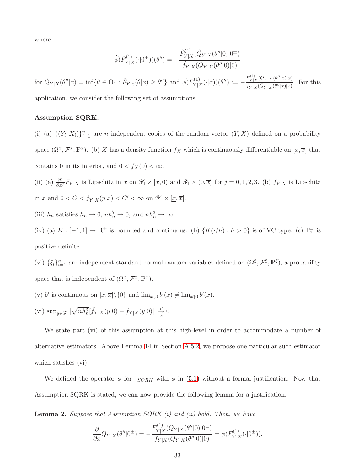where

$$
\widehat{\phi}(\widehat{F}_{Y|X}^{(1)}(\cdot|0^{\pm}))( \theta'') = -\frac{\widehat{F}_{Y|X}^{(1)}(\hat{Q}_{Y|X}(\theta''|0)|0^{\pm})}{\widehat{f}_{Y|X}(\hat{Q}_{Y|X}(\theta''|0)|0)}
$$

for  $\hat{Q}_{Y|X}(\theta''|x) = \inf \{ \theta \in \Theta_1 : \hat{F}_{Y|x}(\theta|x) \ge \theta'' \}$  and  $\hat{\phi}(F_{Y|X}^{(1)})$  $Y|X^{(1)}(x)|(\theta''):= -\frac{F_{Y|X}^{(1)}(\hat{Q}_{Y|X}(\theta''|x)|x)}{\hat{f}_{Y|X}(\hat{Q}_{Y|X}(\theta''|x)|x)}$  $\frac{\hat{Y}|X^{(\sqrt{2}T}|X^{(\sqrt{2}T)}|x)}{\hat{Y}|X^{(\hat{Q}_Y|X^{(\theta''|x)|x})}}$ . For this application, we consider the following set of assumptions.

#### Assumption SQRK.

(i) (a)  $\{(Y_i, X_i)\}_{i=1}^n$  are *n* independent copies of the random vector  $(Y, X)$  defined on a probability space  $(\Omega^x, \mathcal{F}^x, \mathbb{P}^x)$ . (b) X has a density function  $f_X$  which is continuously differentiable on  $[\underline{x}, \overline{x}]$  that contains 0 in its interior, and  $0 < f_X(0) < \infty$ .

(ii) (a)  $\frac{\partial^j}{\partial x^j} F_{Y|X}$  is Lipschitz in x on  $\mathscr{Y}_1 \times [\underline{x}, 0)$  and  $\mathscr{Y}_1 \times (0, \overline{x}]$  for  $j = 0, 1, 2, 3$ . (b)  $f_{Y|X}$  is Lipschitz in x and  $0 < C < f_{Y|X}(y|x) < C' < \infty$  on  $\mathscr{Y}_1 \times [\underline{x}, \overline{x}]$ .

(iii)  $h_n$  satisfies  $h_n \to 0$ ,  $nh_n^7 \to 0$ , and  $nh_n^3 \to \infty$ .

(iv) (a)  $K: [-1,1] \to \mathbb{R}^+$  is bounded and continuous. (b)  $\{K(\cdot/h) : h > 0\}$  is of VC type. (c)  $\Gamma_2^{\pm}$  is positive definite.

(vi)  $\{\xi_i\}_{i=1}^n$  are independent standard normal random variables defined on  $(\Omega^{\xi}, \mathcal{F}^{\xi}, \mathbb{P}^{\xi})$ , a probability space that is independent of  $(\Omega^x, \mathcal{F}^x, \mathbb{P}^x)$ .

- (v) b' is continuous on  $[\underline{x}, \overline{x}] \setminus \{0\}$  and  $\lim_{x \downarrow 0} b'(x) \neq \lim_{x \uparrow 0} b'(x)$ .
- (vi)  $\sup_{y \in \mathscr{Y}_1} |\sqrt{nh_n^3}[\hat{f}_{Y|X}(y|0) f_{Y|X}(y|0)]| \frac{p}{x}$  0

We state part (vi) of this assumption at this high-level in order to accommodate a number of alternative estimators. Above Lemma [14](#page-70-0) in Section [A.5.2,](#page-69-1) we propose one particular such estimator which satisfies (vi).

We defined the operator  $\phi$  for  $\tau_{SQRK}$  with  $\phi$  in [\(5.1\)](#page-31-0) without a formal justification. Now that Assumption SQRK is stated, we can now provide the following lemma for a justification.

**Lemma 2.** Suppose that Assumption  $SQRK(i)$  and (ii) hold. Then, we have

$$
\frac{\partial}{\partial x} Q_{Y|X}(\theta''|0^{\pm}) = -\frac{F_{Y|X}^{(1)}(Q_{Y|X}(\theta''|0)|0^{\pm})}{f_{Y|X}(Q_{Y|X}(\theta''|0)|0)} = \phi(F_{Y|X}^{(1)}(\cdot|0^{\pm})).
$$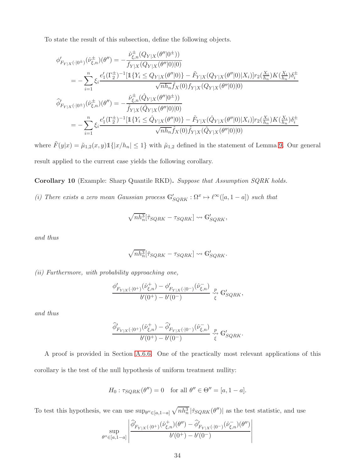To state the result of this subsection, define the following objects.

$$
\begin{split}\n\phi'_{F_{Y|X}(\cdot|0^{\pm})}(\hat{\nu}_{\xi,n}^{\pm})(\theta'') &= -\frac{\hat{\nu}_{\xi,n}^{\pm}(Q_{Y|X}(\theta''|0^{\pm}))}{f_{Y|X}(Q_{Y|X}(\theta''|0)|0)} \\
&= -\sum_{i=1}^{n} \xi_{i} \frac{e'_{1}(\Gamma_{2}^{\pm})^{-1}[\mathbb{1}\{Y_{i} \leq Q_{Y|X}(\theta''|0)\} - \tilde{F}_{Y|X}(Q_{Y|X}(\theta''|0)|X_{i})]r_{2}(\frac{X_{i}}{h_{n}})K(\frac{X_{i}}{h_{n}})\delta_{i}^{\pm}}{\sqrt{nh_{n}}\hat{f}_{X}(0)f_{Y|X}(Q_{Y|X}(\theta''|0)|0)} \\
\hat{\phi}'_{F_{Y|X}(\cdot|0^{\pm})}(\hat{\nu}_{\xi,n}^{\pm})(\theta'') &= -\frac{\hat{\nu}_{\xi,n}^{\pm}(\hat{Q}_{Y|X}(\theta''|0^{\pm}))}{\hat{f}_{Y|X}(\hat{Q}_{Y|X}(\theta''|0)|0)} \\
&= -\sum_{i=1}^{n} \xi_{i} \frac{e'_{1}(\Gamma_{2}^{\pm})^{-1}[\mathbb{1}\{Y_{i} \leq \hat{Q}_{Y|X}(\theta''|0)\} - \tilde{F}_{Y|X}(\hat{Q}_{Y|X}(\theta''|0)|X_{i})]r_{2}(\frac{X_{i}}{h_{n}})K(\frac{X_{i}}{h_{n}})\delta_{i}^{\pm}}{\sqrt{nh_{n}}\hat{f}_{X}(0)\hat{f}_{Y|X}(\hat{Q}_{Y|X}(\theta''|0)|0)}\n\end{split}
$$

where  $\tilde{F}(y|x) = \tilde{\mu}_{1,2}(x, y) \mathbb{1}\{|x/h_n| \leq 1\}$  with  $\tilde{\mu}_{1,2}$  defined in the statement of Lemma [9.](#page-65-1) Our general result applied to the current case yields the following corollary.

Corollary 10 (Example: Sharp Quantile RKD). Suppose that Assumption SQRK holds.

(i) There exists a zero mean Gaussian process  $\mathbb{G}'_{SQRK} : \Omega^x \to \ell^{\infty}([a,1-a])$  such that

$$
\sqrt{nh_n^3}[\tilde{\tau}_{SQRK} - {\tau}_{SQRK}] \leadsto \mathbb{G}'_{SQRK},
$$

and thus

$$
\sqrt{nh_n^3}[\hat{\tau}_{SQRK} - \tau_{SQRK}] \rightsquigarrow \mathbb{G}'_{SQRK}.
$$

(ii) Furthermore, with probability approaching one,

$$
\frac{\phi_{F_{Y|X}(\cdot|0^+)}'(\hat{\nu}_{\xi,n}^+)-\phi_{F_{Y|X}(\cdot|0^-)}'(\hat{\nu}_{\xi,n}^-)}{b'(0^+)-b'(0^-)}\underset{\xi}{\overset{p}{\leadsto}}\mathbb{G}_{SQRK}',
$$

and thus

$$
\frac{\widehat{\phi}_{F_{Y|X}(\cdot|0^{+})}'(\widehat{\nu}_{\xi,n}^{+}) - \widehat{\phi}_{F_{Y|X}(\cdot|0^{-})}'(\widehat{\nu}_{\xi,n}^{-})}{b'(0^{+}) - b'(0^{-})} \underset{\xi}{\stackrel{p}{\leadsto}} \mathbb{G}_{SQRK}'.
$$

A proof is provided in Section [A.6.6.](#page-76-0) One of the practically most relevant applications of this corollary is the test of the null hypothesis of uniform treatment nullity:

$$
H_0: \tau_{SQRK}(\theta'') = 0 \quad \text{for all } \theta'' \in \Theta'' = [a, 1 - a].
$$

To test this hypothesis, we can use  $\sup_{\theta'' \in [a,1-a]} \sqrt{nh_n^3} |\hat{r}_{SQRK}(\theta'')|$  as the test statistic, and use

$$
\sup_{\theta'' \in [a,1-a]} \left| \frac{\widehat{\phi}'_{F_{Y|X}(\cdot \vert 0^+)}(\widehat{\nu}^+_{\xi,n})(\theta'') - \widehat{\phi}'_{F_{Y|X}(\cdot \vert 0^-)}(\widehat{\nu}^-_{\xi,n})(\theta'')}{b'(0^+)-b'(0^-)}\right|
$$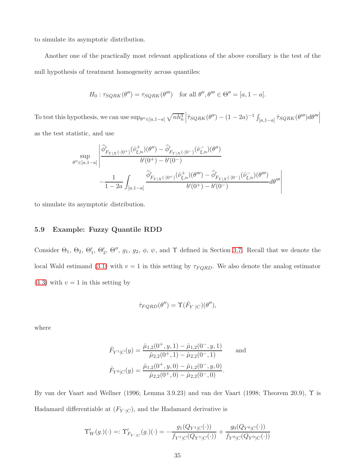to simulate its asymptotic distribution.

Another one of the practically most relevant applications of the above corollary is the test of the null hypothesis of treatment homogeneity across quantiles:

$$
H_0: \tau_{SQRK}(\theta'') = \tau_{SQRK}(\theta''') \quad \text{for all } \theta'', \theta''' \in \Theta'' = [a, 1 - a].
$$

To test this hypothesis, we can use  $\sup_{\theta'' \in [a,1-a]} \sqrt{nh_n^3}$  $\left| \hat{\tau}_{SQRK}(\theta'') - (1 - 2a)^{-1} \int \right|$  $\left. [\bar{a},\bar{1}-\bar{a}]\right. \hat{\tau}_{SQRK}(\theta^{\prime\prime\prime})d\theta^{\prime\prime\prime}\right|_{\mathcal{L}^{2}}$ as the test statistic, and use

$$
\sup_{\theta'' \in [a,1-a]} \left| \frac{\widehat{\phi}'_{F_{Y|X}(\cdot|0^{+})}(\widehat{\nu}^+_{\xi,n})(\theta'') - \widehat{\phi}'_{F_{Y|X}(\cdot|0^{-})}(\widehat{\nu}^-_{\xi,n})(\theta'')}{b'(0^{+}) - b'(0^{-})} \right|_{-\frac{1}{1-2a} \int_{[a,1-a]} \frac{\widehat{\phi}'_{F_{Y|X}(\cdot|0^{+})}(\widehat{\nu}^+_{\xi,n})(\theta''') - \widehat{\phi}'_{F_{Y|X}(\cdot|0^{-})}(\widehat{\nu}^-_{\xi,n})(\theta''')}{b'(0^{+}) - b'(0^{-})} d\theta''' \right|
$$

to simulate its asymptotic distribution.

#### 5.9 Example: Fuzzy Quantile RDD

Consider  $\Theta_1$ ,  $\Theta_2$ ,  $\Theta'_1$ ,  $\Theta'_2$ ,  $\Theta''$ ,  $g_1$ ,  $g_2$ ,  $\phi$ ,  $\psi$ , and  $\Upsilon$  defined in Section [3.7.](#page-8-1) Recall that we denote the local Wald estimand [\(3.1\)](#page-6-2) with  $v = 1$  in this setting by  $\tau_{FQRD}$ . We also denote the analog estimator  $(4.3)$  with  $v = 1$  in this setting by

$$
\hat{\tau}_{FQRD}(\theta'') = \Upsilon(\hat{F}_{Y}|_{C})(\theta''),
$$

where

$$
\hat{F}_{Y^1|C}(y) = \frac{\hat{\mu}_{1,2}(0^+, y, 1) - \hat{\mu}_{1,2}(0^-, y, 1)}{\hat{\mu}_{2,2}(0^+, 1) - \hat{\mu}_{2,2}(0^-, 1)} \quad \text{and}
$$
\n
$$
\hat{F}_{Y^0|C}(y) = \frac{\hat{\mu}_{1,2}(0^+, y, 0) - \hat{\mu}_{1,2}(0^-, y, 0)}{\hat{\mu}_{2,2}(0^+, 0) - \hat{\mu}_{2,2}(0^-, 0)}.
$$

By van der Vaart and Wellner (1996; Lemma 3.9.23) and van der Vaart (1998; Theorem 20.9), Υ is Hadamard differentiable at  $(F_{Y\cdot |C})$ , and the Hadamard derivative is

$$
\Upsilon'_{W}(g.)(\cdot) =: \Upsilon'_{F_{Y^*|C}}(g.)(\cdot) = -\frac{g_1(Q_{Y^1|C}(\cdot))}{f_{Y^1|C}(Q_{Y^1|C}(\cdot))} + \frac{g_0(Q_{Y^0|C}(\cdot))}{f_{Y^0|C}(Q_{Y^0|C}(\cdot))}
$$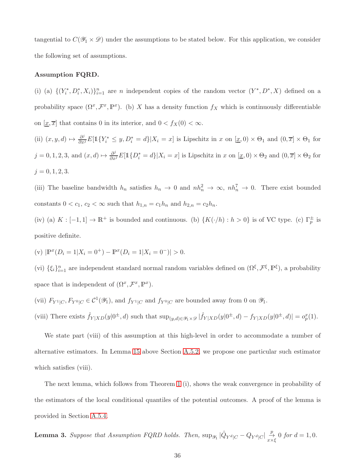tangential to  $C(\mathscr{Y}_1 \times \mathscr{D})$  under the assumptions to be stated below. For this application, we consider the following set of assumptions.

#### Assumption FQRD.

(i) (a)  $\{(Y_i^*, D_i^*, X_i)\}_{i=1}^n$  are *n* independent copies of the random vector  $(Y^*, D^*, X)$  defined on a probability space  $(\Omega^x, \mathcal{F}^x, \mathbb{P}^x)$ . (b) X has a density function  $f_X$  which is continuously differentiable on  $[\underline{x}, \overline{x}]$  that contains 0 in its interior, and  $0 < f_X(0) < \infty$ .

(ii)  $(x, y, d) \mapsto \frac{\partial^j}{\partial x^j} E[\mathbb{1}\{Y_i^* \leq y, D_i^* = d\} | X_i = x]$  is Lipschitz in x on  $[\underline{x}, 0) \times \Theta_1$  and  $(0, \overline{x}] \times \Theta_1$  for  $j = 0, 1, 2, 3$ , and  $(x, d) \mapsto \frac{\partial^j}{\partial x^j} E[\mathbb{1}\{D_i^* = d\} | X_i = x]$  is Lipschitz in x on  $[\underline{x}, 0] \times \Theta_2$  and  $(0, \overline{x}] \times \Theta_2$  for  $j = 0, 1, 2, 3.$ 

(iii) The baseline bandwidth  $h_n$  satisfies  $h_n \to 0$  and  $nh_n^2 \to \infty$ ,  $nh_n^7 \to 0$ . There exist bounded constants  $0 < c_1, c_2 < \infty$  such that  $h_{1,n} = c_1 h_n$  and  $h_{2,n} = c_2 h_n$ .

(iv) (a)  $K: [-1,1] \to \mathbb{R}^+$  is bounded and continuous. (b)  $\{K(\cdot/h) : h > 0\}$  is of VC type. (c)  $\Gamma_p^{\pm}$  is positive definite.

(v) 
$$
|\mathbb{P}^x(D_i = 1 | X_i = 0^+) - \mathbb{P}^x(D_i = 1 | X_i = 0^-)| > 0.
$$

(vi)  $\{\xi_i\}_{i=1}^n$  are independent standard normal random variables defined on  $(\Omega^\xi, \mathcal{F}^\xi, \mathbb{P}^\xi)$ , a probability space that is independent of  $(\Omega^x, \mathcal{F}^x, \mathbb{P}^x)$ .

(vii)  $F_{Y^1|C}, F_{Y^0|C} \in C^1(\mathscr{Y}_1)$ , and  $f_{Y^1|C}$  and  $f_{Y^0|C}$  are bounded away from 0 on  $\mathscr{Y}_1$ .

(viii) There exists  $\hat{f}_{Y|XD}(y|0^{\pm}, d)$  such that  $\sup_{(y,d)\in\mathscr{Y}_1\times\mathscr{D}}|\hat{f}_{Y|XD}(y|0^{\pm}, d) - f_{Y|XD}(y|0^{\pm}, d)| = o_p^x(1)$ .

We state part (viii) of this assumption at this high-level in order to accommodate a number of alternative estimators. In Lemma [15](#page-71-0) above Section [A.5.2,](#page-69-1) we propose one particular such estimator which satisfies *(viii)*.

The next lemma, which follows from Theorem [1](#page-16-1) (i), shows the weak convergence in probability of the estimators of the local conditional quantiles of the potential outcomes. A proof of the lemma is provided in Section [A.5.4.](#page-73-2)

**Lemma 3.** Suppose that Assumption FQRD holds. Then,  $\sup_{\mathscr{Y}_1} |\hat{Q}_{Y^d}|_C - Q_{Y^d}|_C \Big| \overset{p}{\underset{x \times \xi}{\to}} 0$  for  $d = 1, 0$ .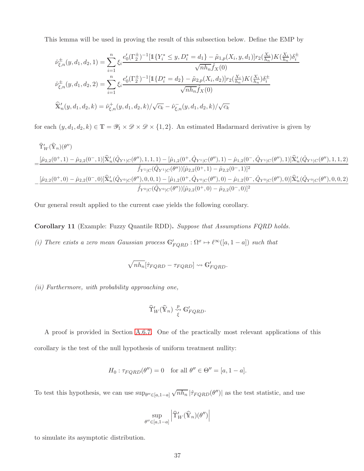This lemma will be used in proving the result of this subsection below. Define the EMP by

$$
\hat{\nu}_{\xi,n}^{\pm}(y,d_1,d_2,1) = \sum_{i=1}^{n} \xi_i \frac{e'_0(\Gamma_2^{\pm})^{-1} [\mathbb{1}\{Y_i^* \leq y, D_i^* = d_1\} - \tilde{\mu}_{1,p}(X_i, y, d_1)] r_2(\frac{X_i}{h_n}) K(\frac{X_i}{h_n}) \delta_i^{\pm} \sqrt{n h_n} \hat{f}_X(0)}
$$
\n
$$
\hat{\nu}_{\xi,n}^{\pm}(y,d_1,d_2,2) = \sum_{i=1}^{n} \xi_i \frac{e'_0(\Gamma_2^{\pm})^{-1} [\mathbb{1}\{D_i^* = d_2\} - \tilde{\mu}_{2,p}(X_i, d_2)] r_2(\frac{X_i}{h_n}) K(\frac{X_i}{h_n}) \delta_i^{\pm} \sqrt{n h_n} \hat{f}_X(0)}
$$
\n
$$
\widehat{X}'_n(y,d_1,d_2,k) = \hat{\nu}_{\xi,n}^+(y,d_1,d_2,k) / \sqrt{c_k} - \hat{\nu}_{\xi,n}^-(y,d_1,d_2,k) / \sqrt{c_k}
$$

for each  $(y, d_1, d_2, k) \in \mathbb{T} = \mathscr{Y}_1 \times \mathscr{D} \times \mathscr{D} \times \{1, 2\}$ . An estimated Hadarmard derivative is given by

$$
\begin{aligned} &\widehat{\Upsilon}'_{W}(\widehat{\mathbb{Y}}_{n})(\theta'') \\ =&\frac{[\hat{\mu}_{2,2}(0^{+},1)-\hat{\mu}_{2,2}(0^{-},1)]\widehat{\mathbb{X}}'_{n}(\hat{Q}_{Y^{1}|C}(\theta''),1,1,1)-[\hat{\mu}_{1,2}(0^{+},\hat{Q}_{Y^{1}|C}(\theta''),1)-\hat{\mu}_{1,2}(0^{-},\hat{Q}_{Y^{1}|C}(\theta''),1)]\widehat{\mathbb{X}}'_{n}(\hat{Q}_{Y^{1}|C}(\theta''),1,1,2)}{\hat{f}_{Y^{1}|C}(\hat{Q}_{Y^{1}|C}(\theta''))[\hat{\mu}_{2,2}(0^{+},1)-\hat{\mu}_{2,2}(0^{-},1)]^{2}}\\ &-\frac{[\hat{\mu}_{2,2}(0^{+},0)-\hat{\mu}_{2,2}(0^{-},0)]\widehat{\mathbb{X}}'_{n}(\hat{Q}_{Y^{0}|C}(\theta''),0,0,1)-[\hat{\mu}_{1,2}(0^{+},\hat{Q}_{Y^{0}|C}(\theta''),0)-\hat{\mu}_{1,2}(0^{-},\hat{Q}_{Y^{0}|C}(\theta''),0)]\widehat{\mathbb{X}}'_{n}(\hat{Q}_{Y^{0}|C}(\theta''),0,0,2)}{\hat{f}_{Y^{0}|C}(\hat{Q}_{Y^{0}|C}(\theta''))[\hat{\mu}_{2,2}(0^{+},0)-\hat{\mu}_{2,2}(0^{-},0)]^{2}} \end{aligned}
$$

Our general result applied to the current case yields the following corollary.

Corollary 11 (Example: Fuzzy Quantile RDD). Suppose that Assumptions FQRD holds.

(i) There exists a zero mean Gaussian process  $\mathbb{G}'_{FQRD} : \Omega^x \to \ell^{\infty}([a,1-a])$  such that

$$
\sqrt{nh_n}[\hat{\tau}_{FQRD} - \tau_{FQRD}] \leadsto \mathbb{G}'_{FQRD}.
$$

(ii) Furthermore, with probability approaching one,

$$
\widehat{\Upsilon}'_W(\widehat{\mathbb{Y}}_n) \overset{p}{\underset{\xi}{\leadsto}} \mathbb{G}'_{FQRD}.
$$

A proof is provided in Section [A.6.7.](#page-78-0) One of the practically most relevant applications of this corollary is the test of the null hypothesis of uniform treatment nullity:

$$
H_0: \tau_{FQRD}(\theta'') = 0 \quad \text{for all } \theta'' \in \Theta'' = [a, 1 - a].
$$

To test this hypothesis, we can use  $\sup_{\theta'' \in [a, 1-a]}$  $\sqrt{nh_n}$  | $\hat{\tau}_{FQRD}(\theta'')$ | as the test statistic, and use

$$
\sup_{\theta'' \in [a, 1-a]} \left| \hat{\Upsilon}'_W(\widehat{\mathbb{Y}}_n)(\theta'') \right|
$$

to simulate its asymptotic distribution.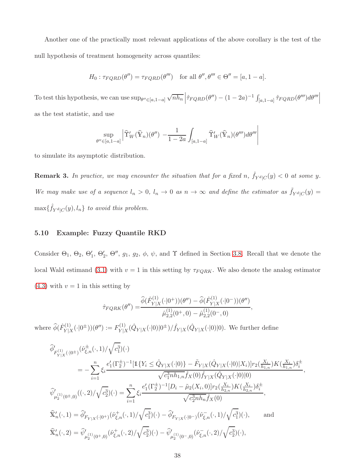Another one of the practically most relevant applications of the above corollary is the test of the null hypothesis of treatment homogeneity across quantiles:

$$
H_0: \tau_{FQRD}(\theta'') = \tau_{FQRD}(\theta''') \quad \text{for all } \theta'', \theta''' \in \Theta'' = [a, 1 - a].
$$

To test this hypothesis, we can use  $\sup_{\theta'' \in [a, 1-a]}$  $\sqrt{nh_n} \left| \hat{\tau}_{FQRD}(\theta'') - (1 - 2a)^{-1} \int \right|$  $\left. [\bar{a},\bar{1}-\bar{a}]\right. \hat{\tau}_{FQRD}(\theta^{\prime\prime\prime})d\theta^{\prime\prime\prime}\right|_{\mathcal{L}^{2}}$ as the test statistic, and use

$$
\sup_{\theta'' \in [a,1-a]} \left| \widehat{\Upsilon}'_W(\widehat{\mathbb{Y}}_n)(\theta'') - \frac{1}{1-2a} \int_{[a,1-a]} \widehat{\Upsilon}'_W(\widehat{\mathbb{Y}}_n)(\theta''') d\theta''' \right|
$$

to simulate its asymptotic distribution.

**Remark 3.** In practice, we may encounter the situation that for a fixed n,  $\hat{f}_{Y^d|C}(y) < 0$  at some y. We may make use of a sequence  $l_n > 0$ ,  $l_n \to 0$  as  $n \to \infty$  and define the estimator as  $\tilde{f}_{Y^d|C}(y) =$  $\max{\{\hat{f}_{Y^d|C}(y), l_n\}}$  to avoid this problem.

#### <span id="page-37-0"></span>5.10 Example: Fuzzy Quantile RKD

Consider  $\Theta_1$ ,  $\Theta_2$ ,  $\Theta'_1$ ,  $\Theta'_2$ ,  $\Theta''$ ,  $g_1$ ,  $g_2$ ,  $\phi$ ,  $\psi$ , and  $\Upsilon$  defined in Section [3.8.](#page-9-0) Recall that we denote the local Wald estimand [\(3.1\)](#page-6-0) with  $v = 1$  in this setting by  $\tau_{FQRK}$ . We also denote the analog estimator  $(4.3)$  with  $v = 1$  in this setting by

$$
\hat{\tau}_{FQRK}(\theta'') = \frac{\widehat{\phi}(\hat{F}_{Y|X}^{(1)}(\cdot|0^{+}))( \theta'') - \widehat{\phi}(\hat{F}_{Y|X}^{(1)}(\cdot|0^{-}))( \theta'')}{\widehat{\mu}_{2,2}^{(1)}(0^{+},0) - \widehat{\mu}_{2,2}^{(1)}(0^{-},0)},
$$

where  $\widehat{\phi}(\hat{F}_{Y|Z}^{(1)}$  $Y|X^{(1)}(0^{\pm}))(0'') := F_{Y|X}^{(1)}$  $\hat{V}_{Y|X}^{(1)}(\hat{Q}_{Y|X}(\cdot|0)|0^{\pm})/\hat{f}_{Y|X}(\hat{Q}_{Y|X}(\cdot|0)|0)$ . We further define

$$
\begin{split} &\widehat{\phi}_{F_{Y|X}^{(1)}(\cdot|0^{\pm})}^{\prime}(\hat{\nu}_{\xi,n}^{\pm}(\cdot,1)/\sqrt{c_{1}^{3}})(\cdot) \\ &=-\sum_{i=1}^{n}\xi_{i}\frac{e'_{1}(\Gamma_{2}^{\pm})^{-1}[\mathbb{1}\{Y_{i}\leq \hat{Q}_{Y|X}(\cdot|0)\}-\tilde{F}_{Y|X}(\hat{Q}_{Y|X}(\cdot|0)|X_{i})]r_{2}(\frac{X_{i}}{h_{1,n}})K(\frac{X_{i}}{h_{1,n}})\delta_{i}^{\pm}}{\sqrt{c_{1}^{3}nh_{1,n}}\hat{f}_{X}(0)\hat{f}_{Y|X}(\hat{Q}_{Y|X}(\cdot|0)|0)},\\ &\widehat{\psi}_{\mu_{2}^{(1)}(0^{\pm},0)}^{\prime}((\cdot,2)/\sqrt{c_{2}^{3}})(\cdot)=\sum_{i=1}^{n}\xi_{i}\frac{e'_{1}(\Gamma_{2}^{\pm})^{-1}[D_{i}-\tilde{\mu}_{2}(X_{i},0)]r_{2}(\frac{X_{i}}{h_{2,n}})K(\frac{X_{i}}{h_{2,n}})\delta_{i}^{\pm}}{\sqrt{c_{2}^{3}nh_{n}}\hat{f}_{X}(0)},\\ &\widehat{\mathbb{X}}'_{n}(\cdot,1)=\widehat{\phi}_{F_{Y|X}(\cdot|0^{+})}^{\prime}(\hat{\nu}_{\xi,n}^{\pm}(\cdot,1)/\sqrt{c_{1}^{3}})(\cdot)-\widehat{\phi}_{F_{Y|X}(\cdot|0^{-})}^{\prime}(\hat{\nu}_{\xi,n}^{\pm}(\cdot,1)/\sqrt{c_{1}^{3}})(\cdot),\end{split} \qquad \text{and}
$$
  

$$
\widehat{\mathbb{X}}'_{n}(\cdot,2)=\widehat{\psi}'_{\mu_{2}^{(1)}(0^{+},0)}(\hat{\nu}_{\xi,n}^{\pm}(\cdot,2)/\sqrt{c_{2}^{3}})(\cdot)-\widehat{\psi}'_{\mu_{2}^{(1)}(0^{-},0)}(\hat{\nu}_{\xi,n}^{\pm}(\cdot,2)/\sqrt{c_{2}^{3}})(\cdot),\qquad \text{and}
$$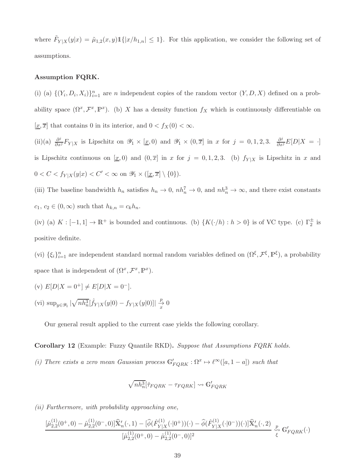where  $\tilde{F}_{Y|X}(y|x) = \tilde{\mu}_{1,2}(x,y) \mathbb{1}\{|x/h_{1,n}| \leq 1\}$ . For this application, we consider the following set of assumptions.

## Assumption FQRK.

(i) (a)  $\{(Y_i, D_i, X_i)\}_{i=1}^n$  are *n* independent copies of the random vector  $(Y, D, X)$  defined on a probability space  $(\Omega^x, \mathcal{F}^x, \mathbb{P}^x)$ . (b) X has a density function  $f_X$  which is continuously differentiable on  $[\underline{x}, \overline{x}]$  that contains 0 in its interior, and  $0 < f_X(0) < \infty$ .

(ii)(a)  $\frac{\partial^j}{\partial x^j} F_{Y|X}$  is Lipschitz on  $\mathscr{Y}_1 \times [\underline{x}, 0)$  and  $\mathscr{Y}_1 \times (0, \overline{x}]$  in x for  $j = 0, 1, 2, 3$ .  $\frac{\partial^j}{\partial x^j} E[D|X = \cdot]$ is Lipschitz continuous on  $[x, 0)$  and  $(0, \overline{x}]$  in x for  $j = 0, 1, 2, 3$ . (b)  $f_{Y|X}$  is Lipschitz in x and  $0 < C < f_{Y|X}(y|x) < C' < \infty$  on  $\mathscr{Y}_1 \times (\underline{x}, \overline{x}) \setminus \{0\}).$ 

(iii) The baseline bandwidth  $h_n$  satisfies  $h_n \to 0$ ,  $nh_n^7 \to 0$ , and  $nh_n^3 \to \infty$ , and there exist constants  $c_1, c_2 \in (0, \infty)$  such that  $h_{k,n} = c_k h_n$ .

(iv) (a)  $K: [-1,1] \to \mathbb{R}^+$  is bounded and continuous. (b)  $\{K(\cdot/h) : h > 0\}$  is of VC type. (c)  $\Gamma_2^{\pm}$  is positive definite.

(vi)  $\{\xi_i\}_{i=1}^n$  are independent standard normal random variables defined on  $(\Omega^{\xi}, \mathcal{F}^{\xi}, \mathbb{P}^{\xi})$ , a probability space that is independent of  $(\Omega^x, \mathcal{F}^x, \mathbb{P}^x)$ .

(v) 
$$
E[D|X = 0^+] \neq E[D|X = 0^-]
$$
.  
(vi)  $\sup_{y \in \mathscr{Y}_1} |\sqrt{nh_n^3}[\hat{f}_{Y|X}(y|0) - f_{Y|X}(y|0)]| \frac{p}{x} \neq 0$ 

Our general result applied to the current case yields the following corollary.

Corollary 12 (Example: Fuzzy Quantile RKD). Suppose that Assumptions FQRK holds.

(i) There exists a zero mean Gaussian process  $\mathbb{G}'_{FQRK} : \Omega^x \to \ell^{\infty}([a,1-a])$  such that

$$
\sqrt{nh_n^3}[\hat{\tau}_{FQRK} - \tau_{FQRK}] \leadsto \mathbb{G}'_{FQRK}
$$

(ii) Furthermore, with probability approaching one,

$$
\frac{[\hat{\mu}_{2,2}^{(1)}(0^{+},0)-\hat{\mu}_{2,2}^{(1)}(0^{-},0)]\widehat{\mathbb{X}}'_n(\cdot,1)-[\widehat{\phi}(\hat{F}_{Y|X}^{(1)}(\cdot|0^{+}))(\cdot)-\widehat{\phi}(\hat{F}_{Y|X}^{(1)}(\cdot|0^{-}))(\cdot)]\widehat{\mathbb{X}}'_n(\cdot,2)}{[\hat{\mu}_{2,2}^{(1)}(0^{+},0)-\hat{\mu}_{2,2}^{(1)}(0^{-},0)]^2}\overset{p}{\underset{\xi}{\longleftrightarrow}}\mathbb{G}'_{FQRK}(\cdot)
$$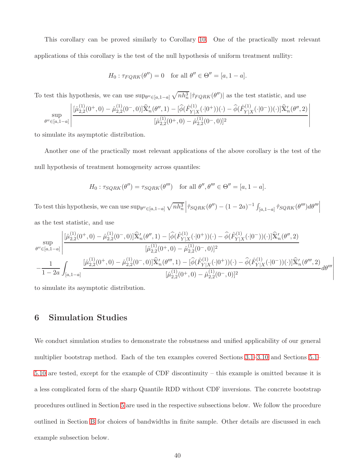This corollary can be proved similarly to Corollary [10.](#page-33-0) One of the practically most relevant applications of this corollary is the test of the null hypothesis of uniform treatment nullity:

$$
H_0: \tau_{FQRK}(\theta'') = 0 \quad \text{for all } \theta'' \in \Theta'' = [a, 1 - a].
$$

To test this hypothesis, we can use  $\sup_{\theta'' \in [a,1-a]} \sqrt{nh_n^3} |\hat{\tau}_{FQRK}(\theta'')|$  as the test statistic, and use

$$
\sup_{\theta'' \in [a,1-a]} \left| \frac{[\hat{\mu}_{2,2}^{(1)}(0^+,0) - \hat{\mu}_{2,2}^{(1)}(0^-,0)] \widehat{\mathbf{X}}_n'(\theta'',1) - [\widehat{\phi}(\hat{F}_{Y|X}^{(1)}(\cdot|0^+))(\cdot) - \widehat{\phi}(\hat{F}_{Y|X}^{(1)}(\cdot|0^-))(\cdot)] \widehat{\mathbf{X}}_n'(\theta'',2)}{[\hat{\mu}_{2,2}^{(1)}(0^+,0) - \hat{\mu}_{2,2}^{(1)}(0^-,0)]^2} \right|
$$

to simulate its asymptotic distribution.

Another one of the practically most relevant applications of the above corollary is the test of the null hypothesis of treatment homogeneity across quantiles:

$$
H_0: \tau_{SQRK}(\theta'') = \tau_{SQRK}(\theta''') \quad \text{for all } \theta'', \theta''' \in \Theta'' = [a, 1 - a].
$$

To test this hypothesis, we can use  $\sup_{\theta'' \in [a,1-a]} \sqrt{nh_n^3}$  $\left| \hat{\tau}_{SQRK}(\theta'') - (1 - 2a)^{-1} \int \right|$  $\left. [\bar{a},\bar{1}-\bar{a}]\right. \hat{\tau}_{SQRK}(\theta^{\prime\prime\prime})d\theta^{\prime\prime\prime}\right|_{\mathcal{L}^{2}}$ as the test statistic, and use

$$
\sup_{\theta'' \in [a,1-a]} \left| \frac{[\hat{\mu}_{2,2}^{(1)}(0^+,0)-\hat{\mu}_{2,2}^{(1)}(0^-,0)]\widehat{\mathbf{X}}_n'(\theta'',1)-[\widehat{\phi}(\hat{F}_{Y|X}^{(1)}(\cdot|0^+))(\cdot)-\widehat{\phi}(\hat{F}_{Y|X}^{(1)}(\cdot|0^-))(\cdot)]\widehat{\mathbf{X}}_n'(\theta'',2)}{[\hat{\mu}_{2,2}^{(1)}(0^+,0)-\hat{\mu}_{2,2}^{(1)}(0^-,0)]^2} \right| \\ -\frac{1}{1-2a} \int_{[a,1-a]} \frac{[\hat{\mu}_{2,2}^{(1)}(0^+,0)-\hat{\mu}_{2,2}^{(1)}(0^-,0)]\widehat{\mathbf{X}}_n'(\theta'',1)-[\widehat{\phi}(\hat{F}_{Y|X}^{(1)}(\cdot|0^+))(\cdot)-\widehat{\phi}(\hat{F}_{Y|X}^{(1)}(\cdot|0^-))(\cdot)]\widehat{\mathbf{X}}_n'(\theta'',2)}{[\hat{\mu}_{2,2}^{(1)}(0^+,0)-\hat{\mu}_{2,2}^{(1)}(0^-,0)]^2}d\theta''' \right|
$$

to simulate its asymptotic distribution.

# 6 Simulation Studies

We conduct simulation studies to demonstrate the robustness and unified applicability of our general multiplier bootstrap method. Each of the ten examples covered Sections [3.1–](#page-6-1)[3.10](#page-10-0) and Sections [5.1–](#page-18-0) [5.10](#page-37-0) are tested, except for the example of CDF discontinuity – this example is omitted because it is a less complicated form of the sharp Quantile RDD without CDF inversions. The concrete bootstrap procedures outlined in Section [5](#page-18-1) are used in the respective subsections below. We follow the procedure outlined in Section [B](#page-79-0) for choices of bandwidths in finite sample. Other details are discussed in each example subsection below.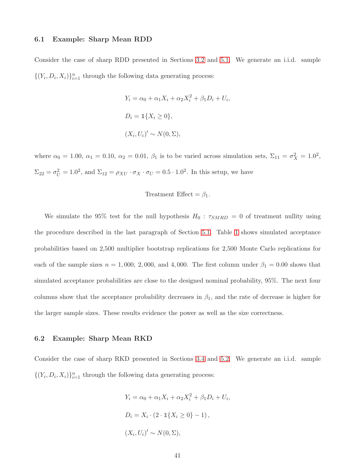#### 6.1 Example: Sharp Mean RDD

Consider the case of sharp RDD presented in Sections [3.2](#page-6-2) and [5.1.](#page-18-0) We generate an i.i.d. sample  $\{(Y_i, D_i, X_i)\}_{i=1}^n$  through the following data generating process:

$$
Y_i = \alpha_0 + \alpha_1 X_i + \alpha_2 X_i^2 + \beta_1 D_i + U_i
$$
  

$$
D_i = \mathbb{1}\{X_i \ge 0\},
$$
  

$$
(X_i, U_i)' \sim N(0, \Sigma),
$$

,

where  $\alpha_0 = 1.00, \ \alpha_1 = 0.10, \ \alpha_2 = 0.01, \ \beta_1$  is to be varied across simulation sets,  $\Sigma_{11} = \sigma_X^2 = 1.0^2$ ,  $\Sigma_{22} = \sigma_U^2 = 1.0^2$ , and  $\Sigma_{12} = \rho_{XU} \cdot \sigma_X \cdot \sigma_U = 0.5 \cdot 1.0^2$ . In this setup, we have

$$
Treatment Effect = \beta_1.
$$

We simulate the 95% test for the null hypothesis  $H_0$ :  $\tau_{SMRD} = 0$  of treatment nullity using the procedure described in the last paragraph of Section [5.1.](#page-18-0) Table [1](#page-88-0) shows simulated acceptance probabilities based on 2,500 multiplier bootstrap replications for 2,500 Monte Carlo replications for each of the sample sizes  $n = 1,000, 2,000,$  and 4,000. The first column under  $\beta_1 = 0.00$  shows that simulated acceptance probabilities are close to the designed nominal probability, 95%. The next four columns show that the acceptance probability decreases in  $\beta_1$ , and the rate of decrease is higher for the larger sample sizes. These results evidence the power as well as the size correctness.

### 6.2 Example: Sharp Mean RKD

Consider the case of sharp RKD presented in Sections [3.4](#page-7-0) and [5.2.](#page-20-0) We generate an i.i.d. sample  $\{(Y_i, D_i, X_i)\}_{i=1}^n$  through the following data generating process:

$$
Y_i = \alpha_0 + \alpha_1 X_i + \alpha_2 X_i^2 + \beta_1 D_i + U_i,
$$
  
\n
$$
D_i = X_i \cdot (2 \cdot \mathbb{1}\{X_i \ge 0\} - 1),
$$
  
\n
$$
(X_i, U_i)' \sim N(0, \Sigma),
$$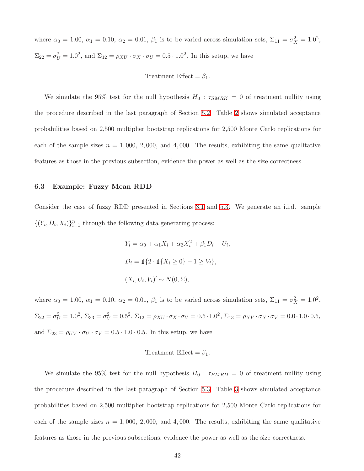where  $\alpha_0 = 1.00, \ \alpha_1 = 0.10, \ \alpha_2 = 0.01, \ \beta_1$  is to be varied across simulation sets,  $\Sigma_{11} = \sigma_X^2 = 1.0^2$ ,  $\Sigma_{22} = \sigma_U^2 = 1.0^2$ , and  $\Sigma_{12} = \rho_{XU} \cdot \sigma_X \cdot \sigma_U = 0.5 \cdot 1.0^2$ . In this setup, we have

$$
Treatment Effect = \beta_1.
$$

We simulate the 95% test for the null hypothesis  $H_0$ :  $\tau_{SMRK} = 0$  of treatment nullity using the procedure described in the last paragraph of Section [5.2.](#page-20-0) Table [2](#page-88-1) shows simulated acceptance probabilities based on 2,500 multiplier bootstrap replications for 2,500 Monte Carlo replications for each of the sample sizes  $n = 1,000, 2,000,$  and 4,000. The results, exhibiting the same qualitative features as those in the previous subsection, evidence the power as well as the size correctness.

### 6.3 Example: Fuzzy Mean RDD

Consider the case of fuzzy RDD presented in Sections [3.1](#page-6-1) and [5.3.](#page-21-0) We generate an i.i.d. sample  $\{(Y_i, D_i, X_i)\}_{i=1}^n$  through the following data generating process:

> $Y_i = \alpha_0 + \alpha_1 X_i + \alpha_2 X_i^2 + \beta_1 D_i + U_i,$  $D_i = \mathbb{1}\{2 \cdot \mathbb{1}\{X_i \geq 0\} - 1 \geq V_i\},\$  $(X_i, U_i, V_i)' \sim N(0, \Sigma),$

where  $\alpha_0 = 1.00, \ \alpha_1 = 0.10, \ \alpha_2 = 0.01, \ \beta_1$  is to be varied across simulation sets,  $\Sigma_{11} = \sigma_X^2 = 1.0^2$ ,  $\Sigma_{22} = \sigma_U^2 = 1.0^2$ ,  $\Sigma_{33} = \sigma_V^2 = 0.5^2$ ,  $\Sigma_{12} = \rho_{XU} \cdot \sigma_X \cdot \sigma_U = 0.5 \cdot 1.0^2$ ,  $\Sigma_{13} = \rho_{XV} \cdot \sigma_X \cdot \sigma_V = 0.0 \cdot 1.0 \cdot 0.5$ , and  $\Sigma_{23} = \rho_{UV} \cdot \sigma_V - \sigma_V = 0.5 \cdot 1.0 \cdot 0.5$ . In this setup, we have

## Treatment Effect =  $\beta_1$ .

We simulate the 95% test for the null hypothesis  $H_0$ :  $\tau_{FMRD} = 0$  of treatment nullity using the procedure described in the last paragraph of Section [5.3.](#page-21-0) Table [3](#page-89-0) shows simulated acceptance probabilities based on 2,500 multiplier bootstrap replications for 2,500 Monte Carlo replications for each of the sample sizes  $n = 1,000, 2,000,$  and 4,000. The results, exhibiting the same qualitative features as those in the previous subsections, evidence the power as well as the size correctness.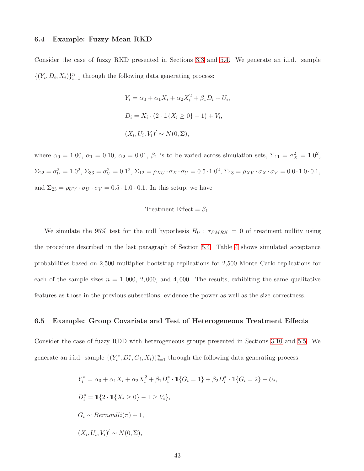#### 6.4 Example: Fuzzy Mean RKD

Consider the case of fuzzy RKD presented in Sections [3.3](#page-7-1) and [5.4.](#page-23-0) We generate an i.i.d. sample  $\{(Y_i, D_i, X_i)\}_{i=1}^n$  through the following data generating process:

$$
Y_i = \alpha_0 + \alpha_1 X_i + \alpha_2 X_i^2 + \beta_1 D_i + U_i
$$
  

$$
D_i = X_i \cdot (2 \cdot \mathbb{1}\{X_i \ge 0\} - 1) + V_i,
$$
  

$$
(X_i, U_i, V_i)' \sim N(0, \Sigma),
$$

,

where  $\alpha_0 = 1.00, \ \alpha_1 = 0.10, \ \alpha_2 = 0.01, \ \beta_1$  is to be varied across simulation sets,  $\Sigma_{11} = \sigma_X^2 = 1.0^2$ ,  $\Sigma_{22} = \sigma_U^2 = 1.0^2$ ,  $\Sigma_{33} = \sigma_V^2 = 0.1^2$ ,  $\Sigma_{12} = \rho_{XU} \cdot \sigma_X \cdot \sigma_U = 0.5 \cdot 1.0^2$ ,  $\Sigma_{13} = \rho_{XV} \cdot \sigma_X \cdot \sigma_V = 0.0 \cdot 1.0 \cdot 0.1$ , and  $\Sigma_{23} = \rho_{UV} \cdot \sigma_V - \sigma_V = 0.5 \cdot 1.0 \cdot 0.1$ . In this setup, we have

$$
Treatment Effect = \beta_1.
$$

We simulate the 95% test for the null hypothesis  $H_0$ :  $\tau_{FMRK} = 0$  of treatment nullity using the procedure described in the last paragraph of Section [5.4.](#page-23-0) Table [4](#page-89-1) shows simulated acceptance probabilities based on 2,500 multiplier bootstrap replications for 2,500 Monte Carlo replications for each of the sample sizes  $n = 1,000, 2,000,$  and 4,000. The results, exhibiting the same qualitative features as those in the previous subsections, evidence the power as well as the size correctness.

#### 6.5 Example: Group Covariate and Test of Heterogeneous Treatment Effects

Consider the case of fuzzy RDD with heterogeneous groups presented in Sections [3.10](#page-10-0) and [5.5.](#page-25-0) We generate an i.i.d. sample  $\{(Y_i^*, D_i^*, G_i, X_i)\}_{i=1}^n$  through the following data generating process:

$$
Y_i^* = \alpha_0 + \alpha_1 X_i + \alpha_2 X_i^2 + \beta_1 D_i^* \cdot \mathbb{1}\{G_i = 1\} + \beta_2 D_i^* \cdot \mathbb{1}\{G_i = 2\} + U_i,
$$
  
\n
$$
D_i^* = \mathbb{1}\{2 \cdot \mathbb{1}\{X_i \ge 0\} - 1 \ge V_i\},
$$
  
\n
$$
G_i \sim Bernoulli(\pi) + 1,
$$
  
\n
$$
(X_i, U_i, V_i)' \sim N(0, \Sigma),
$$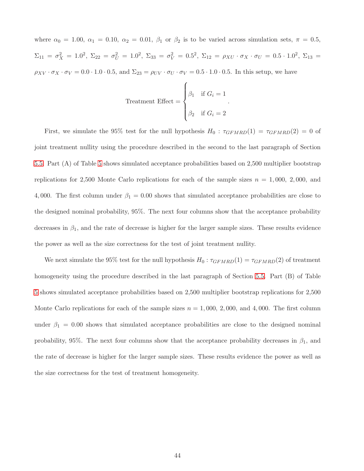where  $\alpha_0 = 1.00, \alpha_1 = 0.10, \alpha_2 = 0.01, \beta_1$  or  $\beta_2$  is to be varied across simulation sets,  $\pi = 0.5$ ,  $\Sigma_{11} = \sigma_X^2 = 1.0^2$ ,  $\Sigma_{22} = \sigma_U^2 = 1.0^2$ ,  $\Sigma_{33} = \sigma_V^2 = 0.5^2$ ,  $\Sigma_{12} = \rho_{XU} \cdot \sigma_X \cdot \sigma_U = 0.5 \cdot 1.0^2$ ,  $\Sigma_{13} =$  $\rho_{XV} \cdot \sigma_X \cdot \sigma_V = 0.0 \cdot 1.0 \cdot 0.5$ , and  $\Sigma_{23} = \rho_{UV} \cdot \sigma_V \cdot \sigma_V = 0.5 \cdot 1.0 \cdot 0.5$ . In this setup, we have

$$
\text{Treatment Effect} = \begin{cases} \beta_1 & \text{if } G_i = 1 \\ \beta_2 & \text{if } G_i = 2 \end{cases}.
$$

First, we simulate the 95% test for the null hypothesis  $H_0$ :  $\tau_{GFMRD}(1) = \tau_{GFMRD}(2) = 0$  of joint treatment nullity using the procedure described in the second to the last paragraph of Section [5.5.](#page-25-0) Part (A) of Table [5](#page-90-0) shows simulated acceptance probabilities based on 2,500 multiplier bootstrap replications for 2,500 Monte Carlo replications for each of the sample sizes  $n = 1,000, 2,000,$  and 4,000. The first column under  $\beta_1 = 0.00$  shows that simulated acceptance probabilities are close to the designed nominal probability, 95%. The next four columns show that the acceptance probability decreases in  $\beta_1$ , and the rate of decrease is higher for the larger sample sizes. These results evidence the power as well as the size correctness for the test of joint treatment nullity.

We next simulate the 95% test for the null hypothesis  $H_0: \tau_{GFMRD}(1) = \tau_{GFMRD}(2)$  of treatment homogeneity using the procedure described in the last paragraph of Section [5.5.](#page-25-0) Part (B) of Table [5](#page-90-0) shows simulated acceptance probabilities based on 2,500 multiplier bootstrap replications for 2,500 Monte Carlo replications for each of the sample sizes  $n = 1,000, 2,000,$  and 4,000. The first column under  $\beta_1 = 0.00$  shows that simulated acceptance probabilities are close to the designed nominal probability, 95%. The next four columns show that the acceptance probability decreases in  $\beta_1$ , and the rate of decrease is higher for the larger sample sizes. These results evidence the power as well as the size correctness for the test of treatment homogeneity.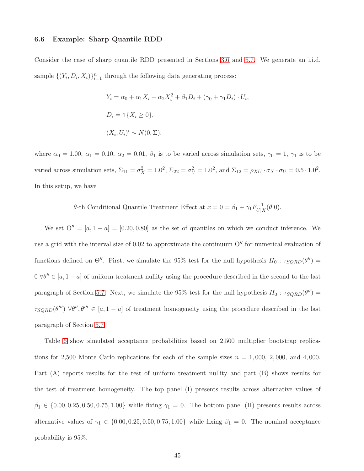#### 6.6 Example: Sharp Quantile RDD

Consider the case of sharp quantile RDD presented in Sections [3.6](#page-8-0) and [5.7.](#page-29-0) We generate an i.i.d. sample  $\{(Y_i, D_i, X_i)\}_{i=1}^n$  through the following data generating process:

$$
Y_i = \alpha_0 + \alpha_1 X_i + \alpha_2 X_i^2 + \beta_1 D_i + (\gamma_0 + \gamma_1 D_i) \cdot U_i,
$$
  
\n
$$
D_i = \mathbb{1}\{X_i \ge 0\},
$$
  
\n
$$
(X_i, U_i)' \sim N(0, \Sigma),
$$

where  $\alpha_0 = 1.00, \alpha_1 = 0.10, \alpha_2 = 0.01, \beta_1$  is to be varied across simulation sets,  $\gamma_0 = 1, \gamma_1$  is to be varied across simulation sets,  $\Sigma_{11} = \sigma_X^2 = 1.0^2$ ,  $\Sigma_{22} = \sigma_U^2 = 1.0^2$ , and  $\Sigma_{12} = \rho_{XU} \cdot \sigma_X \cdot \sigma_U = 0.5 \cdot 1.0^2$ . In this setup, we have

> θ-th Conditional Quantile Treatment Effect at  $x = 0 = \beta_1 + \gamma_1 F_{U|2}^{-1}$  $U|_X^{-1}(\theta|0).$

We set  $\Theta'' = [a, 1 - a] = [0.20, 0.80]$  as the set of quantiles on which we conduct inference. We use a grid with the interval size of 0.02 to approximate the continuum  $\Theta''$  for numerical evaluation of functions defined on  $\Theta''$ . First, we simulate the 95% test for the null hypothesis  $H_0$ :  $\tau_{SQRD}(\theta'')$  =  $0 \forall \theta'' \in [a, 1-a]$  of uniform treatment nullity using the procedure described in the second to the last paragraph of Section [5.7.](#page-29-0) Next, we simulate the 95% test for the null hypothesis  $H_0: \tau_{SQRD}(\theta'') =$  $\tau_{SQRD}(\theta''') \ \forall \theta'', \theta''' \in [a, 1-a]$  of treatment homogeneity using the procedure described in the last paragraph of Section [5.7.](#page-29-0)

Table [6](#page-91-0) show simulated acceptance probabilities based on 2,500 multiplier bootstrap replications for 2,500 Monte Carlo replications for each of the sample sizes  $n = 1,000, 2,000,$  and 4,000. Part (A) reports results for the test of uniform treatment nullity and part (B) shows results for the test of treatment homogeneity. The top panel (I) presents results across alternative values of  $\beta_1 \in \{0.00, 0.25, 0.50, 0.75, 1.00\}$  while fixing  $\gamma_1 = 0$ . The bottom panel (II) presents results across alternative values of  $\gamma_1 \in \{0.00, 0.25, 0.50, 0.75, 1.00\}$  while fixing  $\beta_1 = 0$ . The nominal acceptance probability is 95%.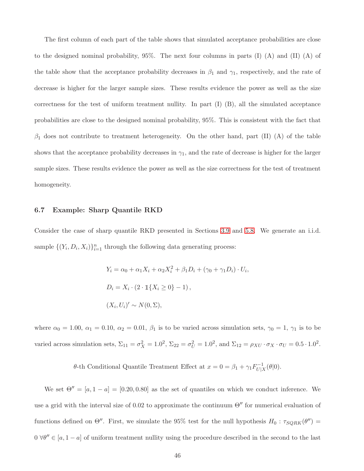The first column of each part of the table shows that simulated acceptance probabilities are close to the designed nominal probability,  $95\%$ . The next four columns in parts (I) (A) and (II) (A) of the table show that the acceptance probability decreases in  $\beta_1$  and  $\gamma_1$ , respectively, and the rate of decrease is higher for the larger sample sizes. These results evidence the power as well as the size correctness for the test of uniform treatment nullity. In part (I) (B), all the simulated acceptance probabilities are close to the designed nominal probability, 95%. This is consistent with the fact that  $\beta_1$  does not contribute to treatment heterogeneity. On the other hand, part (II) (A) of the table shows that the acceptance probability decreases in  $\gamma_1$ , and the rate of decrease is higher for the larger sample sizes. These results evidence the power as well as the size correctness for the test of treatment homogeneity.

#### 6.7 Example: Sharp Quantile RKD

Consider the case of sharp quantile RKD presented in Sections [3.9](#page-10-1) and [5.8.](#page-31-0) We generate an i.i.d. sample  $\{(Y_i, D_i, X_i)\}_{i=1}^n$  through the following data generating process:

$$
Y_i = \alpha_0 + \alpha_1 X_i + \alpha_2 X_i^2 + \beta_1 D_i + (\gamma_0 + \gamma_1 D_i) \cdot U_i,
$$
  
\n
$$
D_i = X_i \cdot (2 \cdot \mathbb{1}\{X_i \ge 0\} - 1),
$$
  
\n
$$
(X_i, U_i)' \sim N(0, \Sigma),
$$

where  $\alpha_0 = 1.00$ ,  $\alpha_1 = 0.10$ ,  $\alpha_2 = 0.01$ ,  $\beta_1$  is to be varied across simulation sets,  $\gamma_0 = 1$ ,  $\gamma_1$  is to be varied across simulation sets,  $\Sigma_{11} = \sigma_X^2 = 1.0^2$ ,  $\Sigma_{22} = \sigma_U^2 = 1.0^2$ , and  $\Sigma_{12} = \rho_{XU} \cdot \sigma_X \cdot \sigma_U = 0.5 \cdot 1.0^2$ .

> θ-th Conditional Quantile Treatment Effect at  $x = 0 = \beta_1 + \gamma_1 F_{U|}^{-1}$  $U|_X^{-1}(\theta|0).$

We set  $\Theta'' = [a, 1 - a] = [0.20, 0.80]$  as the set of quantiles on which we conduct inference. We use a grid with the interval size of 0.02 to approximate the continuum  $\Theta''$  for numerical evaluation of functions defined on  $\Theta''$ . First, we simulate the 95% test for the null hypothesis  $H_0: \tau_{SQRK}(\theta'') =$  $0 \forall \theta'' \in [a, 1-a]$  of uniform treatment nullity using the procedure described in the second to the last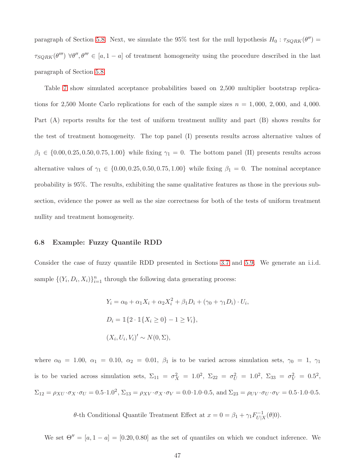paragraph of Section [5.8.](#page-31-0) Next, we simulate the 95% test for the null hypothesis  $H_0: \tau_{SQRK}(\theta'') =$  $\tau_{SQRK}(\theta''') \ \forall \theta'', \theta''' \in [a, 1-a]$  of treatment homogeneity using the procedure described in the last paragraph of Section [5.8.](#page-31-0)

Table [7](#page-92-0) show simulated acceptance probabilities based on 2,500 multiplier bootstrap replications for 2,500 Monte Carlo replications for each of the sample sizes  $n = 1,000, 2,000,$  and 4,000. Part (A) reports results for the test of uniform treatment nullity and part (B) shows results for the test of treatment homogeneity. The top panel (I) presents results across alternative values of  $\beta_1 \in \{0.00, 0.25, 0.50, 0.75, 1.00\}$  while fixing  $\gamma_1 = 0$ . The bottom panel (II) presents results across alternative values of  $\gamma_1 \in \{0.00, 0.25, 0.50, 0.75, 1.00\}$  while fixing  $\beta_1 = 0$ . The nominal acceptance probability is 95%. The results, exhibiting the same qualitative features as those in the previous subsection, evidence the power as well as the size correctness for both of the tests of uniform treatment nullity and treatment homogeneity.

#### 6.8 Example: Fuzzy Quantile RDD

Consider the case of fuzzy quantile RDD presented in Sections [3.7](#page-8-1) and [5.9.](#page-34-0) We generate an i.i.d. sample  $\{(Y_i, D_i, X_i)\}_{i=1}^n$  through the following data generating process:

$$
Y_i = \alpha_0 + \alpha_1 X_i + \alpha_2 X_i^2 + \beta_1 D_i + (\gamma_0 + \gamma_1 D_i) \cdot U_i,
$$
  
\n
$$
D_i = \mathbb{1}\{2 \cdot \mathbb{1}\{X_i \ge 0\} - 1 \ge V_i\},
$$
  
\n
$$
(X_i, U_i, V_i)' \sim N(0, \Sigma),
$$

where  $\alpha_0 = 1.00, \alpha_1 = 0.10, \alpha_2 = 0.01, \beta_1$  is to be varied across simulation sets,  $\gamma_0 = 1, \gamma_1$ is to be varied across simulation sets,  $\Sigma_{11} = \sigma_X^2 = 1.0^2$ ,  $\Sigma_{22} = \sigma_U^2 = 1.0^2$ ,  $\Sigma_{33} = \sigma_V^2 = 0.5^2$ ,  $\Sigma_{12} = \rho_{XU} \cdot \sigma_X \cdot \sigma_U = 0.5 \cdot 1.0^2$ ,  $\Sigma_{13} = \rho_{XV} \cdot \sigma_X \cdot \sigma_V = 0.0 \cdot 1.0 \cdot 0.5$ , and  $\Sigma_{23} = \rho_{UV} \cdot \sigma_U \cdot \sigma_V = 0.5 \cdot 1.0 \cdot 0.5$ .

> θ-th Conditional Quantile Treatment Effect at  $x = 0 = \beta_1 + \gamma_1 F_{U|}^{-1}$  $U|_X^{-1}(\theta|0).$

We set  $\Theta'' = [a, 1 - a] = [0.20, 0.80]$  as the set of quantiles on which we conduct inference. We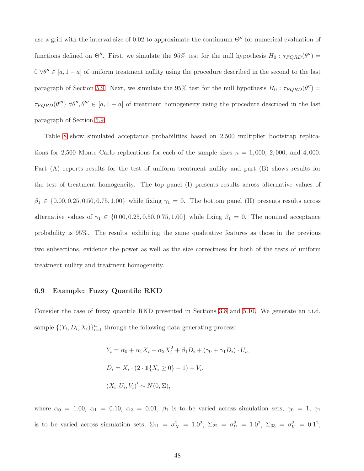use a grid with the interval size of 0.02 to approximate the continuum  $\Theta''$  for numerical evaluation of functions defined on  $\Theta''$ . First, we simulate the 95% test for the null hypothesis  $H_0: \tau_{FQRD}(\theta'') =$  $0 \forall \theta'' \in [a, 1-a]$  of uniform treatment nullity using the procedure described in the second to the last paragraph of Section [5.9.](#page-34-0) Next, we simulate the 95% test for the null hypothesis  $H_0: \tau_{FQRD}(\theta'') =$  $\tau_{FQRD}(\theta'') \ \forall \theta'', \theta''' \in [a, 1-a]$  of treatment homogeneity using the procedure described in the last paragraph of Section [5.9.](#page-34-0)

Table [8](#page-93-0) show simulated acceptance probabilities based on 2,500 multiplier bootstrap replications for 2,500 Monte Carlo replications for each of the sample sizes  $n = 1,000, 2,000,$  and 4,000. Part (A) reports results for the test of uniform treatment nullity and part (B) shows results for the test of treatment homogeneity. The top panel (I) presents results across alternative values of  $\beta_1 \in \{0.00, 0.25, 0.50, 0.75, 1.00\}$  while fixing  $\gamma_1 = 0$ . The bottom panel (II) presents results across alternative values of  $\gamma_1 \in \{0.00, 0.25, 0.50, 0.75, 1.00\}$  while fixing  $\beta_1 = 0$ . The nominal acceptance probability is 95%. The results, exhibiting the same qualitative features as those in the previous two subsections, evidence the power as well as the size correctness for both of the tests of uniform treatment nullity and treatment homogeneity.

#### 6.9 Example: Fuzzy Quantile RKD

Consider the case of fuzzy quantile RKD presented in Sections [3.8](#page-9-0) and [5.10.](#page-37-0) We generate an i.i.d. sample  $\{(Y_i, D_i, X_i)\}_{i=1}^n$  through the following data generating process:

$$
Y_i = \alpha_0 + \alpha_1 X_i + \alpha_2 X_i^2 + \beta_1 D_i + (\gamma_0 + \gamma_1 D_i) \cdot U_i,
$$
  
\n
$$
D_i = X_i \cdot (2 \cdot \mathbb{1}\{X_i \ge 0\} - 1) + V_i,
$$
  
\n
$$
(X_i, U_i, V_i)' \sim N(0, \Sigma),
$$

where  $\alpha_0 = 1.00, \alpha_1 = 0.10, \alpha_2 = 0.01, \beta_1$  is to be varied across simulation sets,  $\gamma_0 = 1, \gamma_1$ is to be varied across simulation sets,  $\Sigma_{11} = \sigma_X^2 = 1.0^2$ ,  $\Sigma_{22} = \sigma_U^2 = 1.0^2$ ,  $\Sigma_{33} = \sigma_V^2 = 0.1^2$ ,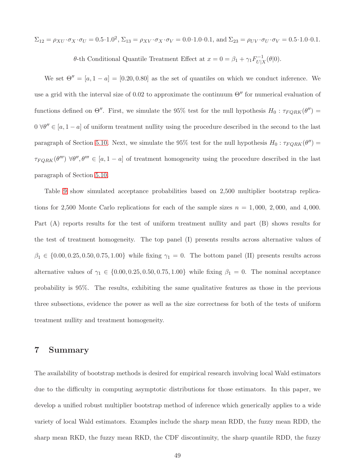$\Sigma_{12} = \rho_{XU} \cdot \sigma_X \cdot \sigma_U = 0.5 \cdot 1.0^2$ ,  $\Sigma_{13} = \rho_{XV} \cdot \sigma_X \cdot \sigma_V = 0.0 \cdot 1.0 \cdot 0.1$ , and  $\Sigma_{23} = \rho_{UV} \cdot \sigma_V \cdot \sigma_V = 0.5 \cdot 1.0 \cdot 0.1$ .

θ-th Conditional Quantile Treatment Effect at  $x = 0 = \beta_1 + \gamma_1 F_{U|}^{-1}$  $U|_X^{-1}(\theta|0).$ 

We set  $\Theta'' = [a, 1 - a] = [0.20, 0.80]$  as the set of quantiles on which we conduct inference. We use a grid with the interval size of 0.02 to approximate the continuum  $\Theta''$  for numerical evaluation of functions defined on  $\Theta''$ . First, we simulate the 95% test for the null hypothesis  $H_0: \tau_{FQRK}(\theta'') =$  $0 \forall \theta'' \in [a, 1-a]$  of uniform treatment nullity using the procedure described in the second to the last paragraph of Section [5.10.](#page-37-0) Next, we simulate the 95% test for the null hypothesis  $H_0: \tau_{FQRK}(\theta'') =$  $\tau_{FQRK}(\theta'') \ \forall \theta'', \theta''' \in [a, 1-a]$  of treatment homogeneity using the procedure described in the last paragraph of Section [5.10.](#page-37-0)

Table [9](#page-94-0) show simulated acceptance probabilities based on 2,500 multiplier bootstrap replications for 2,500 Monte Carlo replications for each of the sample sizes  $n = 1,000, 2,000,$  and 4,000. Part (A) reports results for the test of uniform treatment nullity and part (B) shows results for the test of treatment homogeneity. The top panel (I) presents results across alternative values of  $\beta_1 \in \{0.00, 0.25, 0.50, 0.75, 1.00\}$  while fixing  $\gamma_1 = 0$ . The bottom panel (II) presents results across alternative values of  $\gamma_1 \in \{0.00, 0.25, 0.50, 0.75, 1.00\}$  while fixing  $\beta_1 = 0$ . The nominal acceptance probability is 95%. The results, exhibiting the same qualitative features as those in the previous three subsections, evidence the power as well as the size correctness for both of the tests of uniform treatment nullity and treatment homogeneity.

# 7 Summary

The availability of bootstrap methods is desired for empirical research involving local Wald estimators due to the difficulty in computing asymptotic distributions for those estimators. In this paper, we develop a unified robust multiplier bootstrap method of inference which generically applies to a wide variety of local Wald estimators. Examples include the sharp mean RDD, the fuzzy mean RDD, the sharp mean RKD, the fuzzy mean RKD, the CDF discontinuity, the sharp quantile RDD, the fuzzy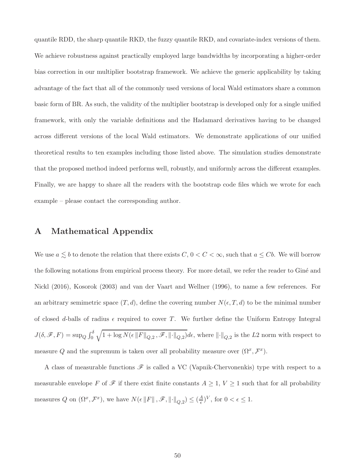quantile RDD, the sharp quantile RKD, the fuzzy quantile RKD, and covariate-index versions of them. We achieve robustness against practically employed large bandwidths by incorporating a higher-order bias correction in our multiplier bootstrap framework. We achieve the generic applicability by taking advantage of the fact that all of the commonly used versions of local Wald estimators share a common basic form of BR. As such, the validity of the multiplier bootstrap is developed only for a single unified framework, with only the variable definitions and the Hadamard derivatives having to be changed across different versions of the local Wald estimators. We demonstrate applications of our unified theoretical results to ten examples including those listed above. The simulation studies demonstrate that the proposed method indeed performs well, robustly, and uniformly across the different examples. Finally, we are happy to share all the readers with the bootstrap code files which we wrote for each example – please contact the corresponding author.

# A Mathematical Appendix

We use  $a \lesssim b$  to denote the relation that there exists  $C, 0 < C < \infty$ , such that  $a \leq Cb$ . We will borrow the following notations from empirical process theory. For more detail, we refer the reader to Giné and Nickl (2016), Kosorok (2003) and van der Vaart and Wellner (1996), to name a few references. For an arbitrary semimetric space  $(T, d)$ , define the covering number  $N(\epsilon, T, d)$  to be the minimal number of closed d-balls of radius  $\epsilon$  required to cover T. We further define the Uniform Entropy Integral  $J(\delta, \mathscr{F}, F) = \sup_{Q} \int_0^{\delta}$  $\sqrt{1 + \log N(\epsilon ||F||_{Q,2}, \mathscr{F}, ||\cdot||_{Q,2})} d\epsilon$ , where  $||\cdot||_{Q,2}$  is the L2 norm with respect to measure Q and the supremum is taken over all probability measure over  $(\Omega^x, \mathcal{F}^x)$ .

A class of measurable functions  $\mathscr F$  is called a VC (Vapnik-Chervonenkis) type with respect to a measurable envelope F of  $\mathscr F$  if there exist finite constants  $A \geq 1$ ,  $V \geq 1$  such that for all probability measures Q on  $(\Omega^x, \mathcal{F}^x)$ , we have  $N(\epsilon \|F\|, \mathscr{F}, \|\cdot\|_{Q,2}) \leq (\frac{A}{\epsilon})$  $(\frac{A}{\epsilon})^V$ , for  $0 < \epsilon \leq 1$ .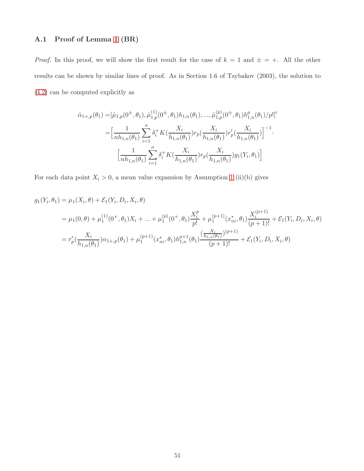# A.1 Proof of Lemma [1](#page-14-0) (BR)

*Proof.* In this proof, we will show the first result for the case of  $k = 1$  and  $\pm = +$ . All the other results can be shown by similar lines of proof. As in Section 1.6 of Tsybakov (2003), the solution to [\(4.2\)](#page-12-1) can be computed explicitly as

$$
\hat{\alpha}_{1+,p}(\theta_1) = [\hat{\mu}_{1,p}(0^{\pm}, \theta_1), \hat{\mu}_{1,p}^{(1)}(0^{\pm}, \theta_1)h_{1,n}(\theta_1), ..., \hat{\mu}_{1,p}^{(p)}(0^{\pm}, \theta_1)h_{1,n}^p(\theta_1)/p!]'
$$
\n
$$
= \Big[\frac{1}{nh_{1,n}(\theta_1)} \sum_{i=1}^n \delta_i^+ K\big(\frac{X_i}{h_{1,n}(\theta_1)}\big)r_p\big(\frac{X_i}{h_{1,n}(\theta_1)}\big)r'_p\big(\frac{X_i}{h_{1,n}(\theta_1)}\big)\Big]^{-1}.
$$
\n
$$
\Big[\frac{1}{nh_{1,n}(\theta_1)} \sum_{i=1}^n \delta_i^+ K\big(\frac{X_i}{h_{1,n}(\theta_1)}\big)r_p\big(\frac{X_i}{h_{1,n}(\theta_1)}\big)g_1(Y_i, \theta_1)\Big]
$$

For each data point  $X_i > 0$ , a mean value expansion by Assumption [1](#page-13-0) (ii)(b) gives

$$
g_1(Y_i, \theta_1) = \mu_1(X_i, \theta) + \mathcal{E}_1(Y_i, D_i, X_i, \theta)
$$
  
=  $\mu_1(0, \theta) + \mu_1^{(1)}(0^+, \theta_1)X_i + ... + \mu_1^{(p)}(0^+, \theta_1)\frac{X_i^p}{p!} + \mu_1^{(p+1)}(x_{ni}^*, \theta_1)\frac{X_i^{(p+1)}}{(p+1)!} + \mathcal{E}_1(Y_i, D_i, X_i, \theta)$   
=  $r'_p(\frac{X_i}{h_{1,n}(\theta_1)})\alpha_{1+,p}(\theta_1) + \mu_1^{(p+1)}(x_{ni}^*, \theta_1)h_{1,n}^{p+1}(\theta_1)\frac{(\frac{X_i}{h_{1,n}(\theta_1)})^{(p+1)}}{(p+1)!} + \mathcal{E}_1(Y_i, D_i, X_i, \theta)$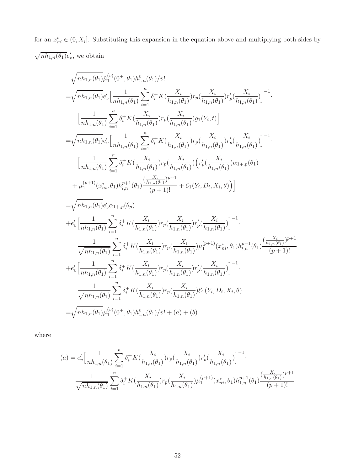for an  $x_{ni}^* \in (0, X_i]$ . Substituting this expansion in the equation above and multiplying both sides by  $\sqrt{nh_{1,n}(\theta_1)}e'_v$ , we obtain

$$
\begin{split} &\sqrt{nh_{1,n}(\theta_{1})}\hat{\mu}_{1}^{(v)}(0^{+},\theta_{1})h_{1,n}^{v}(\theta_{1})/v! \\ =&\sqrt{nh_{1,n}(\theta_{1})}e'_{v}\Big[\frac{1}{nh_{1,n}(\theta_{1})}\sum_{i=1}^{n}\delta_{i}^{+}K(\frac{X_{i}}{h_{1,n}(\theta_{1})})r_{p}(\frac{X_{i}}{h_{1,n}(\theta_{1})})r'_{p}(\frac{X_{i}}{h_{1,n}(\theta_{1})}\Big]^{-1}. \\ &\Big[\frac{1}{nh_{1,n}(\theta_{1})}\sum_{i=1}^{n}\delta_{i}^{+}K(\frac{X_{i}}{h_{1,n}(\theta_{1})})r_{p}(\frac{X_{i}}{h_{1,n}(\theta_{1})})g_{1}(Y_{i},t)\Big] \\ =&\sqrt{nh_{1,n}(\theta_{1})}e'_{v}\Big[\frac{1}{nh_{1,n}(\theta_{1})}\sum_{i=1}^{n}\delta_{i}^{+}K(\frac{X_{i}}{h_{1,n}(\theta_{1})})r_{p}(\frac{X_{i}}{h_{1,n}(\theta_{1})})r'_{p}(\frac{X_{i}}{h_{1,n}(\theta_{1})}\Big)^{-1}. \\ &\Big[\frac{1}{nh_{1,n}(\theta_{1})}\sum_{i=1}^{n}\delta_{i}^{+}K(\frac{X_{i}}{h_{1,n}(\theta_{1})})r_{p}(\frac{X_{i}}{h_{1,n}(\theta_{1})})r'_{p}(\frac{X_{i}}{h_{1,n}(\theta_{1})})\Big(\alpha_{1}+\rho(\theta_{1})\\ &+\mu_{1}^{(p+1)}(x_{ni}^{*},\theta_{1})h_{l,n}^{p+1}(\theta_{1})\frac{(\frac{X_{i}}{h_{1,n}(\theta_{1})})^{p+1}}{(\rho+1)!}+\mathcal{E}_{1}(Y_{i},D_{i},X_{i},\theta)\Big)\Big]\\ =&\sqrt{nh_{1,n}(\theta_{1})}e'_{v}\alpha_{1+,\rho}(\theta_{p}) \\ +&e'_{v}\Big[\frac{1}{nh_{1,n}(\theta_{1})}\sum_{i=1}^{n}\delta_{i}^{+}K(\frac{X_{i}}{h_{1,n}(\theta_{1})})r_{p}(\frac{X_{i}}{h_{1,n}(\theta_{1})})r'_{p}(\frac{X_{i}}{h_{1,n}(\theta_{1})}\Big)^
$$

where

$$
(a) = e'_v \Big[\frac{1}{nh_{1,n}(\theta_1)} \sum_{i=1}^n \delta_i^+ K(\frac{X_i}{h_{1,n}(\theta_1)}) r_p(\frac{X_i}{h_{1,n}(\theta_1)}) r'_p(\frac{X_i}{h_{1,n}(\theta_1)})\Big]^{-1}.
$$
  

$$
\frac{1}{\sqrt{nh_{1,n}(\theta_1)}} \sum_{i=1}^n \delta_i^+ K(\frac{X_i}{h_{1,n}(\theta_1)}) r_p(\frac{X_i}{h_{1,n}(\theta_1)}) \mu_1^{(p+1)}(x_{ni}^*, \theta_1) h_{1,n}^{p+1}(\theta_1) \frac{(\frac{X_i}{h_{1,n}(\theta_1)})^{p+1}}{(p+1)!}
$$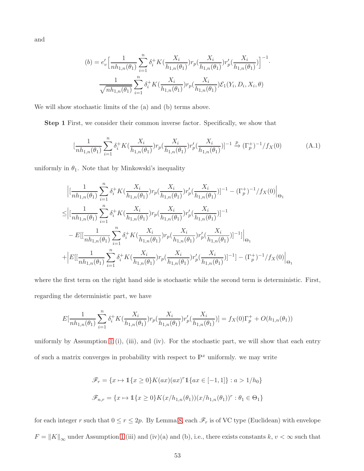and

$$
(b) = e'_v \Big[ \frac{1}{n h_{1,n}(\theta_1)} \sum_{i=1}^n \delta_i^+ K(\frac{X_i}{h_{1,n}(\theta_1)}) r_p(\frac{X_i}{h_{1,n}(\theta_1)}) r'_p(\frac{X_i}{h_{1,n}(\theta_1)}) \Big]^{-1}
$$

$$
\frac{1}{\sqrt{n h_{1,n}(\theta_1)}} \sum_{i=1}^n \delta_i^+ K(\frac{X_i}{h_{1,n}(\theta_1)}) r_p(\frac{X_i}{h_{1,n}(\theta_1)}) \mathcal{E}_1(Y_i, D_i, X_i, \theta)
$$

We will show stochastic limits of the (a) and (b) terms above.

Step 1 First, we consider their common inverse factor. Specifically, we show that

$$
\left[\frac{1}{nh_{1,n}(\theta_1)}\sum_{i=1}^n \delta_i^+ K(\frac{X_i}{h_{1,n}(\theta_1)}) r_p(\frac{X_i}{h_{1,n}(\theta_1)}) r'_p(\frac{X_i}{h_{1,n}(\theta_1)})\right]^{-1} \xrightarrow{p} (\Gamma_p^+)^{-1} / f_X(0)
$$
(A.1)

<span id="page-52-0"></span>·

uniformly in  $\theta_1$ . Note that by Minkowski's inequality

$$
\begin{split} &\Big|\big[\frac{1}{nh_{1,n}(\theta_1)}\sum_{i=1}^n\delta_i^+K(\frac{X_i}{h_{1,n}(\theta_1)})r_p(\frac{X_i}{h_{1,n}(\theta_1)})r'_p(\frac{X_i}{h_{1,n}(\theta_1)})\big]^{-1}-(\Gamma_p^+)^{-1}/f_X(0)\Big|_{\Theta_1}\\ \leq &\Big|\big[\frac{1}{nh_{1,n}(\theta_1)}\sum_{i=1}^n\delta_i^+K(\frac{X_i}{h_{1,n}(\theta_1)})r_p(\frac{X_i}{h_{1,n}(\theta_1)})r'_p(\frac{X_i}{h_{1,n}(\theta_1)})\big]^{-1}\\ &-E[\big[\frac{1}{nh_{1,n}(\theta_1)}\sum_{i=1}^n\delta_i^+K(\frac{X_i}{h_{1,n}(\theta_1)})r_p(\frac{X_i}{h_{1,n}(\theta_1)})r'_p(\frac{X_i}{h_{1,n}(\theta_1)})\big]^{-1}\big]\Big|_{\Theta_1}\\ +\Big|E[\big[\frac{1}{nh_{1,n}(\theta_1)}\sum_{i=1}^n\delta_i^+K(\frac{X_i}{h_{1,n}(\theta_1)})r_p(\frac{X_i}{h_{1,n}(\theta_1)})r'_p(\frac{X_i}{h_{1,n}(\theta_1)})\big]^{-1}\big]-(\Gamma_p^+)^{-1}/f_X(0)\Big|_{\Theta_1} \end{split}
$$

where the first term on the right hand side is stochastic while the second term is deterministic. First, regarding the deterministic part, we have

$$
E[\frac{1}{nh_{1,n}(\theta_1)}\sum_{i=1}^n \delta_i^+ K(\frac{X_i}{h_{1,n}(\theta_1)}) r_p(\frac{X_i}{h_{1,n}(\theta_1)}) r'_p(\frac{X_i}{h_{1,n}(\theta_1)})] = f_X(0)\Gamma_p^+ + O(h_{1,n}(\theta_1))
$$

uniformly by Assumption [1](#page-13-0) (i), (iii), and (iv). For the stochastic part, we will show that each entry of such a matrix converges in probability with respect to  $\mathbb{P}^x$  uniformly. we may write

$$
\mathcal{F}_r = \{x \mapsto \mathbb{1}\{x \ge 0\} K(ax)(ax)^r \mathbb{1}\{ax \in [-1,1]\} : a > 1/h_0\}
$$
\n
$$
\mathcal{F}_{n,r} = \{x \mapsto \mathbb{1}\{x \ge 0\} K(x/h_{1,n}(\theta_1))(x/h_{1,n}(\theta_1))^r : \theta_1 \in \Theta_1\}
$$

for each integer r such that  $0 \le r \le 2p$ . By Lemma [8,](#page-59-0) each  $\mathscr{F}_r$  is of VC type (Euclidean) with envelope  $F = ||K||_{\infty}$  under Assumption [1](#page-13-0) (iii) and (iv)(a) and (b), i.e., there exists constants k,  $v < \infty$  such that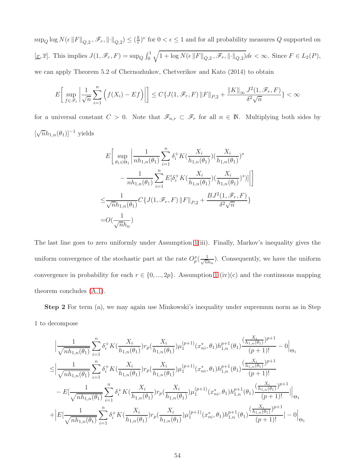$\sup_Q \log N(\epsilon \|F\|_{Q,2}, \mathscr{F}_r, \left\lVert \cdot \right\rVert_{Q,2}) \leq (\frac{k}{\epsilon})$  $\frac{k}{\epsilon}$ )<sup>v</sup> for  $0 < \epsilon \leq 1$  and for all probability measures Q supported on  $[\underline{x}, \overline{x}]$ . This implies  $J(1, \mathscr{F}_r, F) = \sup_Q \int_0^1$  $\sqrt{1 + \log N(\epsilon \|F\|_{Q,2}, \mathscr{F}_r, \|\cdot\|_{Q,2})} d\epsilon < \infty$ . Since  $F \in L_2(P)$ , we can apply Theorem 5.2 of Chernozhukov, Chetverikov and Kato (2014) to obtain

$$
E\bigg[\sup_{f\in\mathscr{F}_r}\bigg|\frac{1}{\sqrt{n}}\sum_{i=1}^n\Big(f(X_i)-Ef\Big)\bigg|\bigg]\leq C\{J(1,\mathscr{F}_r,F)\left\|F\right\|_{P,2}+\frac{\left\|K\right\|_{\infty}J^2(1,\mathscr{F}_r,F)}{\delta^2\sqrt{n}}\}<\infty
$$

for a universal constant  $C > 0$ . Note that  $\mathscr{F}_{n,r} \subset \mathscr{F}_r$  for all  $n \in \mathbb{N}$ . Multiplying both sides by  $[\sqrt{n}h_{1,n}(\theta_1)]^{-1}$  yields

$$
E\left[\sup_{\theta_1 \in \Theta_1} \left| \frac{1}{n h_{1,n}(\theta_1)} \sum_{i=1}^n \delta_i^+ K(\frac{X_i}{h_{1,n}(\theta_1)}) (\frac{X_i}{h_{1,n}(\theta_1)})^s \right| \right] - \frac{1}{n h_{1,n}(\theta_1)} \sum_{i=1}^n E[\delta_i^+ K(\frac{X_i}{h_{1,n}(\theta_1)}) (\frac{X_i}{h_{1,n}(\theta_1)})^s)] \Big|\Big] \leq \frac{1}{\sqrt{n} h_{1,n}(\theta_1)} C\{J(1, \mathcal{F}_r, F) \|F\|_{P,2} + \frac{B J^2(1, \mathcal{F}_r, F)}{\delta^2 \sqrt{n}}\} = O(\frac{1}{\sqrt{n} h_n})
$$

The last line goes to zero uniformly under Assumption [1\(](#page-13-0)iii). Finally, Markov's inequality gives the uniform convergence of the stochastic part at the rate  $O_p^x(\frac{1}{\sqrt{n}})$  $\frac{1}{n h_n}$ ). Consequently, we have the uniform convergence in probability for each  $r \in \{0, ..., 2p\}$ . Assumption [1](#page-13-0) (iv)(c) and the continuous mapping theorem concludes [\(A.1\)](#page-52-0).

Step 2 For term (a), we may again use Minkowski's inequality under supremum norm as in Step 1 to decompose

$$
\begin{split} &\Big|\frac{1}{\sqrt{nh_{1,n}(\theta_1)}}\sum_{i=1}^n\delta_i^+K(\frac{X_i}{h_{1,n}(\theta_1)})r_p(\frac{X_i}{h_{1,n}(\theta_1)})\mu_1^{(p+1)}(x^*_{ni},\theta_1)h_{1,n}^{p+1}(\theta_1)\frac{(\frac{X_i}{h_{1,n}(\theta_1)})^{p+1}}{(p+1)!}-0\Big|_{\Theta_1}\\ \leq &\Big|\frac{1}{\sqrt{nh_{1,n}(\theta_1)}}\sum_{i=1}^n\delta_i^+K(\frac{X_i}{h_{1,n}(\theta_1)})r_p(\frac{X_i}{h_{1,n}(\theta_1)})\mu_1^{(p+1)}(x^*_{ni},\theta_1)h_{1,n}^{p+1}(\theta_1)\frac{(\frac{X_i}{h_{1,n}(\theta_1)})^{p+1}}{(p+1)!}\\ &-E[\frac{1}{\sqrt{nh_{1,n}(\theta_1)}}\sum_{i=1}^n\delta_i^+K(\frac{X_i}{h_{1,n}(\theta_1)})r_p(\frac{X_i}{h_{1,n}(\theta_1)})\mu_1^{(p+1)}(x^*_{ni},\theta_1)h_{1,n}^{p+1}(\theta_1)\frac{(\frac{X_i}{h_{1,n}(\theta_1)})^{p+1}}{(p+1)!}]\Big|_{\Theta_1}\\ +&\Big|E[\frac{1}{\sqrt{nh_{1,n}(\theta_1)}}\sum_{i=1}^n\delta_i^+K(\frac{X_i}{h_{1,n}(\theta_1)})r_p(\frac{X_i}{h_{1,n}(\theta_1)})\mu_1^{(p+1)}(x^*_{ni},\theta_1)h_{1,n}^{p+1}(\theta_1)\frac{(\frac{X_i}{h_{1,n}(\theta_1)})^{p+1}}{(p+1)!}-0\Big|_{\Theta_1}\Big|_{\Theta_1} \end{split}
$$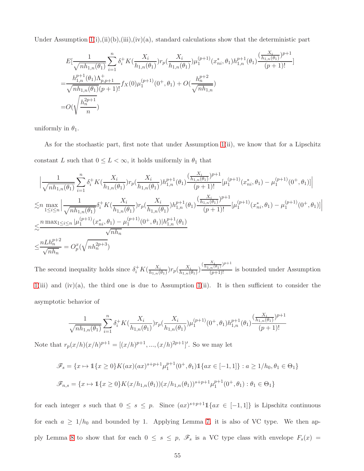Under Assumption  $1(i), (ii)(b), (iii), (iv)(a),$  standard calculations show that the deterministic part

$$
E\left[\frac{1}{\sqrt{nh_{1,n}(\theta_1)}}\sum_{i=1}^n \delta_i^+ K(\frac{X_i}{h_{1,n}(\theta_1)}) r_p(\frac{X_i}{h_{1,n}(\theta_1)}) \mu_1^{(p+1)}(x_{ni}^*, \theta_1) h_{1,n}^{p+1}(\theta_1) \frac{(\frac{X_i}{h_{1,n}(\theta_1)})^{p+1}}{(p+1)!}\right]
$$
  
= 
$$
\frac{h_{1,n}^{p+1}(\theta_1) \Lambda_{p,p+1}^+}{\sqrt{nh_{1,n}(\theta_1)}(p+1)!} f_X(0) \mu_1^{(p+1)}(0^+, \theta_1) + O(\frac{h_n^{p+2}}{\sqrt{nh_{1,n}}})
$$
  
= 
$$
O(\sqrt{\frac{h_n^{2p+1}}{n}})
$$

uniformly in  $\theta_1$ .

As for the stochastic part, first note that under Assumption  $1(i)$ , we know that for a Lipschitz constant  $L$  such that  $0 \leq L < \infty,$  it holds uniformly in  $\theta_1$  that

$$
\begin{split}\n&\left|\frac{1}{\sqrt{nh_{1,n}(\theta_{1})}}\sum_{i=1}^{n}\delta_{i}^{+}K(\frac{X_{i}}{h_{1,n}(\theta_{1})})r_{p}(\frac{X_{i}}{h_{1,n}(\theta_{1})})h_{1,n}^{p+1}(\theta_{1})\frac{(\frac{X_{i}}{h_{1,n}(\theta_{1})})^{p+1}}{(p+1)!}[\mu_{1}^{(p+1)}(x_{ni}^{*},\theta_{1})-\mu_{1}^{(p+1)}(0^{+},\theta_{1})]\right| \\
&\lesssim &n\max_{1\leq i\leq n}\left|\frac{1}{\sqrt{nh_{1,n}(\theta_{1})}}\delta_{i}^{+}K(\frac{X_{i}}{h_{1,n}(\theta_{1})})r_{p}(\frac{X_{i}}{h_{1,n}(\theta_{1})})h_{1,n}^{p+1}(\theta_{1})\frac{(\frac{X_{i}}{h_{1,n}(\theta_{1})})^{p+1}}{(p+1)!}[\mu_{1}^{(p+1)}(x_{ni}^{*},\theta_{1})-\mu_{1}^{(p+1)}(0^{+},\theta_{1})]\right| \\
&\lesssim &\frac{n\max_{1\leq i\leq n}|\mu_{1}^{(p+1)}(x_{ni}^{*},\theta_{1})-\mu_{1}^{(p+1)}(0^{+},\theta_{1})|h_{1,n}^{p+1}(\theta_{1})}{\sqrt{nh_{n}}} \\
&\leq &\frac{nLh_{n}^{p+2}}{\sqrt{nh_{n}}} = O_{p}^{x}(\sqrt{nh_{n}^{2p+3}})\n\end{split}
$$

The second inequality holds since  $\delta_i^+ K(\frac{X_i}{h_{1,n}})$  $\frac{X_i}{h_{1,n}(\theta_1)}$ ) $r_p(\frac{X_i}{h_{1,n}(\theta_1)})$  $\frac{X_i}{h_{1,n}(\theta_1)}\Big)\frac{\left(\frac{X_i}{h_{1,n}(\theta_1)}\right)^{p+1}}{(p+1)!}$  $\frac{n^{(p_1)}(p_1)}{(p_1+1)!}$  is bounded under Assumption  $1(iii)$  $1(iii)$  and  $(iv)(a)$ , the third one is due to Assumption [1\(](#page-13-0)ii). It is then sufficient to consider the asymptotic behavior of

$$
\frac{1}{\sqrt{nh_{1,n}(\theta_1)}} \sum_{i=1}^n \delta_i^+ K(\frac{X_i}{h_{1,n}(\theta_1)}) r_p(\frac{X_i}{h_{1,n}(\theta_1)}) \mu_1^{(p+1)}(0^+, \theta_1) h_{1,n}^{p+1}(\theta_1) \frac{(\frac{X_i}{h_{1,n}(\theta_1)})^{p+1}}{(p+1)!}
$$

Note that  $r_p(x/h)(x/h)^{p+1} = [(x/h)^{p+1}, ..., (x/h)^{2p+1}]'$ . So we may let

$$
\mathcal{F}_s = \{x \mapsto \mathbb{1}\{x \ge 0\} K(ax)(ax)^{s+p+1} \mu_1^{p+1}(0^+, \theta_1) \mathbb{1}\{ax \in [-1, 1]\} : a \ge 1/h_0, \theta_1 \in \Theta_1\}
$$
  

$$
\mathcal{F}_{n,s} = \{x \mapsto \mathbb{1}\{x \ge 0\} K(x/h_{1,n}(\theta_1))(x/h_{1,n}(\theta_1))^{s+p+1} \mu_1^{p+1}(0^+, \theta_1) : \theta_1 \in \Theta_1\}
$$

for each integer s such that  $0 \leq s \leq p$ . Since  $(ax)^{s+p+1}1\{ax \in [-1,1]\}$  is Lipschitz continuous for each  $a \ge 1/h_0$  and bounded by 1. Applying Lemma [7,](#page-59-1) it is also of VC type. We then ap-ply Lemma [8](#page-59-0) to show that for each  $0 \leq s \leq p$ ,  $\mathscr{F}_s$  is a VC type class with envelope  $F_s(x)$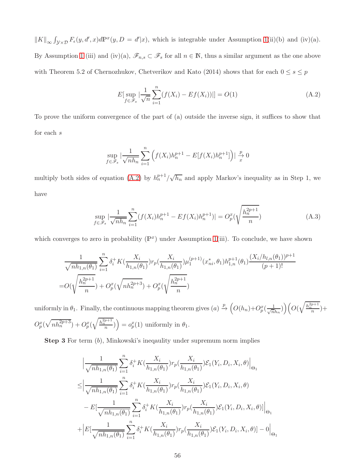$||K||_{\infty} \int_{\mathcal{Y} \times \mathcal{D}} F_{\epsilon}(y, d', x) d\mathbb{P}^{x}(y, D = d'|x)$ , which is integrable under Assumption [1\(](#page-13-0)ii)(b) and (iv)(a). By Assumption [1](#page-13-0) (iii) and (iv)(a),  $\mathscr{F}_{n,s} \subset \mathscr{F}_s$  for all  $n \in \mathbb{N}$ , thus a similar argument as the one above with Theorem 5.2 of Chernozhukov, Chetverikov and Kato (2014) shows that for each  $0\leq s\leq p$ 

<span id="page-55-0"></span>
$$
E[\sup_{f \in \mathcal{F}_s} |\frac{1}{\sqrt{n}} \sum_{i=1}^n (f(X_i) - Ef(X_i))|] = O(1)
$$
 (A.2)

To prove the uniform convergence of the part of (a) outside the inverse sign, it suffices to show that for each s

$$
\sup_{f \in \mathscr{F}_s} \left| \frac{1}{\sqrt{nh_n}} \sum_{i=1}^n \left( f(X_i) h_n^{p+1} - E[f(X_i)h_n^{p+1}]\right) \right| \xrightarrow{x} 0
$$

multiply both sides of equation [\(A.2\)](#page-55-0) by  $h_n^{p+1}/\sqrt{h_n}$  and apply Markov's inequality as in Step 1, we have

$$
\sup_{f \in \mathcal{F}_s} |\frac{1}{\sqrt{nh_n}} \sum_{i=1}^n (f(X_i)h_n^{p+1} - Ef(X_i)h_n^{p+1})| = O_p^x(\sqrt{\frac{h_n^{2p+1}}{n}})
$$
\n(A.3)

which converges to zero in probability  $(\mathbb{P}^x)$  under Assumption [1\(](#page-13-0)iii). To conclude, we have shown

$$
\frac{1}{\sqrt{nh_{1,n}(\theta_1)}}\sum_{i=1}^n\delta_i^+K(\frac{X_i}{h_{1,n}(\theta_1)})r_p(\frac{X_i}{h_{1,n}(\theta_1)})\mu_1^{(p+1)}(x_{ni}^*,\theta_1)h_{1,n}^{p+1}(\theta_1)\frac{(X_i/h_{l,n}(\theta_1))^{p+1}}{(p+1)!}
$$
  
= $O(\sqrt{\frac{h_n^{2p+1}}{n}})+O_p^x(\sqrt{nh_n^{2p+3}})+O_p^x(\sqrt{\frac{h_n^{2p+1}}{n}})$ 

uniformly in  $\theta_1$ . Finally, the continuous mapping theorem gives  $(a) \stackrel{p}{\rightarrow}$  $\Big(O(h_n)+O_p^x\left(\frac{1}{\sqrt{n}}\right)$  $\left(\frac{1}{nh_n}\right)\right)\left(O(\sqrt{\frac{h_n^{2p+1}}{n}})+$  $O_p^x(\sqrt{nh_n^{2p+3}})+O_p^x($  $\sqrt{\frac{h_n^{2p+1}}{n}}$ ) =  $o_p^x(1)$  uniformly in  $\theta_1$ .

Step 3 For term  $(b)$ , Minkowski's ineqaulity under supremum norm implies

$$
\begin{split}\n& \Big|\frac{1}{\sqrt{nh_{1,n}(\theta_1)}}\sum_{i=1}^n \delta_i^+ K\left(\frac{X_i}{h_{1,n}(\theta_1)}\right) r_p\left(\frac{X_i}{h_{1,n}(\theta_1)}\right) \mathcal{E}_1(Y_i, D_i, X_i, \theta)\Big|_{\Theta_1} \\
&\leq \Big|\frac{1}{\sqrt{nh_{1,n}(\theta_1)}}\sum_{i=1}^n \delta_i^+ K\left(\frac{X_i}{h_{1,n}(\theta_1)}\right) r_p\left(\frac{X_i}{h_{1,n}(\theta_1)}\right) \mathcal{E}_1(Y_i, D_i, X_i, \theta) \\
&- E\left[\frac{1}{\sqrt{nh_{1,n}(\theta_1)}}\sum_{i=1}^n \delta_i^+ K\left(\frac{X_i}{h_{1,n}(\theta_1)}\right) r_p\left(\frac{X_i}{h_{1,n}(\theta_1)}\right) \mathcal{E}_1(Y_i, D_i, X_i, \theta)\right]\Big|_{\Theta_1} \\
&+ \Big| E\left[\frac{1}{\sqrt{nh_{1,n}(\theta_1)}}\sum_{i=1}^n \delta_i^+ K\left(\frac{X_i}{h_{1,n}(\theta_1)}\right) r_p\left(\frac{X_i}{h_{1,n}(\theta_1)}\right) \mathcal{E}_1(Y_i, D_i, X_i, \theta)\right] - 0\Big|_{\Theta_1}\n\end{split}
$$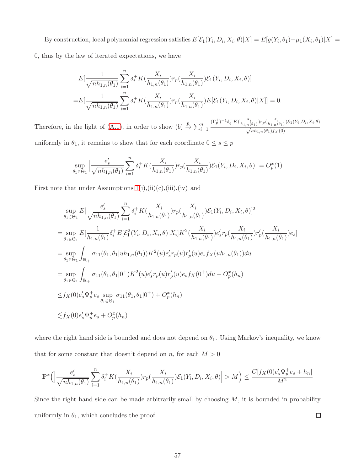By construction, local polynomial regression satisfies  $E[\mathcal{E}_1(Y_i, D_i, X_i, \theta)|X] = E[g(Y_i, \theta_1) - \mu_1(X_i, \theta_1)|X] =$ 0, thus by the law of iterated expectations, we have

$$
E[\frac{1}{\sqrt{nh_{1,n}(\theta_1)}}\sum_{i=1}^n \delta_i^+ K(\frac{X_i}{h_{1,n}(\theta_1)}) r_p(\frac{X_i}{h_{1,n}(\theta_1)}) \mathcal{E}_1(Y_i, D_i, X_i, \theta)]
$$
  
=
$$
E[\frac{1}{\sqrt{nh_{1,n}(\theta_1)}}\sum_{i=1}^n \delta_i^+ K(\frac{X_i}{h_{1,n}(\theta_1)}) r_p(\frac{X_i}{h_{1,n}(\theta_1)}) E[\mathcal{E}_1(Y_i, D_i, X_i, \theta)|X]] = 0.
$$

Therefore, in the light of [\(A.1\)](#page-52-0), in order to show  $(b) \stackrel{p}{\rightarrow} \sum_{i=1}^{n}$  $(\Gamma_p^+)^{-1} \delta_i^+ K(\frac{X_i}{h_{1,n}(\theta_1)}) r_p(\frac{X_i}{h_{1,n}(\theta_1)}) \mathcal{E}_1(Y_i, D_i, X_i, \theta)$  $\sqrt{nh_{1,n}(\theta_1)}f_X(0)$ 

uniformly in  $\theta_1,$  it remains to show that for each coordinate  $0\leq s\leq p$ 

$$
\sup_{\theta_1 \in \Theta_1} \left| \frac{e_s'}{\sqrt{nh_{1,n}(\theta_1)}} \sum_{i=1}^n \delta_i^+ K(\frac{X_i}{h_{1,n}(\theta_1)}) r_p(\frac{X_i}{h_{1,n}(\theta_1)}) \mathcal{E}_1(Y_i, D_i, X_i, \theta) \right| = O_p^x(1)
$$

First note that under Assumptions  $1(i), (ii)(c), (iii), (iv)$  and

$$
\sup_{\theta_1 \in \Theta_1} E[\frac{e'_s}{\sqrt{nh_{1,n}(\theta_1)}} \sum_{i=1}^n \delta_i^+ K(\frac{X_i}{h_{1,n}(\theta_1)}) r_p(\frac{X_i}{h_{1,n}(\theta_1)}) \mathcal{E}_1(Y_i, D_i, X_i, \theta)]^2
$$
\n
$$
= \sup_{\theta_1 \in \Theta_1} E[\frac{1}{h_{1,n}(\theta_1)} \delta_i^+ E[\mathcal{E}_1^2(Y_i, D_i, X_i, \theta) | X_i] K^2(\frac{X_i}{h_{1,n}(\theta_1)}) e'_s r_p(\frac{X_i}{h_{1,n}(\theta_1)}) r'_p(\frac{X_i}{h_{1,n}(\theta_1)}) e_s]
$$
\n
$$
= \sup_{\theta_1 \in \Theta_1} \int_{\mathbb{R}_+} \sigma_{11}(\theta_1, \theta_1 |uh_{1,n}(\theta_1)) K^2(u) e'_s r_p(u) r'_p(u) e_s f_X(u h_{1,n}(\theta_1)) du
$$
\n
$$
= \sup_{\theta_1 \in \Theta_1} \int_{\mathbb{R}_+} \sigma_{11}(\theta_1, \theta_1 | 0^+) K^2(u) e'_s r_p(u) r'_p(u) e_s f_X(0^+) du + O_p^x(h_n)
$$
\n
$$
\leq f_X(0) e'_s \Psi_p^+ e_s \sup_{\theta_1 \in \Theta_1} \sigma_{11}(\theta_1, \theta_1 | 0^+) + O_p^x(h_n)
$$
\n
$$
\leq f_X(0) e'_s \Psi_p^+ e_s + O_p^x(h_n)
$$

where the right hand side is bounded and does not depend on  $\theta_1$ . Using Markov's inequality, we know that for some constant that doesn't depend on n, for each  $M > 0$ 

$$
\mathbb{P}^x \Big( \Big| \frac{e'_s}{\sqrt{nh_{1,n}(\theta_1)}} \sum_{i=1}^n \delta_i^+ K(\frac{X_i}{h_{1,n}(\theta_1)}) r_p(\frac{X_i}{h_{1,n}(\theta_1)}) \mathcal{E}_1(Y_i, D_i, X_i, \theta) \Big| > M \Big) \le \frac{C[f_X(0) e'_s \Psi_p^+ e_s + h_n]}{M^2}
$$

Since the right hand side can be made arbitrarily small by choosing  $M$ , it is bounded in probability uniformly in  $\theta_1$ , which concludes the proof.  $\Box$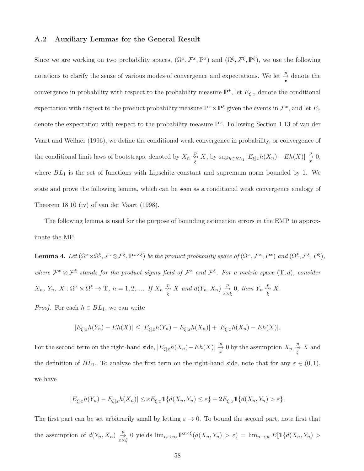#### A.2 Auxiliary Lemmas for the General Result

Since we are working on two probability spaces,  $(\Omega^x, \mathcal{F}^x, \mathbb{P}^x)$  and  $(\Omega^{\xi}, \mathcal{F}^{\xi}, \mathbb{P}^{\xi})$ , we use the following notations to clarify the sense of various modes of convergence and expectations. We let  $\frac{p}{\bullet}$  denote the convergence in probability with respect to the probability measure  $\mathbb{P}^{\bullet}$ , let  $E_{\xi|x}$  denote the conditional expectation with respect to the product probability measure  $\mathbb{P}^x \times \mathbb{P}^{\xi}$  given the events in  $\mathcal{F}^x$ , and let  $E_x$ denote the expectation with respect to the probability measure  $\mathbb{P}^x$ . Following Section 1.13 of van der Vaart and Wellner (1996), we define the conditional weak convergence in probability, or convergence of the conditional limit laws of bootstraps, denoted by  $X_n \overset{p}{\underset{\xi}{\longleftrightarrow}} X$ , by  $\sup_{h \in BL_1} |E_{\xi|x}h(X_n) - Eh(X)| \overset{p}{\underset{x}{\longrightarrow}}$  $\frac{P}{x}$  0, where  $BL_1$  is the set of functions with Lipschitz constant and supremum norm bounded by 1. We state and prove the following lemma, which can be seen as a conditional weak convergence analogy of Theorem 18.10 (iv) of van der Vaart (1998).

The following lemma is used for the purpose of bounding estimation errors in the EMP to approximate the MP.

<span id="page-57-0"></span>**Lemma 4.** Let  $(\Omega^x \times \Omega^{\xi}, \mathcal{F}^x \otimes \mathcal{F}^{\xi}, \mathbb{P}^{x \times \xi})$  be the product probability space of  $(\Omega^x, \mathcal{F}^x, P^x)$  and  $(\Omega^{\xi}, \mathcal{F}^{\xi}, P^{\xi}),$ where  $\mathcal{F}^x \otimes \mathcal{F}^{\xi}$  stands for the product sigma field of  $\mathcal{F}^x$  and  $\mathcal{F}^{\xi}$ . For a metric space  $(\mathbb{T},d)$ , consider  $X_n$ ,  $Y_n$ ,  $X: \Omega^x \times \Omega^{\xi} \to \mathbb{T}$ ,  $n = 1, 2, \dots$  If  $X_n \overset{p}{\underset{\xi}{\leftrightarrow}} X$  and  $d(Y_n, X_n) \overset{p}{\underset{\substack{x \times \xi}{\to}}} 0$ , then  $Y_n \overset{p}{\underset{\xi}{\leftrightarrow}} X$ .

*Proof.* For each  $h \in BL_1$ , we can write

$$
|E_{\xi|x}h(Y_n) - Eh(X)| \le |E_{\xi|x}h(Y_n) - E_{\xi|x}h(X_n)| + |E_{\xi|x}h(X_n) - Eh(X)|.
$$

For the second term on the right-hand side,  $|E_{\xi|x}h(X_n)-Eh(X)|\frac{p}{x}$  $\frac{p}{x}$  0 by the assumption  $X_n \overset{p}{\underset{\xi}{\longleftrightarrow}} X$  and the definition of  $BL_1$ . To analyze the first term on the right-hand side, note that for any  $\varepsilon \in (0,1)$ , we have

$$
|E_{\xi|x}h(Y_n)-E_{\xi|x}h(X_n)|\leq \varepsilon E_{\xi|x}1\{d(X_n,Y_n)\leq \varepsilon\}+2E_{\xi|x}1\{d(X_n,Y_n)>\varepsilon\}.
$$

The first part can be set arbitrarily small by letting  $\varepsilon \to 0$ . To bound the second part, note first that the assumption of  $d(Y_n, X_n) \underset{x \times \xi}{\to} 0$  yields  $\lim_{n \to \infty} \mathbb{P}^{x \times \xi}(d(X_n, Y_n) > \varepsilon) = \lim_{n \to \infty} E[\mathbb{1}\{d(X_n, Y_n) > \varepsilon\}]$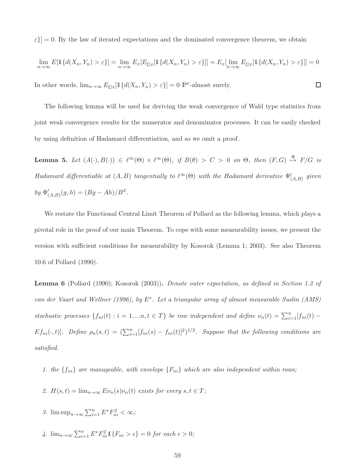$\varepsilon$ } = 0. By the law of iterated expectations and the dominated convergence theorem, we obtain

$$
\lim_{n \to \infty} E[\mathbb{1}\{d(X_n, Y_n) > \varepsilon\}] = \lim_{n \to \infty} E_x[E_{\xi|x}[\mathbb{1}\{d(X_n, Y_n) > \varepsilon\}]] = E_x[\lim_{n \to \infty} E_{\xi|x}[\mathbb{1}\{d(X_n, Y_n) > \varepsilon\}]] = 0
$$

 $\Box$ 

In other words,  $\lim_{n\to\infty} E_{\xi|x}[\mathbb{1}\{d(X_n,Y_n)>\varepsilon\}] = 0$   $\mathbb{P}^x$ -almost surely.

The following lemma will be used for deriving the weak convergence of Wald type statistics from joint weak convergence results for the numerator and denominator processes. It can be easily checked by using definition of Hadamard differentiation, and so we omit a proof.

<span id="page-58-1"></span>**Lemma 5.** Let  $(A(\cdot), B(\cdot)) \in \ell^{\infty}(\Theta) \times \ell^{\infty}(\Theta)$ , if  $B(\theta) > C > 0$  on  $\Theta$ , then  $(F, G) \stackrel{\Phi}{\mapsto} F/G$  is Hadamard differentiable at  $(A, B)$  tangentially to  $\ell^{\infty}(\Theta)$  with the Hadamard derivative  $\Phi'_{(A, B)}$  given by  $\Phi'_{(A,B)}(g,h) = (Bg - Ah)/B^2$ .

We restate the Functional Central Limit Theorem of Pollard as the following lemma, which plays a pivotal role in the proof of our main Theorem. To cope with some measurability issues, we present the version with sufficient conditions for measurability by Kosorok (Lemma 1; 2003). See also Theorem 10.6 of Pollard (1990).

<span id="page-58-0"></span>Lemma 6 (Pollard (1990); Kosorok (2003)). Denote outer expectation, as defined in Section 1.2 of van der Vaart and Wellner (1996), by E∗ . Let a triangular array of almost measurable Suslin (AMS) stochastic processes  $\{f_{ni}(t) : i = 1, ..., t \in T\}$  be row independent and define  $\nu_n(t) = \sum_{i=1}^n [f_{ni}(t) - f_{ni}(t)]$  $Ef_{ni}(\cdot,t)$ ]. Define  $\rho_n(s,t) = (\sum_{i=1}^n [f_{ni}(s) - f_{ni}(t)]^2)^{1/2}$ . Suppose that the following conditions are satisfied.

- 1. the  $\{f_{ni}\}$  are manageable, with envelope  $\{F_{ni}\}$  which are also independent within rows;
- 2.  $H(s,t) = \lim_{n \to \infty} E \nu_n(s) \nu_n(t)$  exists for every  $s, t \in T$ ;
- 3.  $\limsup_{n\to\infty}\sum_{i=1}^n E^* F_{ni}^2 < \infty$ ;
- 4.  $\lim_{n\to\infty}\sum_{i=1}^{n} E^* F_{ni}^2 \mathbb{1}\{F_{ni} > \epsilon\} = 0$  for each  $\epsilon > 0$ ;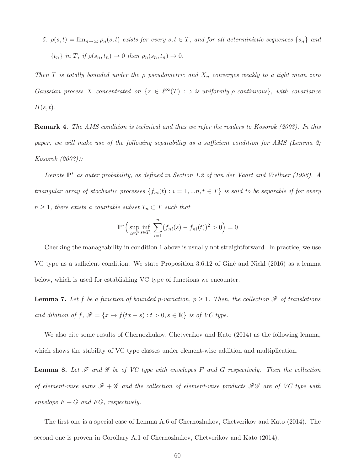5.  $\rho(s,t) = \lim_{n \to \infty} \rho_n(s,t)$  exists for every  $s,t \in T$ , and for all deterministic sequences  $\{s_n\}$  and  ${t_n}$  in T, if  $\rho(s_n, t_n) \to 0$  then  $\rho_n(s_n, t_n) \to 0$ .

Then T is totally bounded under the  $\rho$  pseudometric and  $X_n$  converges weakly to a tight mean zero Gaussian process X concentrated on  $\{z \in \ell^{\infty}(T) : z \text{ is uniformly } \rho\text{-continuous}\},\$  with covariance  $H(s,t)$ .

Remark 4. The AMS condition is technical and thus we refer the readers to Kosorok (2003). In this paper, we will make use of the following separability as a sufficient condition for AMS (Lemma 2; Kosorok (2003)):

Denote P<sup>∗</sup> as outer probability, as defined in Section 1.2 of van der Vaart and Wellner (1996). A triangular array of stochastic processes  $\{f_{ni}(t) : i = 1, ..., n, t \in T\}$  is said to be separable if for every  $n \geq 1$ , there exists a countable subset  $T_n \subset T$  such that

$$
\mathbb{P}^* \Big( \sup_{t \in T} \inf_{s \in T_n} \sum_{i=1}^n (f_{ni}(s) - f_{ni}(t))^2 > 0 \Big) = 0
$$

Checking the manageability in condition 1 above is usually not straightforward. In practice, we use VC type as a sufficient condition. We state Proposition 3.6.12 of Giné and Nickl  $(2016)$  as a lemma below, which is used for establishing VC type of functions we encounter.

<span id="page-59-1"></span>**Lemma 7.** Let f be a function of bounded p-variation,  $p \ge 1$ . Then, the collection  $\mathcal F$  of translations and dilation of  $f, \mathscr{F} = \{x \mapsto f(tx - s) : t > 0, s \in \mathbb{R}\}\$ is of VC type.

We also cite some results of Chernozhukov, Chetverikov and Kato (2014) as the following lemma, which shows the stability of VC type classes under element-wise addition and multiplication.

<span id="page-59-0"></span>**Lemma 8.** Let  $\mathcal F$  and  $\mathcal G$  be of VC type with envelopes F and G respectively. Then the collection of element-wise sums  $\mathscr{F} + \mathscr{G}$  and the collection of element-wise products  $\mathscr{F}\mathscr{G}$  are of VC type with envelope  $F + G$  and  $FG$ , respectively.

The first one is a special case of Lemma A.6 of Chernozhukov, Chetverikov and Kato (2014). The second one is proven in Corollary A.1 of Chernozhukov, Chetverikov and Kato (2014).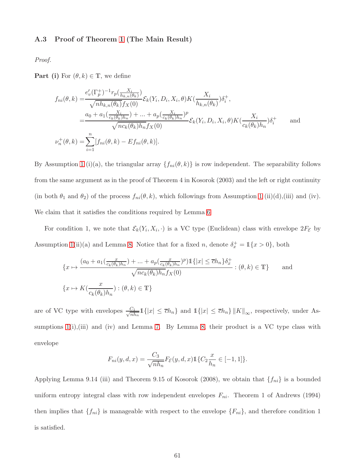### A.3 Proof of Theorem [1](#page-16-0) (The Main Result)

Proof.

**Part (i)** For  $(\theta, k) \in \mathbb{T}$ , we define

$$
f_{ni}(\theta, k) = \frac{e_v'(\Gamma_p^+)^{-1} r_p(\frac{X_i}{h_{k,n}(\theta_k)})}{\sqrt{n h_{k,n}(\theta_k)} f_X(0)} \mathcal{E}_k(Y_i, D_i, X_i, \theta) K(\frac{X_i}{h_{k,n}(\theta_k)}) \delta_i^+,
$$
  

$$
= \frac{a_0 + a_1(\frac{X_i}{c_k(\theta_k)h_n}) + \dots + a_p(\frac{X_i}{c_k(\theta_k)h_n})^p}{\sqrt{n c_k(\theta_k) h_n} f_X(0)} \mathcal{E}_k(Y_i, D_i, X_i, \theta) K(\frac{X_i}{c_k(\theta_k)h_n}) \delta_i^+
$$
and  

$$
\nu_n^+(\theta, k) = \sum_{i=1}^n [f_{ni}(\theta, k) - Ef_{ni}(\theta, k)].
$$

By Assumption [1](#page-13-0) (i)(a), the triangular array  $\{f_{ni}(\theta, k)\}\$ is row independent. The separability follows from the same argument as in the proof of Theorem 4 in Kosorok (2003) and the left or right continuity (in both  $\theta_1$  and  $\theta_2$ ) of the process  $f_{ni}(\theta, k)$ , which followings from Assumption [1](#page-13-0) (ii)(d),(iii) and (iv). We claim that it satisfies the conditions required by Lemma [6](#page-58-0)

For condition 1, we note that  $\mathcal{E}_k(Y_i, X_i, \cdot)$  is a VC type (Euclidean) class with envelope  $2F_{\mathcal{E}}$  by Assumption [1\(](#page-13-0)ii)(a) and Lemma [8.](#page-59-0) Notice that for a fixed n, denote  $\delta_x^+ = \mathbb{1}\{x > 0\}$ , both

$$
\{x \mapsto \frac{(a_0 + a_1(\frac{x}{c_k(\theta_k)h_n}) + \dots + a_p(\frac{x}{c_k(\theta_k)h_n})^p)\mathbb{1}\{|x| \le \overline{c}h_n\}\delta_x^+}{\sqrt{nc_k(\theta_k)h_n}f_X(0)} : (\theta, k) \in \mathbb{T}\}
$$
 and  

$$
\{x \mapsto K(\frac{x}{c_k(\theta_k)h_n}) : (\theta, k) \in \mathbb{T}\}
$$

are of VC type with envelopes  $\frac{C_1}{\sqrt{n k}}$  $\frac{C_1}{nh_n}1\{|x| \leq \overline{c}h_n\}$  and  $1\{|x| \leq \overline{c}h_n\} ||K||_{\infty}$ , respectively, under Assumptions  $1(i)$ , (iii) and (iv) and Lemma [7.](#page-59-1) By Lemma [8,](#page-59-0) their product is a VC type class with envelope

$$
F_{ni}(y, d, x) = \frac{C_3}{\sqrt{nh_n}} F_{\mathcal{E}}(y, d, x) \mathbb{1}\{C_2 \frac{x}{h_n} \in [-1, 1]\}.
$$

Applying Lemma 9.14 (iii) and Theorem 9.15 of Kosorok (2008), we obtain that  $\{f_{ni}\}\$ is a bounded uniform entropy integral class with row independent envelopes  $F_{ni}$ . Theorem 1 of Andrews (1994) then implies that  $\{f_{ni}\}\$ is manageable with respect to the envelope  $\{F_{ni}\}\$ , and therefore condition 1 is satisfied.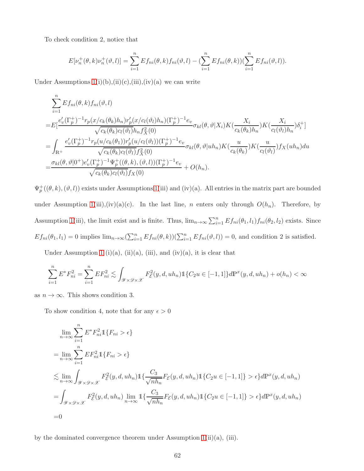To check condition 2, notice that

$$
E[\nu_n^+(\theta, k)\nu_n^+(\vartheta, l)] = \sum_{i=1}^n Ef_{ni}(\theta, k)f_{ni}(\vartheta, l) - \left(\sum_{i=1}^n Ef_{ni}(\theta, k)\right)\left(\sum_{i=1}^n Ef_{ni}(\vartheta, l)\right).
$$

Under Assumptions  $1(i)(b),(ii)(c),(iii),(iv)(a)$  we can write

$$
\sum_{i=1}^{n} Ef_{ni}(\theta, k) f_{ni}(\vartheta, l)
$$
\n
$$
= E\left[\frac{e_v'(\Gamma_p^+)^{-1} r_p(x/c_k(\theta_k)h_n) r_p'(x/c_l(\vartheta_l)h_n)(\Gamma_p^+)^{-1} e_v}{\sqrt{c_k(\theta_k)c_l(\vartheta_l)}h_n f_X^2(0)} \sigma_{kl}(\theta, \vartheta | X_i) K(\frac{X_i}{c_k(\theta_k)h_n}) K(\frac{X_i}{c_l(\vartheta_l)h_n}) \delta_i^+\right]
$$
\n
$$
= \int_{\mathbb{R}^+} \frac{e_v'(\Gamma_p^+)^{-1} r_p(u/c_k(\vartheta_1)) r_p'(u/c_l(\vartheta_l))(\Gamma_p^+)^{-1} e_v}{\sqrt{c_k(\theta_k)c_l(\vartheta_l)} f_X^2(0)} \sigma_{kl}(\theta, \vartheta | uh_n) K(\frac{u}{c_k(\theta_k)}) K(\frac{u}{c_l(\vartheta_l)}) f_X(uh_n) du
$$
\n
$$
= \frac{\sigma_{kl}(\theta, \vartheta | 0^+) e_v'(\Gamma_p^+)^{-1} \Psi_p^+((\theta, k), (\vartheta, l))(\Gamma_p^+)^{-1} e_v}{\sqrt{c_k(\theta_k)c_l(\vartheta_l)} f_X(0)} + O(h_n).
$$

 $\Psi_p^+(\theta, k), (\vartheta, l)$  exists under Assumptions [1\(](#page-13-0)iii) and (iv)(a). All entries in the matrix part are bounded under Assumption [1\(](#page-13-0)iii),(iv)(a)(c). In the last line, n enters only through  $O(h_n)$ . Therefore, by Assumption [1\(](#page-13-0)iii), the limit exist and is finite. Thus,  $\lim_{n\to\infty}\sum_{i=1}^n Ef_{ni}(\theta_1, l_1)f_{ni}(\theta_2, l_2)$  exists. Since  $Ef_{ni}(\theta_1, l_1) = 0$  implies  $\lim_{n\to\infty} (\sum_{i=1}^n Ef_{ni}(\theta, k))(\sum_{i=1}^n Ef_{ni}(\theta, l)) = 0$ , and condition 2 is satisfied.

Under Assumption [1](#page-13-0) (i)(a), (ii)(a), (iii), and (iv)(a), it is clear that

$$
\sum_{i=1}^{n} E^* F_{ni}^2 = \sum_{i=1}^{n} E F_{ni}^2 \lesssim \int_{\mathcal{Y} \times \mathcal{D} \times \mathcal{X}} F_{\mathcal{E}}^2(y, d, uh_n) \mathbb{1} \{ C_2 u \in [-1, 1] \} d\mathbb{P}^x(y, d, uh_n) + o(h_n) < \infty
$$

as  $n \to \infty$ . This shows condition 3.

To show condition 4, note that for any  $\epsilon > 0$ 

$$
\lim_{n \to \infty} \sum_{i=1}^{n} E^* F_{ni}^2 \mathbb{1} \{ F_{ni} > \epsilon \}
$$
\n
$$
= \lim_{n \to \infty} \sum_{i=1}^{n} E F_{ni}^2 \mathbb{1} \{ F_{ni} > \epsilon \}
$$
\n
$$
\lesssim \lim_{n \to \infty} \int_{\mathcal{Y} \times \mathcal{D} \times \mathcal{X}} F_{\epsilon}^2(y, d, uh_n) \mathbb{1} \{ \frac{C_3}{\sqrt{nh_n}} F_{\epsilon}(y, d, uh_n) \mathbb{1} \{ C_2 u \in [-1, 1] \} > \epsilon \} d\mathbb{P}^x(y, d, uh_n)
$$
\n
$$
= \int_{\mathcal{Y} \times \mathcal{D} \times \mathcal{X}} F_{\epsilon}^2(y, d, uh_n) \lim_{n \to \infty} \mathbb{1} \{ \frac{C_3}{\sqrt{nh_n}} F_{\epsilon}(y, d, uh_n) \mathbb{1} \{ C_2 u \in [-1, 1] \} > \epsilon \} d\mathbb{P}^x(y, d, uh_n)
$$
\n
$$
= 0
$$

by the dominated convergence theorem under Assumption  $1(ii)(a)$ , (iii).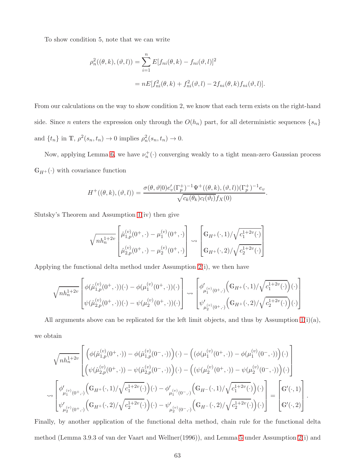To show condition 5, note that we can write

$$
\rho_n^2((\theta, k), (\vartheta, l)) = \sum_{i=1}^n E[f_{ni}(\theta, k) - f_{ni}(\vartheta, l)]^2
$$
  
= 
$$
nE[f_{ni}^2(\theta, k) + f_{ni}^2(\vartheta, l) - 2f_{ni}(\theta, k)f_{ni}(\vartheta, l)].
$$

From our calculations on the way to show condition 2, we know that each term exists on the right-hand side. Since *n* enters the expression only through the  $O(h_n)$  part, for all deterministic sequences  $\{s_n\}$ and  $\{t_n\}$  in T,  $\rho^2(s_n, t_n) \to 0$  implies  $\rho_n^2(s_n, t_n) \to 0$ .

Now, applying Lemma [6,](#page-58-0) we have  $\nu_n^+(\cdot)$  converging weakly to a tight mean-zero Gaussian process  $\mathbb{G}_{H^+}(\cdot)$  with covariance function

$$
H^+(\theta, k), (\vartheta, l)) = \frac{\sigma(\theta, \vartheta|0)e_v'(\Gamma_p^+)^{-1}\Psi^+(\theta, k), (\vartheta, l)(\Gamma_p^+)^{-1}e_v}{\sqrt{c_k(\theta_k)c_l(\vartheta_l)}f_X(0)}.
$$

Slutsky's Theorem and Assumption [1\(](#page-13-0)iv) then give

$$
\sqrt{nh_n^{1+2v}} \begin{bmatrix} \hat{\mu}_{1,p}^{(v)}(0^+,\cdot) - \mu_1^{(v)}(0^+,\cdot) \\ \hat{\mu}_{2,p}^{(v)}(0^+,\cdot) - \mu_2^{(v)}(0^+,\cdot) \end{bmatrix} \rightsquigarrow \begin{bmatrix} G_{H^+}(\cdot,1)/\sqrt{c_1^{1+2v}(\cdot)} \\ G_{H^+}(\cdot,2)/\sqrt{c_2^{1+2v}(\cdot)} \end{bmatrix}
$$

Applying the functional delta method under Assumption [2\(](#page-15-0)i), we then have

$$
\sqrt{nh_n^{1+2v}} \begin{bmatrix} \phi(\hat{\mu}_{1,p}^{(v)}(0^+,\cdot))(\cdot) - \phi(\mu_1^{(v)}(0^+,\cdot))(\cdot) \\ \psi(\hat{\mu}_{2,p}^{(v)}(0^+,\cdot))(\cdot) - \psi(\mu_2^{(v)}(0^+,\cdot))(\cdot) \end{bmatrix} \rightsquigarrow \begin{bmatrix} \phi'_{\mu_1^{(v)}(0^+,\cdot)} \Big(\mathbb{G}_{H^+}(\cdot,1)/\sqrt{c_1^{1+2v}(\cdot)}\Big)(\cdot) \\ \psi'_{\mu_2^{(v)}(0^+,\cdot)} \Big(\mathbb{G}_{H^+}(\cdot,2)/\sqrt{c_2^{1+2v}(\cdot)}\Big)(\cdot) \end{bmatrix}
$$

All arguments above can be replicated for the left limit objects, and thus by Assumption  $1(i)(a)$ ,

we obtain

$$
\sqrt{nh_n^{1+2v}} \left[ \begin{pmatrix} \phi(\hat{\mu}_{1,p}^{(v)}(0^+,\cdot)) - \phi(\hat{\mu}_{1,p}^{(v)}(0^-,\cdot)) \end{pmatrix} (\cdot) - \left( (\phi(\mu_1^{(v)}(0^+,\cdot)) - \phi(\mu_1^{(v)}(0^-,\cdot)) \right) (\cdot) \right] \times \phi(\mu_2^{(v)}(0^+,\cdot)) - \phi(\mu_2^{(v)}(0^+,\cdot)) - \phi(\mu_2^{(v)}(0^+,\cdot)) - \phi(\mu_2^{(v)}(0^-,\cdot)) \end{pmatrix} (\cdot)
$$
  
\n
$$
\sim \begin{bmatrix} \phi'_{\mu_1^{(v)}(0^+,\cdot)} \Big( G_{H^+}(\cdot,1) / \sqrt{c_1^{1+2v}(\cdot)} \Big) (\cdot) - \phi'_{\mu_1^{(v)}(0^-,\cdot)} \Big( G_{H^-}(\cdot,1) / \sqrt{c_1^{1+2v}(\cdot)} \Big) (\cdot) \Big] \\ \psi'_{\mu_2^{(v)}(0^+,\cdot)} \Big( G_{H^+}(\cdot,2) / \sqrt{c_2^{1+2v}(\cdot)} \Big) (\cdot) - \psi'_{\mu_2^{(v)}(0^-,\cdot)} \Big( G_{H^-}(\cdot,2) / \sqrt{c_2^{1+2v}(\cdot)} \Big) (\cdot) \Big] = \begin{bmatrix} G'(\cdot,1) \\ G'(\cdot,2) \end{bmatrix} .
$$

Finally, by another application of the functional delta method, chain rule for the functional delta method (Lemma 3.9.3 of van der Vaart and Wellner(1996)), and Lemma [5](#page-58-1) under Assumption [2\(](#page-15-0)i) and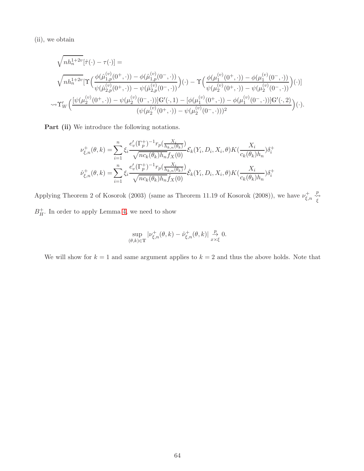(ii), we obtain

$$
\sqrt{nh_n^{1+2v}}[\hat{\tau}(\cdot) - \tau(\cdot)] =
$$
\n
$$
\sqrt{nh_n^{1+2v}}[\Upsilon\Big(\frac{\phi(\hat{\mu}_{1,p}^{(v)}(0^+,\cdot)) - \phi(\hat{\mu}_{1,p}^{(v)}(0^-,\cdot))}{\psi(\hat{\mu}_{2,p}^{(v)}(0^+,\cdot)) - \psi(\hat{\mu}_{2,p}^{(v)}(0^-,\cdot))}\Big)(\cdot) - \Upsilon\Big(\frac{\phi(\mu_1^{(v)}(0^+,\cdot)) - \phi(\mu_1^{(v)}(0^-,\cdot))}{\psi(\mu_2^{(v)}(0^+,\cdot)) - \psi(\mu_2^{(v)}(0^-,\cdot))}\Big)(\cdot)]
$$
\n
$$
\sim \Upsilon'_{W}\Big(\frac{[\psi(\mu_2^{(v)}(0^+,\cdot)) - \psi(\mu_2^{(v)}(0^-,\cdot))]G'(\cdot,1) - [\phi(\mu_1^{(v)}(0^+,\cdot)) - \phi(\mu_1^{(v)}(0^-,\cdot))]G'(\cdot,2)}{(\psi(\mu_2^{(v)}(0^+,\cdot)) - \psi(\mu_2^{(v)}(0^-,\cdot)))^2}\Big)(\cdot).
$$

Part (ii) We introduce the following notations.

$$
\nu_{\xi,n}^+(\theta,k) = \sum_{i=1}^n \xi_i \frac{e'_v(\Gamma_p^+)^{-1} r_p(\frac{X_i}{h_{k,n}(\theta_k)})}{\sqrt{nc_k(\theta_k)h_n} f_X(0)} \mathcal{E}_k(Y_i, D_i, X_i, \theta) K(\frac{X_i}{c_k(\theta_k)h_n}) \delta_i^+
$$

$$
\hat{\nu}_{\xi,n}^+(\theta,k) = \sum_{i=1}^n \xi_i \frac{e'_v(\Gamma_p^+)^{-1} r_p(\frac{X_i}{h_{k,n}(\theta_k)})}{\sqrt{nc_k(\theta_k)h_n} \hat{f}_X(0)} \hat{\mathcal{E}}_k(Y_i, D_i, X_i, \theta) K(\frac{X_i}{c_k(\theta_k)h_n}) \delta_i^+
$$

Applying Theorem 2 of Kosorok (2003) (same as Theorem 11.19 of Kosorok (2008)), we have  $\nu_{\epsilon}^{+}$ .  $\underset{\xi,n}{\overset{+}{\sim}}$   $\underset{\xi}{\overset{p}{\sim}}$  $B_H^+$  $_H^+$ . In order to apply Lemma [4,](#page-57-0) we need to show

$$
\sup_{(\theta,k)\in\mathbb{T}}|\nu_{\xi,n}^+(\theta,k)-\hat{\nu}_{\xi,n}^+(\theta,k)|\overset{p}{\underset{x\times\xi}{\rightarrow}}0.
$$

We will show for  $k = 1$  and same argument applies to  $k = 2$  and thus the above holds. Note that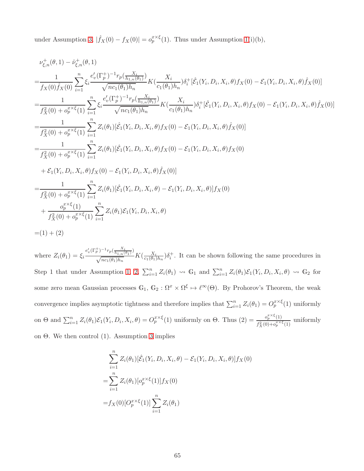under Assumption [3,](#page-16-1)  $|\hat{f}_X(0) - f_X(0)| = o_p^{x \times \xi}(1)$ . Thus under Assumption [1\(](#page-13-0)i)(b),

$$
\nu_{\xi,n}^{+}(\theta,1) - \hat{\nu}_{\xi,n}^{+}(\theta,1) \n= \frac{1}{f_{X}(0)\hat{f}_{X}(0)} \sum_{i=1}^{n} \xi_{i} \frac{e_{v}^{\prime}(\Gamma_{p}^{+})^{-1}r_{p}(\frac{X_{i}}{h_{1,n}(\theta_{1})})}{\sqrt{nc_{1}(\theta_{1})h_{n}}} K(\frac{X_{i}}{c_{1}(\theta_{1})h_{n}}) \delta_{i}^{+}[\hat{\mathcal{E}}_{1}(Y_{i}, D_{i}, X_{i}, \theta) f_{X}(0) - \mathcal{E}_{1}(Y_{i}, D_{i}, X_{i}, \theta)\hat{f}_{X}(0)] \n= \frac{1}{f_{X}^{2}(0) + \sigma_{p}^{x \times \xi}(1)} \sum_{i=1}^{n} \xi_{i} \frac{e_{v}^{\prime}(\Gamma_{p}^{+})^{-1}r_{p}(\frac{X_{i}}{h_{1,n}(\theta_{1})})}{\sqrt{nc_{1}(\theta_{1})h_{n}}} K(\frac{X_{i}}{c_{1}(\theta_{1})h_{n}}) \delta_{i}^{+}[\hat{\mathcal{E}}_{1}(Y_{i}, D_{i}, X_{i}, \theta) f_{X}(0) - \mathcal{E}_{1}(Y_{i}, D_{i}, X_{i}, \theta)\hat{f}_{X}(0)] \n= \frac{1}{f_{X}^{2}(0) + \sigma_{p}^{x \times \xi}(1)} \sum_{i=1}^{n} Z_{i}(\theta_{1})[\hat{\mathcal{E}}_{1}(Y_{i}, D_{i}, X_{i}, \theta) f_{X}(0) - \mathcal{E}_{1}(Y_{i}, D_{i}, X_{i}, \theta) f_{X}(0)] \n+ \mathcal{E}_{1}(Y_{i}, D_{i}, X_{i}, \theta) f_{X}(0) - \mathcal{E}_{1}(Y_{i}, D_{i}, X_{i}, \theta) f_{X}(0) - \mathcal{E}_{1}(Y_{i}, D_{i}, X_{i}, \theta) f_{X}(0) \n+ \mathcal{E}_{1}(Y_{i}, D_{i}, X_{i}, \theta) f_{X}(0) - \mathcal{E}_{1}(Y_{i}, D_{i}, X_{i}, \theta) f_{X}(0)] \n= \frac{1}{f_{X}^{2}(0) + \sigma_{p}^{x \times \xi}(1)} \sum_{i=1}^{n} Z_{i}(\theta_{1
$$

where  $Z_i(\theta_1) = \xi_i \frac{e_v'(\Gamma_p^+)^{-1} r_p(\frac{X_i}{h_{1,n}(\theta_1)})}{\sqrt{m_e(\theta_1)h}}$  $\frac{N_{p_{k_{1,n}}(\theta_1)}N_{k_{1,n}}(B_1)}{\sqrt{nc_1(\theta_1)}h_n}K(\frac{X_i}{c_1(\theta_1)})$  $\frac{X_i}{c_1(\theta_1)h_n}$ ) $\delta_i^+$ . It can be shown following the same procedures in Step 1 that under Assumption [1,](#page-13-0) [2,](#page-15-0)  $\sum_{i=1}^{n} Z_i(\theta_1) \rightsquigarrow \mathbb{G}_1$  and  $\sum_{i=1}^{n} Z_i(\theta_1) \mathcal{E}_1(Y_i, D_i, X_i, \theta) \rightsquigarrow \mathbb{G}_2$  for some zero mean Gaussian processes  $\mathbb{G}_1, \mathbb{G}_2 : \Omega^x \times \Omega^{\xi} \mapsto \ell^{\infty}(\Theta)$ . By Prohorov's Theorem, the weak convergence implies asymptotic tightness and therefore implies that  $\sum_{i=1}^{n} Z_i(\theta_1) = O_p^{x \times \xi}(1)$  uniformly on  $\Theta$  and  $\sum_{i=1}^n Z_i(\theta_1) \mathcal{E}_1(Y_i, D_i, X_i, \theta) = O_p^{x \times \xi}(1)$  uniformly on  $\Theta$ . Thus  $(2) = \frac{o_p^{x \times \xi}(1)}{f_x^2(0) + o_x^{x \times \xi}}$  $\frac{\sigma_p}{f_X^2(0)+\sigma_p^{\frac{x}{\times}\xi}(1)}$  uniformly on Θ. We then control (1). Assumption [3](#page-16-1) implies

$$
\sum_{i=1}^{n} Z_i(\theta_1) [\hat{\mathcal{E}}_1(Y_i, D_i, X_i, \theta) - \mathcal{E}_1(Y_i, D_i, X_i, \theta)] f_X(0)
$$
  
= 
$$
\sum_{i=1}^{n} Z_i(\theta_1) [\sigma_p^{x \times \xi}(1)] f_X(0)
$$
  
= 
$$
f_X(0) [\mathcal{O}_p^{x \times \xi}(1)] \sum_{i=1}^{n} Z_i(\theta_1)
$$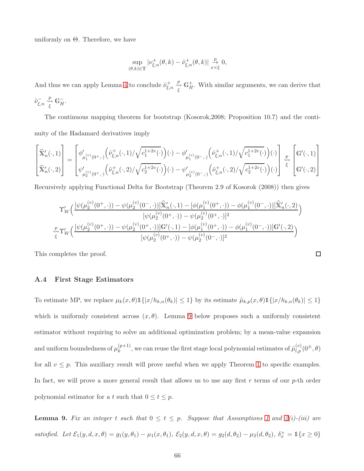uniformly on  $\Theta$ . Therefore, we have

$$
\sup_{(\theta,k)\in\mathbb{T}}|\nu_{\xi,n}^+(\theta,k)-\hat{\nu}_{\xi,n}^+(\theta,k)|\underset{x\times\xi}{\overset{p}{\to}}0,
$$

And thus we can apply Lemma [4](#page-57-0) to conclude  $\hat{\nu}_{\varepsilon}^{+}$ .  $\iota_{\xi,n}^+ \stackrel{p}{\underset{\xi}{\leadsto}} \mathbb{G}_H^+$  $_H^+$ . With similar arguments, we can derive that  $\hat{\nu}_{\xi,n}^- \overset{p}{\underset{\xi}{\leadsto}} \mathbb{G}_H^-$ .

The continuous mapping theorem for bootstrap (Kosorok,2008; Proposition 10.7) and the continuity of the Hadamard derivatives imply

$$
\begin{bmatrix} \widehat{\mathbf{x}}'_n(\cdot,1) \\ \widehat{\mathbf{x}}'_n(\cdot,2) \end{bmatrix} = \begin{bmatrix} \phi'_{\mu_1^{(v)}(0^+,\cdot)}\Big(\widehat{\nu}^+_{\xi,n}(\cdot,1)/\sqrt{c_1^{1+2v}(\cdot)}\Big)(\cdot) - \phi'_{\mu_1^{(v)}(0^-,\cdot)}\Big(\widehat{\nu}^+_{\xi,n}(\cdot,1)/\sqrt{c_1^{1+2v}(\cdot)}\Big)(\cdot) \Bigg] \\ \widehat{\mathbf{x}}'_n(\cdot,2) \end{bmatrix} \stackrel{p}{\underset{\epsilon}{\sim}} \left[ \mathbb{G}'(\cdot,1) \right] \\ \widehat{\mathbf{x}}'_n(\cdot,2) \end{bmatrix} \begin{bmatrix} \widehat{\nu}^+_{\xi,n}(\cdot,1)/\sqrt{c_1^{1+2v}(\cdot)}\Big)(\cdot) - \psi'_{\mu_2^{(v)}(0^-,\cdot)}\Big(\widehat{\nu}^+_{\xi,n}(\cdot,2)/\sqrt{c_2^{1+2v}(\cdot)}\Big)(\cdot) \end{bmatrix} \stackrel{p}{\underset{\epsilon}{\overset{\epsilon}{\sim}}} \left[ \mathbb{G}'(\cdot,1) \right]
$$

Recursively applying Functional Delta for Bootstrap (Theorem 2.9 of Kosorok (2008)) then gives

$$
\Upsilon'_{W}\Big(\frac{[\psi(\mu_{2}^{(v)}(0^{+},\cdot))-\psi(\mu_{2}^{(v)}(0^{-},\cdot))]\widehat{\mathbf{X}}'_{n}(\cdot,1)-[\phi(\mu_{1}^{(v)}(0^{+},\cdot))-\phi(\mu_{1}^{(v)}(0^{-},\cdot))]\widehat{\mathbf{X}}'_{n}(\cdot,2)}{[\psi(\mu_{2}^{(v)}(0^{+},\cdot))-\psi(\mu_{2}^{(v)}(0^{+},\cdot)]^{2}}\Big)
$$

$$
\sum_{\xi}p_{\Upsilon'_{W}}\Big(\frac{[\psi(\mu_{2}^{(v)}(0^{+},\cdot))-\psi(\mu_{2}^{(v)}(0^{+},\cdot))]\mathbf{G}'(\cdot,1)-[\phi(\mu_{1}^{(v)}(0^{+},\cdot))-\phi(\mu_{1}^{(v)}(0^{-},\cdot))]\mathbf{G}'(\cdot,2)}{[\psi(\mu_{2}^{(v)}(0^{+},\cdot))-\psi(\mu_{2}^{(v)}(0^{-},\cdot)]^{2}}\Big)
$$

 $\Box$ 

This completes the proof.

## A.4 First Stage Estimators

To estimate MP, we replace  $\mu_k(x, \theta) \mathbb{1}\{|x/h_{k,n}(\theta_k)| \leq 1\}$  by its estimate  $\tilde{\mu}_{k,p}(x, \theta) \mathbb{1}\{|x/h_{k,n}(\theta_k)| \leq 1\}$ which is uniformly consistent across  $(x, \theta)$ . Lemma [9](#page-65-0) below proposes such a uniformly consistent estimator without requiring to solve an additional optimization problem; by a mean-value expansion and uniform boundedness of  $\mu_k^{(p+1)}$  $(k+1)$ , we can reuse the first stage local polynomial estimates of  $\hat{\mu}_{l,p}^{(v)}(0^{\pm},\theta)$ for all  $v \leq p$ . This auxiliary result will prove useful when we apply Theorem [1](#page-16-0) to specific examples. In fact, we will prove a more general result that allows us to use any first  $r$  terms of our  $p$ -th order polynomial estimator for a t such that  $0 \le t \le p$ .

<span id="page-65-0"></span>**Lemma 9.** Fix an integer t such that  $0 \le t \le p$ . Suppose that Assumptions [1](#page-13-0) and [2\(](#page-15-0)i)-(iii) are satisfied. Let  $\mathcal{E}_1(y, d, x, \theta) = g_1(y, \theta_1) - \mu_1(x, \theta_1), \ \mathcal{E}_2(y, d, x, \theta) = g_2(d, \theta_2) - \mu_2(d, \theta_2), \ \delta_x^+ = \mathbb{1}\{x \ge 0\}$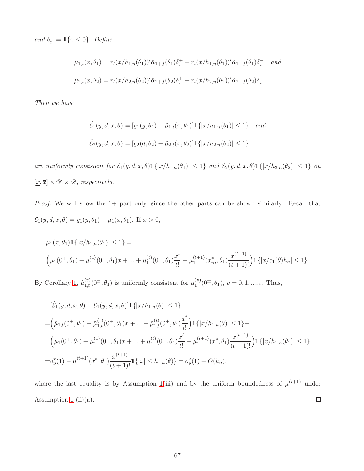and  $\delta_x^- = \mathbb{1}\{x \le 0\}$ . Define

$$
\tilde{\mu}_{1,t}(x,\theta_1) = r_t(x/h_{1,n}(\theta_1))'\hat{\alpha}_{1+,t}(\theta_1)\delta_x^+ + r_t(x/h_{1,n}(\theta_1))'\hat{\alpha}_{1-,t}(\theta_1)\delta_x^- \quad and
$$
  

$$
\tilde{\mu}_{2,t}(x,\theta_2) = r_t(x/h_{2,n}(\theta_2))'\hat{\alpha}_{2+,t}(\theta_2)\delta_x^+ + r_t(x/h_{2,n}(\theta_2))'\hat{\alpha}_{2-,t}(\theta_2)\delta_x^-
$$

Then we have

$$
\hat{\mathcal{E}}_1(y, d, x, \theta) = [g_1(y, \theta_1) - \tilde{\mu}_{1,t}(x, \theta_1)] \mathbb{1}\{|x/h_{1,n}(\theta_1)| \le 1\} \text{ and}
$$
  

$$
\hat{\mathcal{E}}_2(y, d, x, \theta) = [g_2(d, \theta_2) - \tilde{\mu}_{2,t}(x, \theta_2)] \mathbb{1}\{|x/h_{2,n}(\theta_2)| \le 1\}
$$

are uniformly consistent for  $\mathcal{E}_1(y, d, x, \theta) \mathbb{1}\{|x/h_{1,n}(\theta_1)| \leq 1\}$  and  $\mathcal{E}_2(y, d, x, \theta) \mathbb{1}\{|x/h_{2,n}(\theta_2)| \leq 1\}$  on  $[\underline{x}, \overline{x}] \times \mathscr{Y} \times \mathscr{D}$ , respectively.

Proof. We will show the 1+ part only, since the other parts can be shown similarly. Recall that  $\mathcal{E}_1(y, d, x, \theta) = g_1(y, \theta_1) - \mu_1(x, \theta_1)$ . If  $x > 0$ ,

$$
\mu_1(x,\theta_1)\mathbb{1}\{|x/h_{1,n}(\theta_1)| \le 1\} =
$$
\n
$$
\left(\mu_1(0^+,\theta_1) + \mu_1^{(1)}(0^+,\theta_1)x + \dots + \mu_1^{(t)}(0^+,\theta_1)\frac{x^t}{t!} + \mu_1^{(t+1)}(x_{ni}^*,\theta_1)\frac{x^{(t+1)}}{(t+1)!}\right)\mathbb{1}\{|x/c_1(\theta)h_n| \le 1\}.
$$

By Corollary [1,](#page-18-2)  $\hat{\mu}_{1,t}^{(v)}(0^{\pm}, \theta_1)$  is uniformly consistent for  $\mu_1^{(v)}$  $1^{(v)}(0^{\pm}, \theta_1), v = 0, 1, ..., t.$  Thus,

$$
[\hat{\mathcal{E}}_1(y, d, x, \theta) - \mathcal{E}_1(y, d, x, \theta)] \mathbb{1}\{|x/h_{1,n}(\theta)| \le 1\}
$$
  
\n
$$
= (\hat{\mu}_{1,t}(0^+, \theta_1) + \hat{\mu}_{1,t}^{(1)}(0^+, \theta_1)x + \dots + \hat{\mu}_{1,t}^{(t)}(0^+, \theta_1)\frac{x^t}{t!}) \mathbb{1}\{|x/h_{1,n}(\theta)| \le 1\} -
$$
  
\n
$$
(\mu_1(0^+, \theta_1) + \mu_1^{(1)}(0^+, \theta_1)x + \dots + \mu_1^{(t)}(0^+, \theta_1)\frac{x^t}{t!} + \mu_1^{(t+1)}(x^*, \theta_1)\frac{x^{(t+1)}}{(t+1)!}) \mathbb{1}\{|x/h_{1,n}(\theta_1)| \le 1\}
$$
  
\n
$$
= o_p^x(1) - \mu_1^{(t+1)}(x^*, \theta_1)\frac{x^{(t+1)}}{(t+1)!} \mathbb{1}\{|x| \le h_{1,n}(\theta)\} = o_p^x(1) + O(h_n),
$$

where the last equality is by Assumption [1\(](#page-13-0)iii) and by the uniform boundedness of  $\mu^{(t+1)}$  under  $\Box$ Assumption [1](#page-13-0) (ii)(a).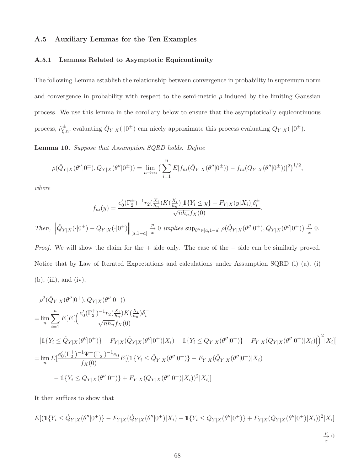# A.5 Auxiliary Lemmas for the Ten Examples

#### A.5.1 Lemmas Related to Asymptotic Equicontinuity

The following Lemma establish the relationship between convergence in probability in supremum norm and convergence in probability with respect to the semi-metric  $\rho$  induced by the limiting Gaussian process. We use this lemma in the corollary below to ensure that the asymptotically equicontinuous process,  $\hat{\nu}_{\xi,n}^{\pm}$ , evaluating  $\hat{Q}_{Y|X}(\cdot|0^{\pm})$  can nicely approximate this process evaluating  $Q_{Y|X}(\cdot|0^{\pm})$ .

<span id="page-67-0"></span>Lemma 10. Suppose that Assumption SQRD holds. Define

$$
\rho(\hat{Q}_{Y|X}(\theta''|0^{\pm}), Q_{Y|X}(\theta''|0^{\pm})) = \lim_{n \to \infty} \left( \sum_{i=1}^{n} E |f_{ni}(\hat{Q}_{Y|X}(\theta''|0^{\pm})) - f_{ni}(Q_{Y|X}(\theta''|0^{\pm}))|^2 \right)^{1/2},
$$

where

$$
f_{ni}(y) = \frac{e_0'(\Gamma_2^{\pm})^{-1} r_2(\frac{X_i}{h_n}) K(\frac{X_i}{h_n}) [\mathbb{1}\{Y_i \le y\} - F_{Y|X}(y|X_i)] \delta_i^{\pm}}{\sqrt{nh_n} f_X(0)}.
$$

Then,  $||\hat{Q}_{Y|X}(\cdot|0^{\pm}) - Q_{Y|X}(\cdot|0^{\pm})||_{[a,1-a]}$ p $\frac{p}{x}$  0 *implies* sup $_{\theta'' \in [a,1-a]}$   $\rho(\hat{Q}_{Y|X}(\theta' | 0^{\pm}), Q_{Y|X}(\theta'' | 0^{\pm})) \frac{p}{x}$  0.

Proof. We will show the claim for the + side only. The case of the − side can be similarly proved. Notice that by Law of Iterated Expectations and calculations under Assumption SQRD (i) (a), (i)  $(b)$ ,  $(iii)$ , and  $(iv)$ ,

$$
\rho^{2}(\hat{Q}_{Y|X}(\theta''|0^{+}), Q_{Y|X}(\theta''|0^{+}))
$$
\n
$$
= \lim_{n} \sum_{i=1}^{n} E[E[\left(\frac{e_{0}'(\Gamma_{2}^{+})^{-1}r_{2}(\frac{X_{i}}{h_{n}})K(\frac{X_{i}}{h_{n}})\delta_{i}^{+}}{\sqrt{nh_{n}}f_{X}(0)}\right]
$$
\n
$$
[\mathbb{1}\{Y_{i} \leq \hat{Q}_{Y|X}(\theta''|0^{+})\} - F_{Y|X}(\hat{Q}_{Y|X}(\theta''|0^{+})|X_{i}) - \mathbb{1}\{Y_{i} \leq Q_{Y|X}(\theta''|0^{+})\} + F_{Y|X}(Q_{Y|X}(\theta''|0^{+})|X_{i})]\right)^{2}|X_{i}]]
$$
\n
$$
= \lim_{n} E[\frac{e_{0}'(\Gamma_{2}^{+})^{-1}\Psi^{+}(\Gamma_{2}^{+})^{-1}e_{0}}{f_{X}(0)}E[(\mathbb{1}\{Y_{i} \leq \hat{Q}_{Y|X}(\theta''|0^{+})\} - F_{Y|X}(\hat{Q}_{Y|X}(\theta''|0^{+})|X_{i}) - \mathbb{1}\{Y_{i} \leq Q_{Y|X}(\theta''|0^{+})\} + F_{Y|X}(Q_{Y|X}(\theta''|0^{+})|X_{i}))]^{2}|X_{i}]]
$$

It then suffices to show that

$$
E[(\mathbb{1}\{Y_i \le \hat{Q}_{Y|X}(\theta''|0^+)\} - F_{Y|X}(\hat{Q}_{Y|X}(\theta''|0^+)|X_i) - \mathbb{1}\{Y_i \le Q_{Y|X}(\theta''|0^+)\} + F_{Y|X}(Q_{Y|X}(\theta''|0^+)|X_i))^2|X_i]
$$
  

$$
\xrightarrow[\frac{p}{x}]{\frac{p}{x}} 0
$$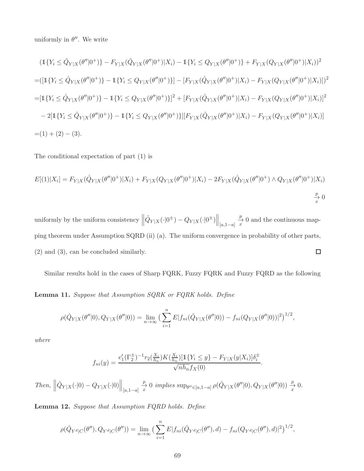uniformly in  $\theta''$ . We write

$$
(1\{Y_i \le \hat{Q}_{Y|X}(\theta''|0^+)\} - F_{Y|X}(\hat{Q}_{Y|X}(\theta''|0^+)\|X_i) - 1\{Y_i \le Q_{Y|X}(\theta''|0^+)\} + F_{Y|X}(Q_{Y|X}(\theta''|0^+)\|X_i))^2
$$
  
\n= 
$$
([1\{Y_i \le \hat{Q}_{Y|X}(\theta''|0^+)\} - 1\{Y_i \le Q_{Y|X}(\theta''|0^+)\}] - [F_{Y|X}(\hat{Q}_{Y|X}(\theta''|0^+)\|X_i) - F_{Y|X}(Q_{Y|X}(\theta''|0^+)\|X_i)])^2
$$
  
\n= 
$$
[1\{Y_i \le \hat{Q}_{Y|X}(\theta''|0^+)\} - 1\{Y_i \le Q_{Y|X}(\theta''|0^+)\}]^2 + [F_{Y|X}(\hat{Q}_{Y|X}(\theta''|0^+)\|X_i) - F_{Y|X}(Q_{Y|X}(\theta''|0^+)\|X_i)]^2
$$
  
\n- 
$$
2[1\{Y_i \le \hat{Q}_{Y|X}(\theta''|0^+)\} - 1\{Y_i \le Q_{Y|X}(\theta''|0^+)\}\] [F_{Y|X}(\hat{Q}_{Y|X}(\theta''|0^+)\|X_i) - F_{Y|X}(Q_{Y|X}(\theta''|0^+)\|X_i)]
$$
  
\n= 
$$
(1) + (2) - (3).
$$

The conditional expectation of part (1) is

$$
E[(1)|X_i] = F_{Y|X}(\hat{Q}_{Y|X}(\theta''|0^+)|X_i) + F_{Y|X}(Q_{Y|X}(\theta''|0^+)|X_i) - 2F_{Y|X}(\hat{Q}_{Y|X}(\theta''|0^+) \wedge Q_{Y|X}(\theta''|0^+)|X_i)
$$
  

$$
\xrightarrow[\text{at }]{\mathcal{P}} 0
$$

uniformly by the uniform consistency  $\left\| \hat{Q}_{Y|X}(\cdot|0^{\pm}) - Q_{Y|X}(\cdot|0^{\pm}) \right\|_{[a,1-a]}$ p $\frac{P}{x}$  0 and the continuous mapping theorem under Assumption SQRD (ii) (a). The uniform convergence in probability of other parts, (2) and (3), can be concluded similarly.  $\Box$ 

Similar results hold in the cases of Sharp FQRK, Fuzzy FQRK and Fuzzy FQRD as the following

Lemma 11. Suppose that Assumption SQRK or FQRK holds. Define

$$
\rho(\hat{Q}_{Y|X}(\theta''|0), Q_{Y|X}(\theta''|0)) = \lim_{n \to \infty} \left( \sum_{i=1}^n E |f_{ni}(\hat{Q}_{Y|X}(\theta''|0)) - f_{ni}(Q_{Y|X}(\theta''|0))|^2 \right)^{1/2},
$$

where

$$
f_{ni}(y) = \frac{e'_1(\Gamma_2^{\pm})^{-1} r_2(\frac{X_i}{h_n}) K(\frac{X_i}{h_n}) [\mathbb{1}\{Y_i \le y\} - F_{Y|X}(y|X_i)] \delta_i^{\pm}}{\sqrt{nh_n} f_X(0)}.
$$

Then,  $\left\|\hat{Q}_{Y|X}(\cdot|0) - Q_{Y|X}(\cdot|0)\right\|_{[a,1-a]} \stackrel{p}{\to} 0 \implies$  implies  $\sup_{\theta'' \in [a,1-a]} \rho(\hat{Q}_{Y|X}(\theta''|0), Q_{Y|X}(\theta''|0)) \stackrel{p}{\to} 0$ .

Lemma 12. Suppose that Assumption FQRD holds. Define

$$
\rho(\hat{Q}_{Y^d|C}(\theta''), Q_{Y^d|C}(\theta'')) = \lim_{n \to \infty} \left( \sum_{i=1}^n E |f_{ni}(\hat{Q}_{Y^d|C}(\theta''), d) - f_{ni}(Q_{Y^d|C}(\theta''), d) |^2 \right)^{1/2},
$$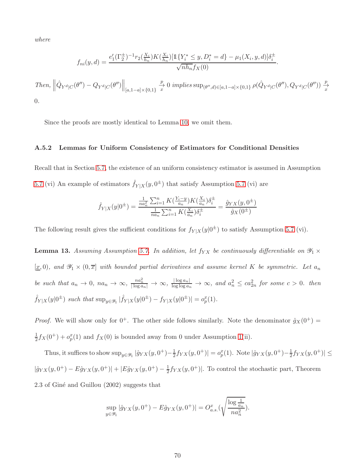where

$$
f_{ni}(y,d) = \frac{e'_1(\Gamma_2^{\pm})^{-1} r_2(\frac{X_i}{h_n}) K(\frac{X_i}{h_n}) [\mathbb{1}\{Y_i^* \le y, D_i^* = d\} - \mu_1(X_i, y, d)] \delta_i^{\pm}}{\sqrt{nh_n} f_X(0)}.
$$

 $\left. Then, \ \left\|\hat{Q}_{Y^d|C}(\theta'') - Q_{Y^d|C}(\theta'') \right\|_{[a,1-a] \times \{0,1\}} \xrightarrow{x} 0 \ implies \sup_{(\theta'',d) \in [a,1-a] \times \{0,1\}} \rho(\hat{Q}_{Y^d|C}(\theta''), Q_{Y^d|C}(\theta'')) \xrightarrow{x} 0 \right\}$ 0.

Since the proofs are mostly identical to Lemma [10,](#page-67-0) we omit them.

#### A.5.2 Lemmas for Uniform Consistency of Estimators for Conditional Densities

Recall that in Section [5.7,](#page-29-0) the existence of an uniform consistency estimator is assumed in Assumption [5.7](#page-29-0) (vi) An example of estimators  $\hat{f}_{Y|X}(y, 0^{\pm})$  that satisfy Assumption [5.7](#page-29-0) (vi) are

$$
\hat{f}_{Y|X}(y|0^{\pm}) = \frac{\frac{1}{na_n^2} \sum_{i=1}^n K(\frac{Y_i - y}{a_n}) K(\frac{X_i}{a_n}) \delta_i^{\pm}}{\frac{1}{na_n} \sum_{i=1}^n K(\frac{X_i}{a_n}) \delta_i^{\pm}} = \frac{\hat{g}_{YX}(y, 0^{\pm})}{\hat{g}_{X}(0^{\pm})}
$$

The following result gives the sufficient conditions for  $f_{Y|X}(y|0^{\pm})$  to satisfy Assumption [5.7](#page-29-0) (vi).

**Lemma 13.** Assuming Assumption [5.7.](#page-29-0) In addition, let  $f_{YX}$  be continuously differentiable on  $\mathscr{Y}_1 \times$  $[\underline{x}, 0)$ , and  $\mathscr{Y}_1 \times (0, \overline{x}]$  with bounded partial derivatives and assume kernel K be symmetric. Let  $a_n$ be such that  $a_n \to 0$ ,  $na_n \to \infty$ ,  $\frac{na_n^2}{\log a_n} \to \infty$ ,  $\frac{|\log a_n|}{\log \log a_n} \to \infty$ , and  $a_n^2 \leq ca_{2n}^2$  for some  $c > 0$ . then  $\hat{f}_{Y|X}(y|0^{\pm})$  such that  $\sup_{y \in \mathscr{Y}_1} |\hat{f}_{Y|X}(y|0^{\pm}) - f_{Y|X}(y|0^{\pm})| = o_p^x(1)$ .

*Proof.* We will show only for  $0^+$ . The other side follows similarly. Note the denominator  $\hat{g}_X(0^+)$  = 1  $\frac{1}{2}f_X(0^+) + o_p^x(1)$  and  $f_X(0)$  is bounded away from 0 under Assumption [1\(](#page-13-0)ii).

Thus, it suffices to show  $\sup_{y \in \mathscr{Y}_1} |\hat{g}_{YX}(y, 0^+) - \frac{1}{2}\rangle$  $\frac{1}{2}f_{YX}(y,0^+)| = o_p^x(1)$ . Note  $|\hat{g}_{YX}(y,0^+)-\frac{1}{2}\rangle$  $\frac{1}{2}f_{YX}(y,0^+)|\leq$  $|\hat{g}_{YX}(y,0^+) - E\hat{g}_{YX}(y,0^+)| + |E\hat{g}_{YX}(y,0^+) - \frac{1}{2}f_{YX}(y,0^+)|$ . To control the stochastic part, Theorem 2.3 of Giné and Guillou (2002) suggests that

$$
\sup_{y \in \mathcal{Y}_1} |\hat{g}_{YX}(y, 0^+) - E\hat{g}_{YX}(y, 0^+)| = O_{a.s.}^x(\sqrt{\frac{\log \frac{1}{a_n}}{na_n^2}}).
$$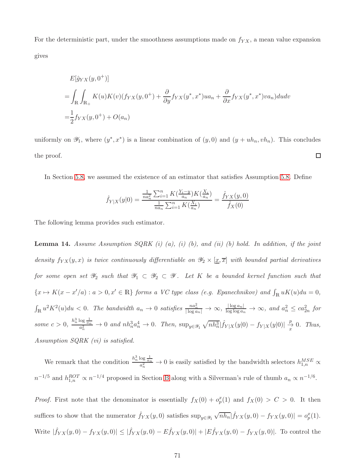For the deterministic part, under the smoothness assumptions made on  $f_{YX}$ , a mean value expansion gives

$$
E[\hat{g}_{YX}(y,0^+)]
$$
  
= 
$$
\int_{\mathbb{R}} \int_{\mathbb{R}_+} K(u)K(v)(f_{YX}(y,0^+) + \frac{\partial}{\partial y} f_{YX}(y^*,x^*)ua_n + \frac{\partial}{\partial x} f_{YX}(y^*,x^*)va_n)dudv
$$
  
= 
$$
\frac{1}{2} f_{YX}(y,0^+) + O(a_n)
$$

uniformly on  $\mathscr{Y}_1$ , where  $(y^*, x^*)$  is a linear combination of  $(y, 0)$  and  $(y + uh_n, vh_n)$ . This concludes  $\Box$ the proof.

In Section [5.8,](#page-31-0) we assumed the existence of an estimator that satisfies Assumption [5.8.](#page-31-1) Define

$$
\hat{f}_{Y|X}(y|0) = \frac{\frac{1}{na_n^2} \sum_{i=1}^n K(\frac{Y_i - y}{a_n}) K(\frac{X_i}{a_n})}{\frac{1}{na_n} \sum_{i=1}^n K(\frac{X_i}{a_n})} = \frac{\hat{f}_{YX}(y,0)}{\hat{f}_{X}(0)}
$$

The following lemma provides such estimator.

**Lemma 14.** Assume Assumption  $SQRK$  (i) (a), (i) (b), and (ii) (b) hold. In addition, if the joint density  $f_{YX}(y, x)$  is twice continuously differentiable on  $\mathscr{Y}_2 \times [\underline{x}, \overline{x}]$  with bounded partial derivatives for some open set  $\mathscr{Y}_2$  such that  $\mathscr{Y}_1 \subset \mathscr{Y}_2 \subset \mathscr{Y}$ . Let K be a bounded kernel function such that  ${x \mapsto K(x - x'/a) : a > 0, x' \in \mathbb{R}}$  forms a VC type class (e.g. Epanechnikov) and  $\int_{\mathbb{R}} uK(u)du = 0$ ,  $\int_{\mathbb{R}} u^2 K^2(u) du < 0$ . The bandwidth  $a_n \to 0$  satisfies  $\frac{na_n^2}{|\log a_n|} \to \infty$ ,  $\frac{|\log a_n|}{\log \log a_n} \to \infty$ , and  $a_n^2 \leq ca_{2n}^2$  for some  $c > 0$ ,  $\frac{h_n^3 \log \frac{1}{a_n}}{a_n^2} \to 0$  and  $nh_n^3 a_n^4 \to 0$ . Then,  $\sup_{y \in \mathscr{Y}_1} \sqrt{nh_n^3} |\hat{f}_{Y|X}(y|0) - f_{Y|X}(y|0)| \frac{p}{x}$  $\frac{P}{x}$  0. Thus, Assumption SQRK (vi) is satisfied.

We remark that the condition  $\frac{h_n^3 \log \frac{1}{a_n}}{a_n^2} \to 0$  is easily satisfied by the bandwidth selectors  $h_{1,n}^{MSE} \propto$  $n^{-1/5}$  and  $h_{1,n}^{ROT} \propto n^{-1/4}$  proposed in Section [B](#page-79-0) along with a Silverman's rule of thumb  $a_n \propto n^{-1/6}$ .

*Proof.* First note that the denominator is essentially  $f_X(0) + o_p(x)$  and  $f_X(0) > C > 0$ . It then suffices to show that the numerator  $\hat{f}_{YX}(y,0)$  satisfies  $\sup_{y\in\mathscr{Y}_1} \sqrt{nh_n} |\hat{f}_{YX}(y,0) - f_{YX}(y,0)| = o_p^x(1)$ . Write  $|\hat{f}_{YX}(y,0) - f_{YX}(y,0)| \leq |\hat{f}_{YX}(y,0) - E\hat{f}_{YX}(y,0)| + |E\hat{f}_{YX}(y,0) - f_{YX}(y,0)|$ . To control the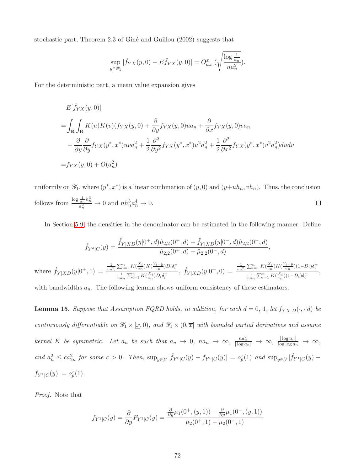stochastic part, Theorem 2.3 of Giné and Guillou (2002) suggests that

$$
\sup_{y\in\mathscr{Y}_1}|\widehat{f}_{YX}(y,0)-E\widehat{f}_{YX}(y,0)|=O_{a.s.}^x(\sqrt{\frac{\log\frac{1}{a_n}}{na_n^2}}).
$$

For the deterministic part, a mean value expansion gives

$$
E[\hat{f}_{YX}(y,0)]
$$
  
= 
$$
\int_{\mathbb{R}} \int_{\mathbb{R}} K(u)K(v)(f_{YX}(y,0) + \frac{\partial}{\partial y}f_{YX}(y,0)ua_n + \frac{\partial}{\partial x}f_{YX}(y,0)va_n
$$
  
+ 
$$
\frac{\partial}{\partial y} \frac{\partial}{\partial y}f_{YX}(y^*,x^*)uva_n^2 + \frac{1}{2} \frac{\partial^2}{\partial y^2}f_{YX}(y^*,x^*)u^2a_n^2 + \frac{1}{2} \frac{\partial^2}{\partial x^2}f_{YX}(y^*,x^*)v^2a_n^2)dudv
$$
  
= 
$$
f_{YX}(y,0) + O(a_n^2)
$$

uniformly on  $\mathscr{Y}_1$ , where  $(y^*, x^*)$  is a linear combination of  $(y, 0)$  and  $(y+uh_n, vh_n)$ . Thus, the conclusion follows from  $\frac{\log \frac{1}{a_n} h_n^3}{a^2}$  $\frac{\overline{a_n}^{n_n}}{a_n^2} \to 0$  and  $nh_n^3 a_n^4 \to 0$ .  $\Box$ 

In Section [5.9,](#page-34-0) the densities in the denominator can be estimated in the following manner. Define

$$
\hat{f}_{Y^d|C}(y) = \frac{\hat{f}_{Y|XD}(y|0^+, d)\hat{\mu}_{2,2}(0^+, d) - \hat{f}_{Y|XD}(y|0^-, d)\hat{\mu}_{2,2}(0^-, d)}{\hat{\mu}_{2,2}(0^+, d) - \hat{\mu}_{2,2}(0^-, d)},
$$
\nwhere 
$$
\hat{f}_{Y|XD}(y|0^{\pm}, 1) = \frac{\frac{1}{n a_n^2} \sum_{i=1}^n K(\frac{X_i}{a_n}) K(\frac{Y_i - y}{a_n}) D_i \delta_i^{\pm}}{\frac{1}{n a_n} \sum_{i=1}^n K(\frac{X_i}{a_n}) D_i \delta_i^{\pm}}, \ \hat{f}_{Y|XD}(y|0^{\pm}, 0) = \frac{\frac{1}{n a_n^2} \sum_{i=1}^n K(\frac{X_i}{a_n}) K(\frac{Y_i - y}{a_n}) (1 - D_i) \delta_i^{\pm}}{\frac{1}{n a_n} \sum_{i=1}^n K(\frac{X_i}{a_n}) (1 - D_i) \delta_i^{\pm}},
$$

with bandwidths  $a_n$ . The following lemma shows uniform consistency of these estimators.

**Lemma 15.** Suppose that Assumption FQRD holds, in addition, for each  $d = 0, 1$ , let  $f_{YX|D}(\cdot, \cdot | d)$  be continuously differentiable on  $\mathscr{Y}_1 \times [\underline{x}, 0)$ , and  $\mathscr{Y}_1 \times (0, \overline{x}]$  with bounded partial derivatives and assume kernel K be symmetric. Let  $a_n$  be such that  $a_n \to 0$ ,  $na_n \to \infty$ ,  $\frac{na_n^2}{|\log a_n|} \to \infty$ ,  $\frac{|\log a_n|}{\log \log a_n} \to \infty$ , and  $a_n^2 \leq ca_{2n}^2$  for some  $c > 0$ . Then,  $\sup_{y \in \mathcal{Y}} |\hat{f}_{Y^0|C}(y) - f_{Y^0|C}(y)| = o_p^x(1)$  and  $\sup_{y \in \mathcal{Y}} |\hat{f}_{Y^1|C}(y) - f_{Y^0|C}(y)|$  $f_{Y^1|C}(y)| = o_p^x(1)$ .

Proof. Note that

$$
f_{Y^1|C}(y) = \frac{\partial}{\partial y} F_{Y^1|C}(y) = \frac{\frac{\partial}{\partial y} \mu_1(0^+, (y, 1)) - \frac{\partial}{\partial y} \mu_1(0^-, (y, 1))}{\mu_2(0^+, 1) - \mu_2(0^-, 1)}
$$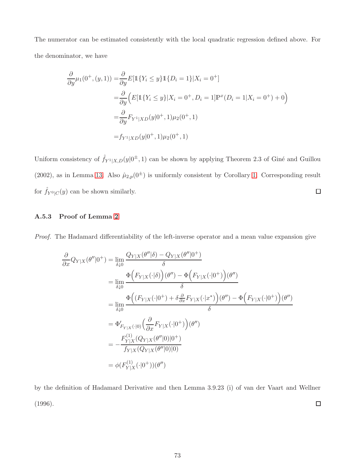The numerator can be estimated consistently with the local quadratic regression defined above. For the denominator, we have

$$
\frac{\partial}{\partial y}\mu_1(0^+, (y, 1)) = \frac{\partial}{\partial y}E[\mathbb{1}\{Y_i \le y\}\mathbb{1}\{D_i = 1\}|X_i = 0^+\]
$$
  
\n
$$
= \frac{\partial}{\partial y}\Big(E[\mathbb{1}\{Y_i \le y\}|X_i = 0^+, D_i = 1]\mathbb{P}^x(D_i = 1|X_i = 0^+) + 0\Big)
$$
  
\n
$$
= \frac{\partial}{\partial y}F_{Y^1|XD}(y|0^+, 1)\mu_2(0^+, 1)
$$
  
\n
$$
= f_{Y^1|XD}(y|0^+, 1)\mu_2(0^+, 1)
$$

Uniform consistency of  $\hat{f}_{Y^1|X,D}(y|0^{\pm}, 1)$  can be shown by applying Theorem 2.3 of Giné and Guillou (2002), as in Lemma [13.](#page-69-0) Also  $\hat{\mu}_{2,p}(0^{\pm})$  is uniformly consistent by Corollary [1.](#page-18-0) Corresponding result for  $\hat{f}_{Y^0|C}(y)$  can be shown similarly.  $\Box$ 

# A.5.3 Proof of Lemma [2](#page-32-0)

Proof. The Hadamard differentiability of the left-inverse operator and a mean value expansion give

$$
\frac{\partial}{\partial x} Q_{Y|X}(\theta''|0^+) = \lim_{\delta \downarrow 0} \frac{Q_{Y|X}(\theta''|\delta) - Q_{Y|X}(\theta''|0^+)}{\delta}
$$
\n
$$
= \lim_{\delta \downarrow 0} \frac{\Phi(F_{Y|X}(\cdot|\delta))(\theta'') - \Phi(F_{Y|X}(\cdot|0^+))(\theta'')}{\delta}
$$
\n
$$
= \lim_{\delta \downarrow 0} \frac{\Phi((F_{Y|X}(\cdot|0^+) + \delta \frac{\partial}{\partial x} F_{Y|X}(\cdot|x^*))(\theta'') - \Phi(F_{Y|X}(\cdot|0^+))(\theta'')}{\delta}
$$
\n
$$
= \Phi'_{F_{Y|X}(\cdot|0)} \left(\frac{\partial}{\partial x} F_{Y|X}(\cdot|0^+)\right)(\theta'')
$$
\n
$$
= -\frac{F_{Y|X}^{(1)}(Q_{Y|X}(\theta''|0)|0^+)}{f_{Y|X}(Q_{Y|X}(\theta''|0)|0)}
$$
\n
$$
= \phi(F_{Y|X}^{(1)}(\cdot|0^+))(\theta'')
$$

by the definition of Hadamard Derivative and then Lemma 3.9.23 (i) of van der Vaart and Wellner (1996).  $\Box$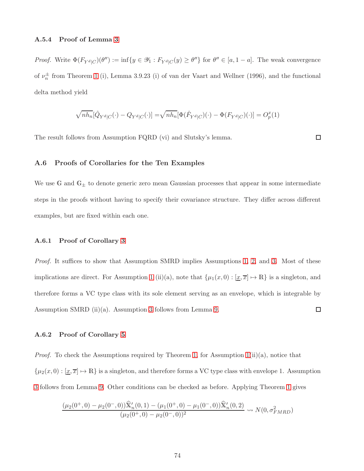## A.5.4 Proof of Lemma [3](#page-35-0)

*Proof.* Write  $\Phi(F_{Y^d|C})(\theta'') := \inf\{y \in \mathcal{Y}_1 : F_{Y^d|C}(y) \ge \theta''\}$  for  $\theta'' \in [a, 1-a]$ . The weak convergence of  $\nu_n^{\pm}$  from Theorem [1](#page-16-0) (i), Lemma 3.9.23 (i) of van der Vaart and Wellner (1996), and the functional delta method yield

$$
\sqrt{nh_{n}}[\hat{Q}_{Y^{d}|C}(\cdot)-Q_{Y^{d}|C}(\cdot)]=\sqrt{nh_{n}}[\Phi(\hat{F}_{Y^{d}|C})(\cdot)-\Phi(F_{Y^{d}|C})(\cdot)]=O_{p}^{x}(1)
$$

The result follows from Assumption FQRD (vi) and Slutsky's lemma.

 $\Box$ 

# A.6 Proofs of Corollaries for the Ten Examples

We use G and  $G_{\pm}$  to denote generic zero mean Gaussian processes that appear in some intermediate steps in the proofs without having to specify their covariance structure. They differ across different examples, but are fixed within each one.

#### A.6.1 Proof of Corollary [3](#page-19-0)

Proof. It suffices to show that Assumption SMRD implies Assumptions [1,](#page-13-0) [2,](#page-15-0) and [3.](#page-16-1) Most of these implications are direct. For Assumption [1](#page-13-0) (ii)(a), note that  $\{\mu_1(x, 0) : [\underline{x}, \overline{x}] \mapsto \mathbb{R}\}\)$  is a singleton, and therefore forms a VC type class with its sole element serving as an envelope, which is integrable by  $\Box$ Assumption SMRD (ii)(a). Assumption [3](#page-16-1) follows from Lemma [9.](#page-65-0)

#### A.6.2 Proof of Corollary [5](#page-22-0)

*Proof.* To check the Assumptions required by Theorem [1,](#page-16-0) for Assumption  $1(ii)(a)$ , notice that  $\{\mu_2(x, 0) : [\underline{x}, \overline{x}] \mapsto \mathbb{R}\}\$ is a singleton, and therefore forms a VC type class with envelope 1. Assumption [3](#page-16-1) follows from Lemma [9.](#page-65-0) Other conditions can be checked as before. Applying Theorem [1](#page-16-0) gives

$$
\frac{(\mu_2(0^+,0) - \mu_2(0^-,0))\widehat{X}'_n(0,1) - (\mu_1(0^+,0) - \mu_1(0^-,0))\widehat{X}'_n(0,2)}{(\mu_2(0^+,0) - \mu_2(0^-,0))^2} \rightsquigarrow N(0,\sigma_{FMRD}^2)
$$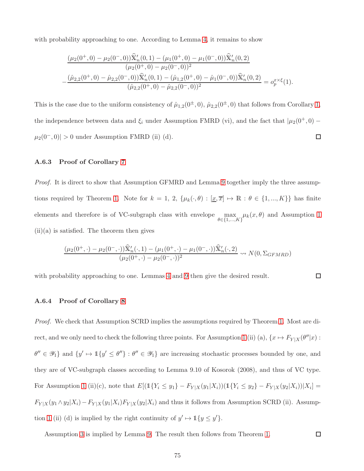with probability approaching to one. According to Lemma [4,](#page-57-0) it remains to show

$$
\frac{(\mu_2(0^+,0) - \mu_2(0^-,0))\widehat{\mathbf{X}}'_n(0,1) - (\mu_1(0^+,0) - \mu_1(0^-,0))\widehat{\mathbf{X}}'_n(0,2)}{(\mu_2(0^+,0) - \mu_2(0^-,0))^2} - \frac{(\widehat{\mu}_{2,2}(0^+,0) - \widehat{\mu}_{2,2}(0^-,0))\widehat{\mathbf{X}}'_n(0,1) - (\widehat{\mu}_{1,2}(0^+,0) - \widehat{\mu}_1(0^-,0))\widehat{\mathbf{X}}'_n(0,2)}{(\widehat{\mu}_{2,2}(0^+,0) - \widehat{\mu}_{2,2}(0^-,0))^2} = o_p^{x \times \xi}(1).
$$

This is the case due to the uniform consistency of  $\hat{\mu}_{1,2}(0^{\pm},0)$ ,  $\hat{\mu}_{2,2}(0^{\pm},0)$  that follows from Corollary [1,](#page-18-0) the independence between data and  $\xi_i$  under Assumption FMRD (vi), and the fact that  $|\mu_2(0^+, 0) - \mu_1(0^+, 0)|$  $\Box$  $\mu_2(0^-,0)$  > 0 under Assumption FMRD (ii) (d).

## A.6.3 Proof of Corollary [7](#page-26-0)

Proof. It is direct to show that Assumption GFMRD and Lemma [9](#page-65-0) together imply the three assump-tions required by Theorem [1.](#page-16-0) Note for  $k = 1, 2, \{\mu_k(\cdot, \theta) : [\underline{x}, \overline{x}] \mapsto \mathbb{R} : \theta \in \{1, ..., K\}\}\)$  has finite elements and therefore is of VC-subgraph class with envelope max  $\theta \in \{1, ..., K\}$  $\mu_k(x, \theta)$  and Assumption [1](#page-13-0)  $(ii)(a)$  is satisfied. The theorem then gives

$$
\frac{(\mu_2(0^+,\cdot)-\mu_2(0^-,\cdot))\widehat{X}'_n(\cdot,1)-(\mu_1(0^+,\cdot)-\mu_1(0^-,\cdot))\widehat{X}'_n(\cdot,2)}{(\mu_2(0^+,\cdot)-\mu_2(0^-,\cdot))^2} \rightsquigarrow N(0,\Sigma_{GFMRD})
$$

with probability approaching to one. Lemmas [4](#page-57-0) and [9](#page-65-0) then give the desired result.

#### $\Box$

 $\Box$ 

#### A.6.4 Proof of Corollary [8](#page-28-0)

Proof. We check that Assumption SCRD implies the assumptions required by Theorem [1.](#page-16-0) Most are di-rect, and we only need to check the following three points. For Assumption [1](#page-13-0) (ii) (a),  $\{x \mapsto F_{Y|X}(\theta''|x) :$  $\theta'' \in \mathscr{Y}_1$  and  $\{y' \mapsto \mathbb{1}\{y' \leq \theta''\} : \theta'' \in \mathscr{Y}_1\}$  are increasing stochastic processes bounded by one, and they are of VC-subgraph classes according to Lemma 9.10 of Kosorok (2008), and thus of VC type. For Assumption [1](#page-13-0) (ii)(c), note that  $E[(1\{Y_i \le y_1\} - F_{Y|X}(y_1|X_i)) (1\{Y_i \le y_2\} - F_{Y|X}(y_2|X_i)) | X_i] =$  $F_{Y|X}(y_1 \wedge y_2|X_i) - F_{Y|X}(y_1|X_i)F_{Y|X}(y_2|X_i)$  and thus it follows from Assumption SCRD (ii). Assump-tion [1](#page-13-0) (ii) (d) is implied by the right continuity of  $y' \mapsto \mathbb{1}{y \le y'}$ .

Assumption [3](#page-16-1) is implied by Lemma [9.](#page-65-0) The result then follows from Theorem [1.](#page-16-0)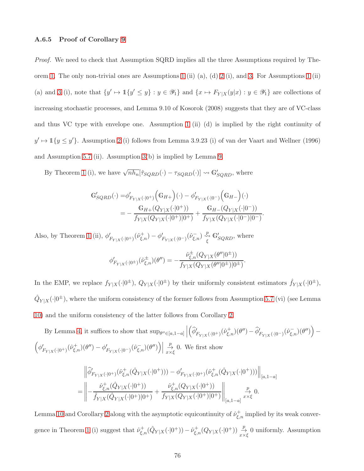## A.6.5 Proof of Corollary [9](#page-30-0)

Proof. We need to check that Assumption SQRD implies all the three Assumptions required by The-orem [1.](#page-16-0) The only non-trivial ones are Assumptions [1](#page-13-0) (ii) (a), (d) [2](#page-15-0) (i), and [3.](#page-16-1) For Assumptions 1 (ii) (a) and [3](#page-16-1) (i), note that  $\{y' \mapsto \mathbb{1}\{y' \leq y\} : y \in \mathscr{Y}_1\}$  and  $\{x \mapsto F_{Y|X}(y|x) : y \in \mathscr{Y}_1\}$  are collections of increasing stochastic processes, and Lemma 9.10 of Kosorok (2008) suggests that they are of VC-class and thus VC type with envelope one. Assumption [1](#page-13-0) (ii) (d) is implied by the right continuity of  $y' \mapsto \mathbb{1}{y \le y'}$ . Assumption [2](#page-15-0) (i) follows from Lemma 3.9.23 (i) of van der Vaart and Wellner (1996) and Assumption [5.7](#page-29-0) (ii). Assumption  $3(b)$  is implied by Lemma [9.](#page-65-0)

By Theorem [1](#page-16-0) (i), we have  $\sqrt{nh_n}[\hat{\tau}_{SQRD}(\cdot) - \tau_{SQRD}(\cdot)] \rightsquigarrow \mathbb{G}'_{SQRD}$ , where

$$
\begin{aligned} \mathbb{G}_{SQRD}^{\prime}(\cdot)=&\phi_{F_{Y|X}(\cdot|0^{+})}^{\prime}\Big(\mathbb{G}_{H+}\Big)(\cdot)-\phi_{F_{Y|X}(\cdot|0^{-})}^{\prime}\Big(\mathbb{G}_{H-}\Big)(\cdot)\\ =&-\frac{\mathbb{G}_{H+}(Q_{Y|X}(\cdot|0^{+}))}{f_{Y|X}(Q_{Y|X}(\cdot|0^{+})|0^{+})}+\frac{\mathbb{G}_{H-}(Q_{Y|X}(\cdot|0^{-}))}{f_{Y|X}(Q_{Y|X}(\cdot|0^{-})|0^{-})}. \end{aligned}
$$

Also, by Theorem [1](#page-16-0) (ii),  $\phi'_{F_{Y|X}(\cdot|0^+)}(\hat{\nu}_{\xi,n}^+) - \phi'_{F_{Y|X}(\cdot|0^-)}(\hat{\nu}_{\xi,n}^-) \stackrel{p}{\underset{\xi}{\leadsto}} \mathbb{G}'_{SQRD}$ , where

$$
\phi'_{F_{Y|X}(\cdot|0^{\pm})}(\hat{\nu}_{\xi,n}^{\pm})(\theta'') = -\frac{\hat{\nu}_{\xi,n}^{\pm}(Q_{Y|X}(\theta''|0^{\pm}))}{f_{Y|X}(Q_{Y|X}(\theta''|0^{\pm})|0^{\pm})}.
$$

In the EMP, we replace  $f_{Y|X}(\cdot|0^{\pm}), Q_{Y|X}(\cdot|0^{\pm})$  by their uniformly consistent estimators  $\hat{f}_{Y|X}(\cdot|0^{\pm}),$  $\hat{Q}_{Y|X}(\cdot|0^{\pm})$ , where the uniform consistency of the former follows from Assumption [5.7](#page-29-0) (vi) (see Lemma [10\)](#page-67-0) and the uniform consistency of the latter follows from Corollary [2.](#page-18-1)

By Lemma [4,](#page-57-0) it suffices to show that  $\sup_{\theta'' \in [a, 1-a]}$   $\left(\widehat{\phi}'_{F_{Y|X}(\cdot|0^+)}(\widehat{\nu}^+_{\xi,n})(\theta'') - \widehat{\phi}'_{F_{Y|X}(\cdot|0^-)}(\widehat{\nu}^-_{\xi,n})(\theta'')\right)$ −  $\Big(\phi'^{\textbf{F}}_{Y|X}(\cdot|0^+)}(\hat{\nu}_{\xi,n}^+)(\theta'')-\phi'^{\textbf{F}}_{Y|X}(\cdot|0^-)}(\hat{\nu}_{\xi,n}^-)(\theta'')\Big)\Big|$ p $\frac{P}{x \times \xi}$  0. We first show

$$
\begin{split} &\left\|\widehat{\phi}'_{F_{Y|X}(\cdot|0^{+})}(\widehat{\nu}^+_{\xi,n}(\hat{Q}_{Y|X}(\cdot|0^{+})))-\phi'_{F_{Y|X}(\cdot|0^{+})}(\widehat{\nu}^+_{\xi,n}(\hat{Q}_{Y|X}(\cdot|0^{+})))\right\|_{[a,1-a]}\\ =&\left\|-\frac{\widehat{\nu}^+_{\xi,n}(\hat{Q}_{Y|X}(\cdot|0^{+}))}{\widehat{f}_{Y|X}(\hat{Q}_{Y|X}(\cdot|0^{+})|0^{+})}+\frac{\widehat{\nu}^+_{\xi,n}(Q_{Y|X}(\cdot|0^{+}))}{f_{Y|X}(Q_{Y|X}(\cdot|0^{+})|0^{+})}\right\|_{[a,1-a]}\overset{p}{\underset{x\times\xi}{\longrightarrow}}0. \end{split}
$$

Lemma [10](#page-67-0) and Corollary [2](#page-18-1) along with the asymptotic equicontinuity of  $\hat{\nu}_{\xi,n}^+$  implied by its weak conver-gence in Theorem [1](#page-16-0) (i) suggest that  $\hat{\nu}_{\xi,n}^+(\hat{Q}_{Y|X}(\cdot|0^+)) - \hat{\nu}_{\xi,n}^+(Q_{Y|X}(\cdot|0^+)) \stackrel{p}{\to}_{\chi\times\xi} 0$  uniformly. Assumption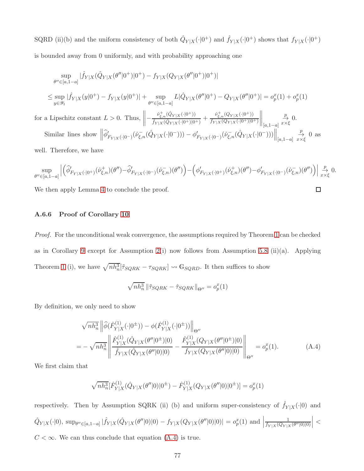SQRD (ii)(b) and the uniform consistency of both  $\hat{Q}_{Y|X}(\cdot|0^+)$  and  $\hat{f}_{Y|X}(\cdot|0^+)$  shows that  $f_{Y|X}(\cdot|0^+)$ is bounded away from 0 uniformly, and with probability approaching one

$$
\sup_{\theta'' \in [a, 1-a]} |\hat{f}_{Y|X}(\hat{Q}_{Y|X}(\theta' | 0^+) | 0^+) - f_{Y|X}(Q_{Y|X}(\theta'' | 0^+) | 0^+)|
$$
\n
$$
\leq \sup_{y \in \mathcal{Y}_1} |\hat{f}_{Y|X}(y|0^+) - f_{Y|X}(y|0^+) | + \sup_{\theta'' \in [a, 1-a]} L |\hat{Q}_{Y|X}(\theta'' | 0^+) - Q_{Y|X}(\theta'' | 0^+) | = o_p^x(1) + o_p^x(1)
$$
\nfor a Lipschitz constant  $L > 0$ . Thus, 
$$
\left\| -\frac{\hat{\nu}_{\xi,n}^+(\hat{Q}_{Y|X}(\cdot | 0^+))}{\hat{f}_{Y|X}(\hat{Q}_{Y|X}(\cdot | 0^+)|0^+)} + \frac{\hat{\nu}_{\xi,n}^+(\hat{Q}_{Y|X}(\cdot | 0^+))}{\hat{f}_{Y|X}(\hat{Q}_{Y|X}(\cdot | 0^+)|0^+)} \right\|_{[a, 1-a]} \xrightarrow[x \times \xi]{\mathcal{P}} 0.
$$
\nSimilar lines show 
$$
\left\| \hat{\phi}'_{F_{Y|X}(\cdot | 0^-)}(\hat{\nu}_{\xi,n}^-(\hat{Q}_{Y|X}(\cdot | 0^-))) - \phi'_{F_{Y|X}(\cdot | 0^-)}(\hat{\nu}_{\xi,n}^-(\hat{Q}_{Y|X}(\cdot | 0^-))) \right\|_{[a, 1-a]} \xrightarrow[x \times \xi]{\mathcal{P}} 0
$$

well. Therefore, we have

$$
\sup_{\theta''\in[a,1-a]}\left|\left(\widehat{\phi}'_{F_{Y|X}(\cdot|0^+)}(\widehat{\nu}_{\xi,n}^+)(\theta'')-\widehat{\phi}'_{F_{Y|X}(\cdot|0^-)}(\widehat{\nu}_{\xi,n}^-)(\theta'')\right)-\left(\phi'_{F_{Y|X}(\cdot|0^+)}(\widehat{\nu}_{\xi,n}^+)(\theta'')-\phi'_{F_{Y|X}(\cdot|0^-)}(\widehat{\nu}_{\xi,n}^-)(\theta'')\right)\right|\underset{x\times\xi}{\overset{p}{\to}} 0.
$$

<span id="page-76-0"></span> $\Box$ 

We then apply Lemma [4](#page-57-0) to conclude the proof.

## A.6.6 Proof of Corollary [10](#page-33-0)

Proof. For the unconditional weak convergence, the assumptions required by Theorem [1](#page-16-0) can be checked as in Corollary [9](#page-30-0) except for Assumption [2\(](#page-15-0)i) now follows from Assumption [5.8](#page-31-0) (ii)(a). Applying Theorem [1](#page-16-0) (i), we have  $\sqrt{nh_n^3}[\tilde{\tau}_{SQRK} - \tau_{SQRK}] \rightsquigarrow \mathbb{G}_{SQRD}$ . It then suffices to show

$$
\sqrt{nh_n^3} \left\| \tilde{\tau}_{SQRK} - \hat{\tau}_{SQRK} \right\|_{\Theta''} = o_p^x(1)
$$

By definition, we only need to show

$$
\sqrt{nh_n^3} \left\| \widehat{\phi}(\widehat{F}_{Y|X}^{(1)}(\cdot|0^{\pm})) - \phi(\widehat{F}_{Y|X}^{(1)}(\cdot|0^{\pm})) \right\|_{\Theta''}
$$
\n
$$
= -\sqrt{nh_n^3} \left\| \frac{\widehat{F}_{Y|X}^{(1)}(\widehat{Q}_{Y|X}(\theta''|0^{\pm})|0)}{\widehat{f}_{Y|X}(\widehat{Q}_{Y|X}(\theta''|0)|0)} - \frac{\widehat{F}_{Y|X}^{(1)}(Q_{Y|X}(\theta''|0^{\pm})|0)}{\widehat{f}_{Y|X}(Q_{Y|X}(\theta''|0)|0)} \right\|_{\Theta''} = o_p^x(1). \tag{A.4}
$$

We first claim that

$$
\sqrt{nh_n^3}[\hat{F}_{Y|X}^{(1)}(\hat{Q}_{Y|X}(\theta''|0)|0^{\pm}) - \hat{F}_{Y|X}^{(1)}(Q_{Y|X}(\theta''|0)|0^{\pm})] = o_p^x(1)
$$

respectively. Then by Assumption SQRK (ii) (b) and uniform super-consistency of  $\hat{f}_{Y|X}(\cdot|0)$  and  $\hat{Q}_{Y|X}(\cdot|0)$ , sup<sub> $\theta'' \in [a,1-a] \mid \hat{f}_{Y|X}(\hat{Q}_{Y|X}(\theta''|0)|0) - f_{Y|X}(Q_{Y|X}(\theta''|0)|0)| = o_p^x(1)$  and |</sub> 1  $f_{Y|X}(Q_{Y|X}(\theta^{\prime\prime}|0)|0)$  $\vert$  <  $C < \infty$ . We can thus conclude that equation  $(A.4)$  is true.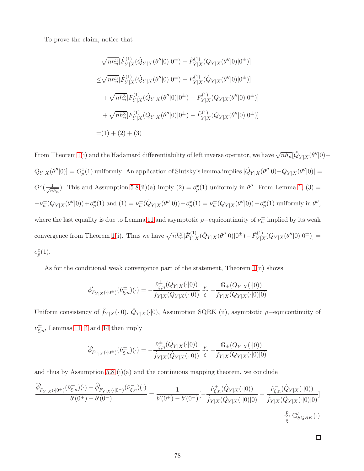To prove the claim, notice that

$$
\sqrt{nh_n^3} [\hat{F}_{Y|X}^{(1)}(\hat{Q}_{Y|X}(\theta''|0)|0^{\pm}) - \hat{F}_{Y|X}^{(1)}(Q_{Y|X}(\theta''|0)|0^{\pm})]
$$
  
\n
$$
\leq \sqrt{nh_n^3} [\hat{F}_{Y|X}^{(1)}(\hat{Q}_{Y|X}(\theta''|0)|0^{\pm}) - F_{Y|X}^{(1)}(\hat{Q}_{Y|X}(\theta''|0)|0^{\pm})]
$$
  
\n
$$
+ \sqrt{nh_n^3} [F_{Y|X}^{(1)}(\hat{Q}_{Y|X}(\theta''|0)|0^{\pm}) - F_{Y|X}^{(1)}(Q_{Y|X}(\theta''|0)|0^{\pm})]
$$
  
\n
$$
+ \sqrt{nh_n^3} [F_{Y|X}^{(1)}(Q_{Y|X}(\theta''|0)|0^{\pm}) - \hat{F}_{Y|X}^{(1)}(Q_{Y|X}(\theta''|0)|0^{\pm})]
$$
  
\n= (1) + (2) + (3)

From Theorem [1\(](#page-16-0)i) and the Hadamard differentiability of left inverse operator, we have  $\sqrt{nh_n}[\hat{Q}_{Y|X}(\theta'']0) Q_{Y|X}(\theta''|0)]=O_p^x(1)$  uniformly. An application of Slutsky's lemma implies  $|\hat{Q}_{Y|X}(\theta''|0)-Q_{Y|X}(\theta''|0)|=0$  $O^{x}(\frac{1}{\sqrt{n}})$  $\frac{1}{nh_n}$ ). This and Assumption [5.8\(](#page-31-0)ii)(a) imply (2) =  $o_p^x(1)$  uniformly in  $\theta''$ . From Lemma [1,](#page-14-0) (3) =  $-\nu_n^{\pm}(Q_{Y|X}(\theta''|0)) + o_p^x(1)$  and  $(1) = \nu_n^{\pm}(\hat{Q}_{Y|X}(\theta''|0)) + o_p^x(1) = \nu_n^{\pm}(Q_{Y|X}(\theta''|0)) + o_p^x(1)$  uniformly in  $\theta''$ , where the last equality is due to Lemma [11](#page-68-0) and asymptotic  $\rho$ -equicontinuity of  $\nu_n^{\pm}$  implied by its weak convergence from Theorem [1\(](#page-16-0)i). Thus we have  $\sqrt{nh_n^3}[\hat{F}_{Y|Z}^{(1)}]$  $\hat{Y}_{Y|X}^{(1)}(\hat{Q}_{Y|X}(\theta''|0)|0^{\pm})-\hat{F}_{Y|X}^{(1)}$  $Y|X(QY|X(\theta''|0)|0^{\pm})]=$  $o_p^x(1)$ .

As for the conditional weak convergence part of the statement, Theorem [1\(](#page-16-0)ii) shows

$$
\phi'_{F_{Y|X}(\cdot|0^{\pm})}(\hat{\nu}_{\xi,n}^{\pm})(\cdot) = -\frac{\hat{\nu}_{\xi,n}^{\pm}(Q_{Y|X}(\cdot|0))}{f_{Y|X}(Q_{Y|X}(\cdot|0))} \underset{\xi}{\xrightarrow{\mathcal{P}}} -\frac{\mathbb{G}_{\pm}(Q_{Y|X}(\cdot|0))}{f_{Y|X}(Q_{Y|X}(\cdot|0)|0)}
$$

Uniform consistency of  $\hat{f}_{Y|X}(\cdot|0)$ ,  $\hat{Q}_{Y|X}(\cdot|0)$ , Assumption SQRK (ii), asymptotic  $\rho$ -equicontinuity of  $\nu_{\xi,n}^{\pm}$ , Lemmas [11,](#page-68-0) [4](#page-57-0) and [14](#page-70-0) then imply

$$
\widehat{\phi}'_{F_{Y|X}(\cdot|0^{\pm})}(\widehat{\nu}_{\xi,n}^{\pm})(\cdot) = -\frac{\widehat{\nu}_{\xi,n}^{\pm}(\widehat{Q}_{Y|X}(\cdot|0))}{\widehat{f}_{Y|X}(\widehat{Q}_{Y|X}(\cdot|0))} \underset{\xi}{\stackrel{p}{\leadsto}} -\frac{\mathbb{G}_{\pm}(Q_{Y|X}(\cdot|0))}{f_{Y|X}(Q_{Y|X}(\cdot|0)|0)}
$$

and thus by Assumption [5.8](#page-31-0) (i)(a) and the continuous mapping theorem, we conclude

$$
\frac{\widehat{\phi}_{F_{Y|X}(\cdot|0^{+})}(\widehat{\nu}_{\xi,n}^{+})(\cdot)-\widehat{\phi}_{F_{Y|X}(\cdot|0^{-})}(\widehat{\nu}_{\xi,n}^{-})(\cdot)}{b'(0^{+})-b'(0^{-})}=\frac{1}{b'(0^{+})-b'(0^{-})}[-\frac{\widehat{\nu}_{\xi,n}^{+}(\widehat{Q}_{Y|X}(\cdot|0))}{\widehat{f}_{Y|X}(\widehat{Q}_{Y|X}(\cdot|0)|0)}+\frac{\widehat{\nu}_{\xi,n}^{-}(\widehat{Q}_{Y|X}(\cdot|0))}{\widehat{f}_{Y|X}(\widehat{Q}_{Y|X}(\cdot|0)|0)}]\frac{\widehat{\psi}_{\xi,n}^{+}(\widehat{Q}_{Y|X}(\cdot|0))}{\widehat{\xi}}.
$$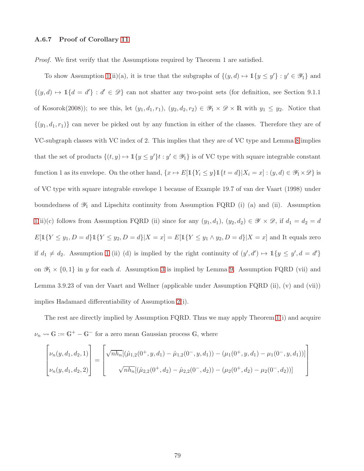## A.6.7 Proof of Corollary [11](#page-36-0)

Proof. We first verify that the Assumptions required by Theorem 1 are satisfied.

To show Assumption [1\(](#page-13-0)ii)(a), it is true that the subgraphs of  $\{(y, d) \mapsto \mathbb{1}\{y \leq y'\} : y' \in \mathscr{Y}_1\}$  and  $\{(y, d) \mapsto \mathbb{1}\{d = d'\} : d' \in \mathcal{D}\}\)$  can not shatter any two-point sets (for definition, see Section 9.1.1) of Kosorok(2008)); to see this, let  $(y_1, d_1, r_1)$ ,  $(y_2, d_2, r_2) \in \mathscr{Y}_1 \times \mathscr{D} \times \mathbb{R}$  with  $y_1 \leq y_2$ . Notice that  $\{(y_1, d_1, r_1)\}\)$  can never be picked out by any function in either of the classes. Therefore they are of VC-subgraph classes with VC index of 2. This implies that they are of VC type and Lemma [8](#page-59-0) implies that the set of products  $\{(t, y) \mapsto \mathbb{1}\{y \leq y'\}t : y' \in \mathscr{Y}_1\}$  is of VC type with square integrable constant function 1 as its envelope. On the other hand,  $\{x \mapsto E[\mathbb{1}\{Y_i \le y\} \mathbb{1}\{t = d\} | X_i = x] : (y, d) \in \mathcal{Y}_1 \times \mathcal{D}\}$  is of VC type with square integrable envelope 1 because of Example 19.7 of van der Vaart (1998) under boundedness of  $\mathscr{Y}_1$  and Lipschitz continuity from Assumption FQRD (i) (a) and (ii). Assumption [1\(](#page-13-0)ii)(c) follows from Assumption FQRD (ii) since for any  $(y_1, d_1)$ ,  $(y_2, d_2) \in \mathcal{Y} \times \mathcal{D}$ , if  $d_1 = d_2 = d$  $E[\mathbb{1}\{Y \le y_1, D = d\} \mathbb{1}\{Y \le y_2, D = d\} | X = x] = E[\mathbb{1}\{Y \le y_1 \land y_2, D = d\} | X = x]$  and It equals zero if  $d_1 \neq d_2$ . Assumption [1](#page-13-0) (ii) (d) is implied by the right continuity of  $(y', d') \mapsto \mathbb{1}{y \leq y', d = d'}$ on  $\mathscr{Y}_1 \times \{0,1\}$  in y for each d. Assumption [3](#page-16-1) is implied by Lemma [9.](#page-65-0) Assumption FQRD (vii) and Lemma 3.9.23 of van der Vaart and Wellner (applicable under Assumption FQRD (ii), (v) and (vii)) implies Hadamard differentiability of Assumption [2\(](#page-15-0)i).

The rest are directly implied by Assumption FQRD. Thus we may apply Theorem [1\(](#page-16-0)i) and acquire  $\nu_n\leadsto \mathbbm{G}:=\mathbbm{G}^+-\mathbbm{G}^-$  for a zero mean Gaussian process  $\mathbbm{G},$  where

$$
\begin{bmatrix} \nu_n(y, d_1, d_2, 1) \\ \nu_n(y, d_1, d_2, 2) \end{bmatrix} = \begin{bmatrix} \sqrt{n h_n} [(\hat{\mu}_{1,2}(0^+, y, d_1) - \hat{\mu}_{1,2}(0^-, y, d_1)) - (\mu_1(0^+, y, d_1) - \mu_1(0^-, y, d_1))] \\ \sqrt{n h_n} [(\hat{\mu}_{2,2}(0^+, d_2) - \hat{\mu}_{2,2}(0^-, d_2)) - (\mu_2(0^+, d_2) - \mu_2(0^-, d_2))] \end{bmatrix}
$$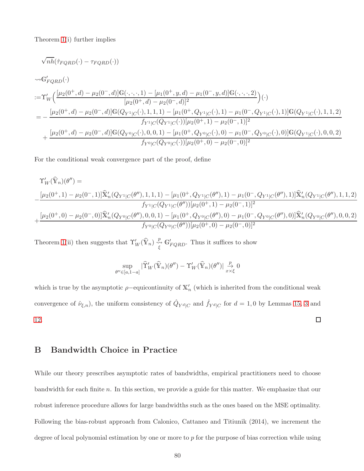Theorem [1\(](#page-16-0)i) further implies

$$
\sqrt{n h}(\hat{\tau}_{PQRD}(\cdot) - \tau_{FQRD}(\cdot))
$$
  
\n
$$
\sim \mathbb{G}'_{FQRD}(\cdot)
$$
  
\n
$$
:= \Upsilon'_{W}\Big(\frac{[\mu_{2}(0^{+}, d) - \mu_{2}(0^{-}, d)]\mathbb{G}(\cdot, \cdot, \cdot, 1) - [\mu_{1}(0^{+}, y, d) - \mu_{1}(0^{-}, y, d)]\mathbb{G}(\cdot, \cdot, \cdot, 2)}{[\mu_{2}(0^{+}, d) - \mu_{2}(0^{-}, d)]^{2}}\Big)(\cdot)
$$
  
\n
$$
= -\frac{[\mu_{2}(0^{+}, d) - \mu_{2}(0^{-}, d)]\mathbb{G}(Q_{Y^{1}|C}(\cdot), 1, 1, 1) - [\mu_{1}(0^{+}, Q_{Y^{1}|C}(\cdot), 1) - \mu_{1}(0^{-}, Q_{Y^{1}|C}(\cdot), 1)]\mathbb{G}(Q_{Y^{1}|C}(\cdot), 1, 1, 2)}{f_{Y^{1}|C}(Q_{Y^{1}|C}(\cdot))[\mu_{2}(0^{+}, 1) - \mu_{2}(0^{-}, 1)]^{2}}
$$
  
\n
$$
+ \frac{[\mu_{2}(0^{+}, d) - \mu_{2}(0^{-}, d)]\mathbb{G}(Q_{Y^{0}|C}(\cdot), 0, 0, 1) - [\mu_{1}(0^{+}, Q_{Y^{0}|C}(\cdot), 0) - \mu_{1}(0^{-}, Q_{Y^{0}|C}(\cdot), 0)]\mathbb{G}(Q_{Y^{1}|C}(\cdot), 0, 0, 2)}{f_{Y^{0}|C}(Q_{Y^{0}|C}(\cdot))[\mu_{2}(0^{+}, 0) - \mu_{2}(0^{-}, 0)]^{2}}
$$

For the conditional weak convergence part of the proof, define

$$
\begin{split} \Upsilon'_{W}(\widehat{\mathbb{Y}}_{n})(\theta'') &= \\ &- \frac{[\mu_{2}(0^{+},1)-\mu_{2}(0^{-},1)]\widehat{\mathbb{X}}'_{n}(Q_{Y^{1}|C}(\theta''),1,1,1)-[\mu_{1}(0^{+},Q_{Y^{1}|C}(\theta''),1)-\mu_{1}(0^{-},Q_{Y^{1}|C}(\theta''),1)]\widehat{\mathbb{X}}'_{n}(Q_{Y^{1}|C}(\theta''),1,1,2)}{f_{Y^{1}|C}(Q_{Y^{1}|C}(\theta''))[\mu_{2}(0^{+},1)-\mu_{2}(0^{-},1)]^{2}} \\ &+ \frac{[\mu_{2}(0^{+},0)-\mu_{2}(0^{-},0)]\widehat{\mathbb{X}}'_{n}(Q_{Y^{0}|C}(\theta''),0,0,1)-[\mu_{1}(0^{+},Q_{Y^{0}|C}(\theta''),0)-\mu_{1}(0^{-},Q_{Y^{0}|C}(\theta''),0)]\widehat{\mathbb{X}}'_{n}(Q_{Y^{0}|C}(\theta''),0,0,2)}{f_{Y^{0}|C}(Q_{Y^{0}|C}(\theta''))[\mu_{2}(0^{+},0)-\mu_{2}(0^{-},0)]^{2}} \end{split}
$$

Theorem [1\(](#page-16-0)ii) then suggests that  $\Upsilon_W'(\hat{Y}_n) \stackrel{p}{\underset{\xi}{\longleftrightarrow}} \mathbb{G}'_{FQRD}$ . Thus it suffices to show

$$
\sup_{\theta'' \in [a,1-a]} | \widehat{\Upsilon}'_W(\widehat{\mathbb{Y}}_n)(\theta'') - \Upsilon'_W(\widehat{\mathbb{Y}}_n)(\theta'') | \underset{x \times \xi}{\overset{p}{\to}} 0
$$

which is true by the asymptotic  $\rho$ -equicontinuity of  $\mathbb{X}'_n$  (which is inherited from the conditional weak convergence of  $\hat{\nu}_{\xi,n}$ ), the uniform consistency of  $\hat{Q}_{Y^d|C}$  and  $\hat{f}_{Y^d|C}$  for  $d=1,0$  by Lemmas [15,](#page-71-0) [3](#page-35-0) and  $\Box$ [12.](#page-68-1)

# B Bandwidth Choice in Practice

While our theory prescribes asymptotic rates of bandwidths, empirical practitioners need to choose bandwidth for each finite n. In this section, we provide a guide for this matter. We emphasize that our robust inference procedure allows for large bandwidths such as the ones based on the MSE optimality. Following the bias-robust approach from Calonico, Cattaneo and Titiunik (2014), we increment the degree of local polynomial estimation by one or more to p for the purpose of bias correction while using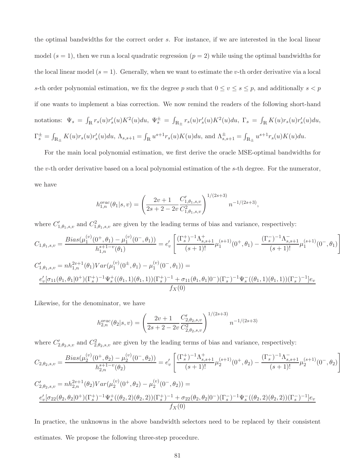the optimal bandwidths for the correct order s. For instance, if we are interested in the local linear model  $(s = 1)$ , then we run a local quadratic regression  $(p = 2)$  while using the optimal bandwidths for the local linear model  $(s = 1)$ . Generally, when we want to estimate the v-th order derivative via a local s-th order polynomial estimation, we fix the degree p such that  $0 \le v \le s \le p$ , and additionally  $s < p$ if one wants to implement a bias correction. We now remind the readers of the following short-hand notations:  $\Psi_s = \int_{\mathbb{R}} r_s(u) r'_s(u) K^2(u) du$ ,  $\Psi_s^{\pm} = \int_{\mathbb{R}_{+}} r_s(u) r'_s(u) K^2(u) du$ ,  $\Gamma_s = \int_{\mathbb{R}} K(u) r_s(u) r'_s(u) du$ ,  $\Gamma_{s}^{\pm} = \int_{\mathbb{R}_{+}} K(u) r_{s}(u) r'_{s}(u) du$ ,  $\Lambda_{s,s+1} = \int_{\mathbb{R}} u^{s+1} r_{s}(u) K(u) du$ , and  $\Lambda_{s,s+1}^{\pm} = \int_{\mathbb{R}_{+}} u^{s+1} r_{s}(u) K(u) du$ .

For the main local polynomial estimation, we first derive the oracle MSE-optimal bandwidths for the v-th order derivative based on a local polynomial estimation of the s-th degree. For the numerator, we have

$$
h_{1,n}^{orac}(\theta_1|s,v) = \left(\frac{2v+1}{2s+2-2v} \frac{C'_{1,\theta_1,s,v}}{C_{1,\theta_1,s,v}^2}\right)^{1/(2s+3)} n^{-1/(2s+3)},
$$

where  $C'_{1,\theta_1,s,v}$  and  $C^2_{1,\theta_1,s,v}$  are given by the leading terms of bias and variance, respectively:  $C_{1,\theta_1,s,v} = \frac{Bias(\mu_1^{(v)})}{(v)}$  $\binom{v}{1}(0^+,\theta_1)-\mu_1^{(v)}$  $\binom{v}{1} (0^-, \theta_1)$  $h_{1,n}^{s+1-v}(\theta_1)$  $= e'_v$  $\left[ \frac{(\Gamma_s^+)^{-1} \Lambda_{s,s+1}^+}{(s+1)!} \mu_1^{(s+1)} \right]$  $\mathcal{L}_{1}^{(s+1)}(0^+,\theta_1) - \frac{(\Gamma_s^-)^{-1} \Lambda_{s,s+1}^-}{(s+1)!} \mu_1^{(s+1)}$  $\binom{1}{1}$  $(0^-,\theta_1)$  $C'_{1,\theta_1,s,v} = nh_{1,n}^{2v+1}(\theta_1)Var(\mu_1^{(v)})$  $\mu_1^{(v)}(0^{\pm},\theta_1) - \mu_1^{(v)}$  $_1^{(v)}(0^-,\theta_1)) =$  $e'_{v}[\sigma_{11}(\theta_1, \theta_1|0^+)(\Gamma_s^+)^{-1}\Psi_s^+((\theta_1, 1)(\theta_1, 1))(\Gamma_s^+)^{-1} + \sigma_{11}(\theta_1, \theta_1|0^-)(\Gamma_s^-)^{-1}\Psi_s^-((\theta_1, 1)(\theta_1, 1))(\Gamma_s^-)^{-1}]e_v$  $f_X(0)$ 

 $\overline{\phantom{a}}$ 

Likewise, for the denominator, we have

$$
h_{2,n}^{orac}(\theta_2|s,v) = \left(\frac{2v+1}{2s+2-2v} \frac{C'_{2,\theta_2,s,v}}{C^2_{2,\theta_2,s,v}}\right)^{1/(2s+3)} n^{-1/(2s+3)}
$$

where  $C'_{2,\theta_2,s,v}$  and  $C^2_{2,\theta_2,s,v}$  are given by the leading terms of bias and variance, respectively:

$$
C_{2,\theta_2,s,v} = \frac{Bias(\mu_2^{(v)}(0^+,\theta_2) - \mu_2^{(v)}(0^-,\theta_2))}{h_{2,n}^{s+1-v}(\theta_2)} = e'_v \left[ \frac{(\Gamma_s^+)^{-1} \Lambda_{s,s+1}^+}{(s+1)!} \mu_2^{(s+1)}(0^+,\theta_2) - \frac{(\Gamma_s^-)^{-1} \Lambda_{s,s+1}^-}{(s+1)!} \mu_2^{(s+1)}(0^-,\theta_2) \right]
$$
  

$$
C' = \pi h^{2v+1}(\theta_2) V_{\text{Cov}}(\mu_2^{(v)}(0^+,\theta_2) - \mu_2^{(v)}(0^-,\theta_2)) = 0
$$

$$
C'_{2,\theta_2,s,v} = nh_{2,n}^{2v+1}(\theta_2)Var(\mu_2^{(v)}(0^+,\theta_2) - \mu_2^{(v)}(0^-, \theta_2)) =
$$
  

$$
\frac{e'_v[\sigma_{22}(\theta_2,\theta_2|0^+)(\Gamma_s^+)^{-1}\Psi_s^+((\theta_2,2)(\theta_2,2))(\Gamma_s^+)^{-1} + \sigma_{22}(\theta_2,\theta_2|0^-)(\Gamma_s^-)^{-1}\Psi_s^-((\theta_2,2)(\theta_2,2))(\Gamma_s^-)^{-1}]e_v}{f_X(0)}
$$

In practice, the unknowns in the above bandwidth selectors need to be replaced by their consistent estimates. We propose the following three-step procedure.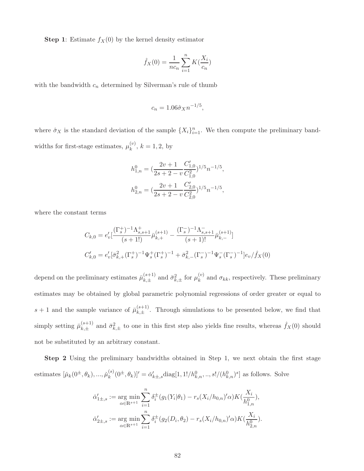**Step 1:** Estimate  $f_X(0)$  by the kernel density estimator

$$
\hat{f}_X(0) = \frac{1}{nc_n} \sum_{i=1}^n K(\frac{X_i}{c_n})
$$

with the bandwidth  $c_n$  determined by Silverman's rule of thumb

$$
c_n = 1.06\hat{\sigma}_X n^{-1/5},
$$

where  $\hat{\sigma}_X$  is the standard deviation of the sample  $\{X_i\}_{i=1}^n$ . We then compute the preliminary bandwidths for first-stage estimates,  $\mu_k^{(v)}$  $k^{(v)}$ ,  $k = 1, 2$ , by

$$
h^0_{1,n} = (\frac{2v+1}{2s+2-v} \frac{C'_{1,0}}{C^2_{1,0}})^{1/5} n^{-1/5},
$$
  

$$
h^0_{2,n} = (\frac{2v+1}{2s+2-v} \frac{C'_{2,0}}{C^2_{2,0}})^{1/5} n^{-1/5},
$$

where the constant terms

$$
C_{k,0} = e'_v \left[ \frac{(\Gamma_s^+)^{-1} \Lambda_{s,s+1}^+}{(s+1!)} \bar{\mu}_{k,+}^{(s+1)} - \frac{(\Gamma_s^-)^{-1} \Lambda_{s,s+1}^-}{(s+1)!} \bar{\mu}_{k,-}^{(s+1)} \right]
$$
  

$$
C'_{k,0} = e'_v \left[ \bar{\sigma}_{k,+}^2 (\Gamma_s^+)^{-1} \Psi_s^+ (\Gamma_s^+)^{-1} + \bar{\sigma}_{k,-}^2 (\Gamma_s^-)^{-1} \Psi_s^-(\Gamma_s^-)^{-1} \right] e_v / \hat{f}_X(0)
$$

depend on the preliminary estimates  $\bar{\mu}_{k,+}^{(s+1)}$  $\chi_{k,\pm}^{(s+1)}$  and  $\bar{\sigma}_{k,\pm}^2$  for  $\mu_k^{(v)}$  $\kappa_k^{(v)}$  and  $\sigma_{kk}$ , respectively. These preliminary estimates may be obtained by global parametric polynomial regressions of order greater or equal to  $s + 1$  and the sample variance of  $\bar{\mu}_{k+1}^{(s+1)}$  $(k, \pm)$ . Through simulations to be presented below, we find that simply setting  $\bar{\mu}_{k+}^{(s+1)}$  $\sum_{k,\pm}^{(s+1)}$  and  $\bar{\sigma}_{k,\pm}^2$  to one in this first step also yields fine results, whereas  $\hat{f}_X(0)$  should not be substituted by an arbitrary constant.

Step 2 Using the preliminary bandwidths obtained in Step 1, we next obtain the first stage estimates  $[\check{\mu}_k(0^{\pm},\theta_k),...,\check{\mu}_k^{(s)}]$  $(k)$  $(k)$  $(\theta^{\pm}, \theta_k)' = \check{\alpha}'_{k\pm, s}$ diag $[1, 1]/h^0_{k,n}, ..., s!/(h^0_{k,n})^s]$  as follows. Solve

$$
\check{\alpha}'_{1\pm,s} := \underset{\alpha \in \mathbb{R}^{s+1}}{\arg \min} \sum_{i=1}^n \delta_i^{\pm} (g_1(Y_i|\theta_1) - r_s(X_i/h_{0,n})'\alpha) K(\frac{X_i}{h_{1,n}^0}),
$$
  

$$
\check{\alpha}'_{2\pm,s} := \underset{\alpha \in \mathbb{R}^{s+1}}{\arg \min} \sum_{i=1}^n \delta_i^{\pm} (g_2(D_i, \theta_2) - r_s(X_i/h_{0,n})'\alpha) K(\frac{X_i}{h_{2,n}^0}).
$$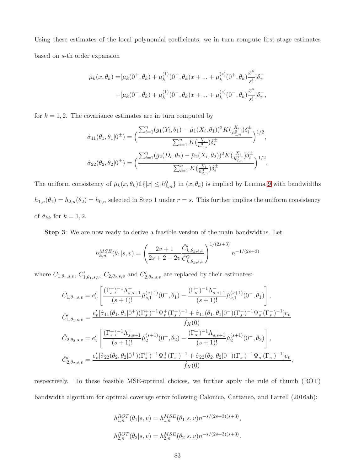Using these estimates of the local polynomial coefficients, we in turn compute first stage estimates based on s-th order expansion

$$
\tilde{\mu}_k(x,\theta_k) = [\mu_k(0^+,\theta_k) + \mu_k^{(1)}(0^+,\theta_k)x + \dots + \mu_k^{(s)}(0^+,\theta_k)\frac{x^s}{s!}]\delta_x^+ \n+ [\mu_k(0^-,\theta_k) + \mu_k^{(1)}(0^-,\theta_k)x + \dots + \mu_k^{(s)}(0^-,\theta_k)\frac{x^s}{s!}]\delta_x^-,
$$

for  $k = 1, 2$ . The covariance estimates are in turn computed by

$$
\hat{\sigma}_{11}(\theta_1, \theta_1 | 0^{\pm}) = \Big( \frac{\sum_{i=1}^n (g_1(Y_i, \theta_1) - \check{\mu}_1(X_i, \theta_1))^2 K(\frac{X_i}{h_{1,n}^0}) \delta_i^{\pm}}{\sum_{i=1}^n K(\frac{X_i}{h_{1,n}^0}) \delta_i^{\pm}} \Big)^{1/2},
$$

$$
\hat{\sigma}_{22}(\theta_2, \theta_2 | 0^{\pm}) = \Big( \frac{\sum_{i=1}^n (g_2(D_i, \theta_2) - \check{\mu}_2(X_i, \theta_2))^2 K(\frac{X_i}{h_{2,n}^0}) \delta_i^{\pm}}{\sum_{i=1}^n K(\frac{X_i}{h_{2,n}^0}) \delta_i^{\pm}} \Big)^{1/2}.
$$

The uniform consistency of  $\mu_k(x, \theta_k) \mathbb{1}\{|x| \leq h_{k,n}^0\}$  in  $(x, \theta_k)$  is implied by Lemma [9](#page-65-0) with bandwidths  $h_{1,n}(\theta_1) = h_{2,n}(\theta_2) = h_{0,n}$  selected in Step 1 under  $r = s$ . This further implies the uniform consistency of  $\hat{\sigma}_{kk}$  for  $k = 1, 2$ .

Step 3: We are now ready to derive a feasible version of the main bandwidths. Let

$$
h_{k,n}^{MSE}(\theta_1|s,v) = \left(\frac{2v+1}{2s+2-2v} \frac{\hat{C}_{k,\theta_k,s,v}'}{\hat{C}_{k,\theta_k,s,v}^2}\right)^{1/(2s+3)} n^{-1/(2s+3)}
$$

where  $C_{1,\theta_1,s,v}, C'_{1,\theta_1,s,v}, C_{2,\theta_2,s,v}$  and  $C'_{2,\theta_2,s,v}$  are replaced by their estimates:

$$
\begin{split} &\hat{C}_{1,\theta_1,s,v}=e'_v\left[\frac{(\Gamma_s^{+})^{-1}\Lambda_{s,s+1}^+}{(s+1)!}\check{\mu}_{s,1}^{(s+1)}(0^+,\theta_1)-\frac{(\Gamma_s^{-})^{-1}\Lambda_{s,s+1}^-}{(s+1)!}\check{\mu}_{s,1}^{(s+1)}(0^-,\theta_1)\right],\\ &\hat{C}_{1,\theta_1,s,v}'=\frac{e'_v[\hat{\sigma}_{11}(\theta_1,\theta_1|0^+)(\Gamma_s^+)^{-1}\Psi_s^+(\Gamma_s^+)^{-1}+\hat{\sigma}_{11}(\theta_1,\theta_1|0^-)(\Gamma_s^-)^{-1}\Psi_s^-(\Gamma_s^-)^{-1}]e_v}{\hat{f}_X(0)}\\ &\hat{C}_{2,\theta_2,s,v}=e'_v\left[\frac{(\Gamma_s^+)^{-1}\Lambda_{s,s+1}^+}{(s+1)!}\check{\mu}_2^{(s+1)}(0^+,\theta_2)-\frac{(\Gamma_s^-)^{-1}\Lambda_{s,s+1}^-}{(s+1)!}\check{\mu}_2^{(s+1)}(0^-,\theta_2)\right],\\ &\hat{C}_{2,\theta_2,s,v}'=\frac{e'_v[\hat{\sigma}_{22}(\theta_2,\theta_2|0^+)(\Gamma_s^+)^{-1}\Psi_s^+(\Gamma_s^+)^{-1}+\hat{\sigma}_{22}(\theta_2,\theta_2|0^-)(\Gamma_s^-)^{-1}\Psi_s^-(\Gamma_s^-)^{-1}]e_v}{\hat{f}_X(0)}, \end{split}
$$

respectively. To these feasible MSE-optimal choices, we further apply the rule of thumb (ROT) bandwidth algorithm for optimal coverage error following Calonico, Cattaneo, and Farrell (2016ab):

$$
\begin{array}{l} h_{1,n}^{ROT}(\theta_1|s,v)=h_{1,n}^{MSE}(\theta_1|s,v)n^{-s/(2s+3)(s+3)},\\ \\ h_{2,n}^{ROT}(\theta_2|s,v)=h_{2,n}^{MSE}(\theta_2|s,v)n^{-s/(2s+3)(s+3)}. \end{array}
$$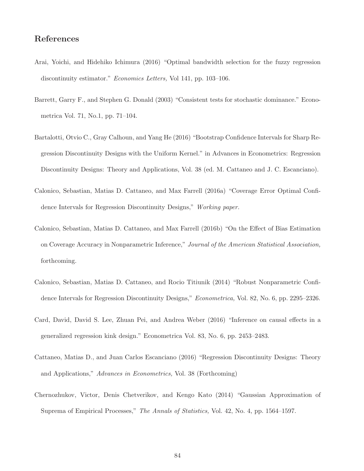# References

- Arai, Yoichi, and Hidehiko Ichimura (2016) "Optimal bandwidth selection for the fuzzy regression discontinuity estimator." Economics Letters, Vol 141, pp. 103-106.
- Barrett, Garry F., and Stephen G. Donald (2003) "Consistent tests for stochastic dominance." Econometrica Vol. 71, No.1, pp. 71–104.
- Bartalotti, Otvio C., Gray Calhoun, and Yang He (2016) "Bootstrap Confidence Intervals for Sharp Regression Discontinuity Designs with the Uniform Kernel." in Advances in Econometrics: Regression Discontinuity Designs: Theory and Applications, Vol. 38 (ed. M. Cattaneo and J. C. Escanciano).
- Calonico, Sebastian, Matias D. Cattaneo, and Max Farrell (2016a) "Coverage Error Optimal Confidence Intervals for Regression Discontinuity Designs," Working paper.
- Calonico, Sebastian, Matias D. Cattaneo, and Max Farrell (2016b) "On the Effect of Bias Estimation on Coverage Accuracy in Nonparametric Inference," Journal of the American Statistical Association, forthcoming.
- Calonico, Sebastian, Matias D. Cattaneo, and Rocio Titiunik (2014) "Robust Nonparametric Confidence Intervals for Regression Discontinuity Designs," *Econometrica*, Vol. 82, No. 6, pp. 2295–2326.
- Card, David, David S. Lee, Zhuan Pei, and Andrea Weber (2016) "Inference on causal effects in a generalized regression kink design." Econometrica Vol. 83, No. 6, pp. 2453–2483.
- Cattaneo, Matias D., and Juan Carlos Escanciano (2016) "Regression Discontinuity Designs: Theory and Applications," Advances in Econometrics, Vol. 38 (Forthcoming)
- Chernozhukov, Victor, Denis Chetverikov, and Kengo Kato (2014) "Gaussian Approximation of Suprema of Empirical Processes," The Annals of Statistics, Vol. 42, No. 4, pp. 1564–1597.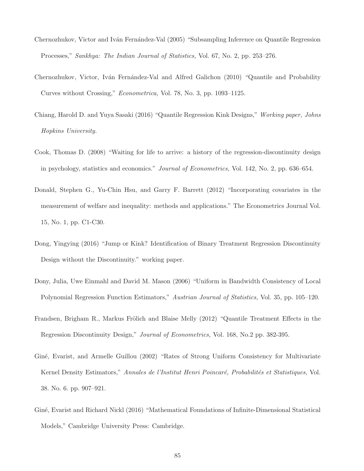- Chernozhukov, Victor and Iván Fernández-Val (2005) "Subsampling Inference on Quantile Regression Processes," Sankhya: The Indian Journal of Statistics, Vol. 67, No. 2, pp. 253–276.
- Chernozhukov, Victor, Iván Fernández-Val and Alfred Galichon (2010) "Quantile and Probability Curves without Crossing," Econometrica, Vol. 78, No. 3, pp. 1093–1125.
- Chiang, Harold D. and Yuya Sasaki (2016) "Quantile Regression Kink Designs," Working paper, Johns Hopkins University.
- Cook, Thomas D. (2008) "Waiting for life to arrive: a history of the regression-discontinuity design in psychology, statistics and economics." Journal of Econometrics, Vol. 142, No. 2, pp. 636–654.
- Donald, Stephen G., Yu-Chin Hsu, and Garry F. Barrett (2012) "Incorporating covariates in the measurement of welfare and inequality: methods and applications." The Econometrics Journal Vol. 15, No. 1, pp. C1-C30.
- Dong, Yingying (2016) "Jump or Kink? Identification of Binary Treatment Regression Discontinuity Design without the Discontinuity." working paper.
- Dony, Julia, Uwe Einmahl and David M. Mason (2006) "Uniform in Bandwidth Consistency of Local Polynomial Regression Function Estimators," Austrian Journal of Statistics, Vol. 35, pp. 105–120.
- Frandsen, Brigham R., Markus Frölich and Blaise Melly (2012) "Quantile Treatment Effects in the Regression Discontinuity Design," Journal of Econometrics, Vol. 168, No.2 pp. 382-395.
- Giné, Evarist, and Armelle Guillou (2002) "Rates of Strong Uniform Consistency for Multivariate Kernel Density Estimators," Annales de l'Institut Henri Poincaré, Probabilités et Statistiques, Vol. 38. No. 6. pp. 907–921.
- Giné, Evarist and Richard Nickl (2016) "Mathematical Foundations of Infinite-Dimensional Statistical Models," Cambridge University Press: Cambridge.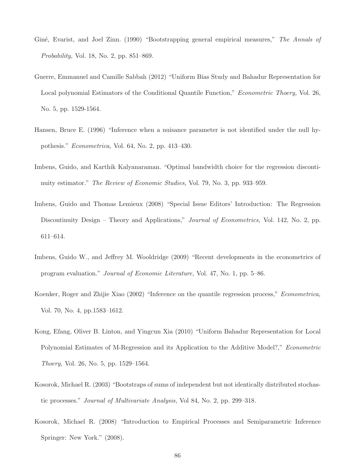- Giné, Evarist, and Joel Zinn. (1990) "Bootstrapping general empirical measures," The Annals of Probability, Vol. 18, No. 2, pp. 851–869.
- Guerre, Emmanuel and Camille Sabbah (2012) "Uniform Bias Study and Bahadur Representation for Local polynomial Estimators of the Conditional Quantile Function," Econometric Thoery, Vol. 26, No. 5, pp. 1529-1564.
- Hansen, Bruce E. (1996) "Inference when a nuisance parameter is not identified under the null hypothesis." Econometrica, Vol. 64, No. 2, pp. 413–430.
- Imbens, Guido, and Karthik Kalyanaraman. "Optimal bandwidth choice for the regression discontinuity estimator." The Review of Economic Studies, Vol. 79, No. 3, pp. 933–959.
- Imbens, Guido and Thomas Lemieux (2008) "Special Issue Editors' Introduction: The Regression Discontinuity Design – Theory and Applications," *Journal of Econometrics*, Vol. 142, No. 2, pp. 611–614.
- Imbens, Guido W., and Jeffrey M. Wooldridge (2009) "Recent developments in the econometrics of program evaluation." Journal of Economic Literature, Vol. 47, No. 1, pp. 5–86.
- Koenker, Roger and Zhijie Xiao (2002) "Inference on the quantile regression process," Econometrica, Vol. 70, No. 4, pp.1583–1612.
- Kong, Efang, Oliver B. Linton, and Yingcun Xia (2010) "Uniform Bahadur Representation for Local Polynomial Estimates of M-Regression and its Application to the Additive Model?," Econometric Thoery, Vol. 26, No. 5, pp. 1529–1564.
- Kosorok, Michael R. (2003) "Bootstraps of sums of independent but not identically distributed stochastic processes." Journal of Multivariate Analysis, Vol 84, No. 2, pp. 299–318.
- Kosorok, Michael R. (2008) "Introduction to Empirical Processes and Semiparametric Inference Springer: New York." (2008).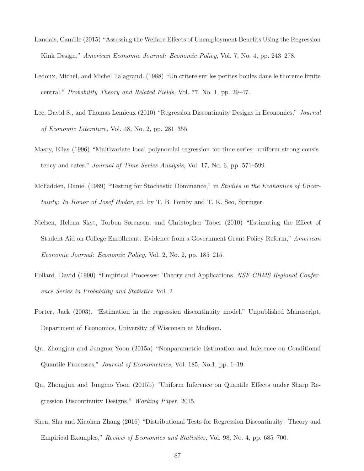- Landais, Camille (2015) "Assessing the Welfare Effects of Unemployment Benefits Using the Regression Kink Design," American Economic Journal: Economic Policy, Vol. 7, No. 4, pp. 243–278.
- Ledoux, Michel, and Michel Talagrand. (1988) "Un critere sur les petites boules dans le thoreme limite central." Probability Theory and Related Fields, Vol. 77, No. 1, pp. 29–47.
- Lee, David S., and Thomas Lemieux (2010) "Regression Discontinuity Designs in Economics," Journal of Economic Literature, Vol. 48, No. 2, pp. 281–355.
- Masry, Elias (1996) "Multivariate local polynomial regression for time series: uniform strong consistency and rates." Journal of Time Series Analysis, Vol. 17, No. 6, pp. 571–599.
- McFadden, Daniel (1989) "Testing for Stochastic Dominance," in Studies in the Economics of Uncertainty: In Honor of Josef Hadar, ed. by T. B. Fomby and T. K. Seo, Springer.
- Nielsen, Helena Skyt, Torben Sørensen, and Christopher Taber (2010) "Estimating the Effect of Student Aid on College Enrollment: Evidence from a Government Grant Policy Reform," American Economic Journal: Economic Policy, Vol. 2, No. 2, pp. 185–215.
- Pollard, David (1990) "Empirical Processes: Theory and Applications. NSF-CBMS Regional Conference Series in Probability and Statistics Vol. 2
- Porter, Jack (2003). "Estimation in the regression discontinuity model." Unpublished Manuscript, Department of Economics, University of Wisconsin at Madison.
- Qu, Zhongjun and Jungmo Yoon (2015a) "Nonparametric Estimation and Inference on Conditional Quantile Processes," Journal of Econometrics, Vol. 185, No.1, pp. 1–19.
- Qu, Zhongjun and Jungmo Yoon (2015b) "Uniform Inference on Quantile Effects under Sharp Regression Discontinuity Designs," Working Paper, 2015.
- Shen, Shu and Xiaohan Zhang (2016) "Distributional Tests for Regression Discontinuity: Theory and Empirical Examples," Review of Economics and Statistics, Vol. 98, No. 4, pp. 685–700.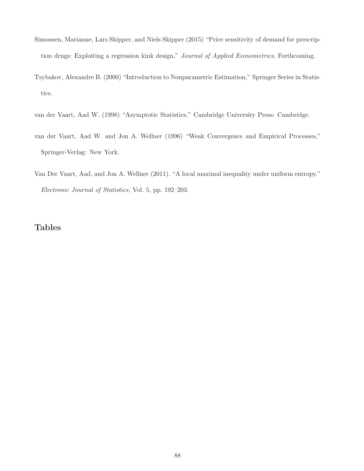- Simonsen, Marianne, Lars Skipper, and Niels Skipper (2015) "Price sensitivity of demand for prescription drugs: Exploiting a regression kink design," Journal of Applied Econometrics, Forthcoming.
- Tsybakov, Alexandre B. (2000) "Introduction to Nonparametric Estimation," Springer Series in Statistics.
- van der Vaart, Aad W. (1998) "Asymptotic Statistics," Cambridge University Press: Cambridge.
- van der Vaart, Aad W. and Jon A. Wellner (1996) "Weak Convergence and Empirical Processes," Springer-Verlag: New York.
- Van Der Vaart, Aad, and Jon A. Wellner (2011). "A local maximal inequality under uniform entropy." Electronic Journal of Statistics, Vol. 5, pp. 192–203.

# Tables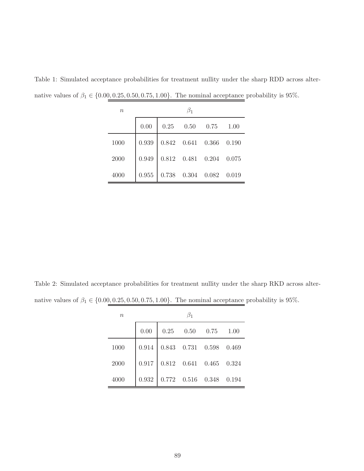| $\, n$ |       |             |                                          |      |       |  |  |  |  |  |  |
|--------|-------|-------------|------------------------------------------|------|-------|--|--|--|--|--|--|
|        | 0.00  | $0.25$ 0.50 |                                          | 0.75 | 1.00  |  |  |  |  |  |  |
| 1000   | 0.939 |             | $0.842\quad 0.641\quad 0.366\quad 0.190$ |      |       |  |  |  |  |  |  |
| 2000   | 0.949 |             | $0.812\quad 0.481\quad 0.204\quad 0.075$ |      |       |  |  |  |  |  |  |
| 4000   | 0.955 |             | $0.738$ $0.304$ $0.082$                  |      | 0.019 |  |  |  |  |  |  |

Table 1: Simulated acceptance probabilities for treatment nullity under the sharp RDD across alternative values of  $\beta_1 \in \{0.00, 0.25, 0.50, 0.75, 1.00\}$ . The nominal acceptance probability is 95%.

Table 2: Simulated acceptance probabilities for treatment nullity under the sharp RKD across alternative values of  $\beta_1 \in \{0.00, 0.25, 0.50, 0.75, 1.00\}$ . The nominal acceptance probability is 95%.

| $\boldsymbol{n}$ |       |                                             |  |
|------------------|-------|---------------------------------------------|--|
|                  | 0.00  | $0.25$ $0.50$ $0.75$ $1.00$                 |  |
| 1000             |       | $0.914$ 0.843 0.731 0.598 0.469             |  |
| 2000             |       | $0.917$ 0.812 0.641 0.465 0.324             |  |
| 4000             | 0.932 | $0.772 \quad 0.516 \quad 0.348 \quad 0.194$ |  |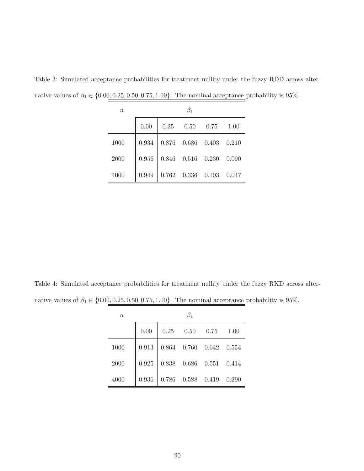| $\eta$ |       |                                 |                                          |  |  |  |  |  |  |  |  |
|--------|-------|---------------------------------|------------------------------------------|--|--|--|--|--|--|--|--|
|        | 0.00  |                                 | $0.25$ $0.50$ $0.75$ $1.00$              |  |  |  |  |  |  |  |  |
| 1000   |       | $0.934$ 0.876 0.686 0.403 0.210 |                                          |  |  |  |  |  |  |  |  |
| 2000   | 0.956 |                                 | $0.846\quad 0.516\quad 0.230\quad 0.090$ |  |  |  |  |  |  |  |  |
| 4000   | 0.949 |                                 | $0.762\quad 0.336\quad 0.103\quad 0.017$ |  |  |  |  |  |  |  |  |

Table 3: Simulated acceptance probabilities for treatment nullity under the fuzzy RDD across alternative values of  $\beta_1 \in \{0.00, 0.25, 0.50, 0.75, 1.00\}$ . The nominal acceptance probability is 95%.

Table 4: Simulated acceptance probabilities for treatment nullity under the fuzzy RKD across alternative values of  $\beta_1 \in \{0.00, 0.25, 0.50, 0.75, 1.00\}$ . The nominal acceptance probability is 95%.

| $\boldsymbol{n}$ |          |                                                                                |  |
|------------------|----------|--------------------------------------------------------------------------------|--|
|                  | $0.00\,$ | $\begin{array}{ c c c } \hline 0.25 & 0.50 & 0.75 & 1.00 \\\hline \end{array}$ |  |
| 1000             |          | $0.913$ 0.864 0.760 0.642 0.554                                                |  |
| 2000             |          | $0.925$ 0.838 0.686 0.551 0.414                                                |  |
| 4000             | 0.936    | $0.786\quad 0.588\quad 0.419\quad 0.290$                                       |  |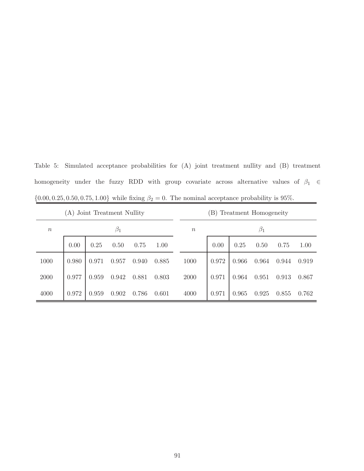Table 5: Simulated acceptance probabilities for (A) joint treatment nullity and (B) treatment homogeneity under the fuzzy RDD with group covariate across alternative values of  $\beta_1 \in$  ${0.00, 0.25, 0.50, 0.75, 1.00}$  while fixing  $\beta_2 = 0$ . The nominal acceptance probability is 95%.

|        | Joint Treatment Nullity<br>(A) |       |           |       |       |  |        | Treatment Homogeneity<br>$\vert B \rangle$ |       |           |       |       |  |  |  |
|--------|--------------------------------|-------|-----------|-------|-------|--|--------|--------------------------------------------|-------|-----------|-------|-------|--|--|--|
| $\, n$ |                                |       | $\beta_1$ |       |       |  | $\, n$ |                                            |       | $\beta_1$ |       |       |  |  |  |
|        | 0.00                           | 0.25  | 0.50      | 0.75  | 1.00  |  |        | 0.00                                       | 0.25  | 0.50      | 0.75  | 1.00  |  |  |  |
| 1000   | 0.980                          | 0.971 | 0.957     | 0.940 | 0.885 |  | 1000   | 0.972                                      | 0.966 | 0.964     | 0.944 | 0.919 |  |  |  |
| 2000   | 0.977                          | 0.959 | 0.942     | 0.881 | 0.803 |  | 2000   | 0.971                                      | 0.964 | 0.951     | 0.913 | 0.867 |  |  |  |
| 4000   | 0.972                          | 0.959 | 0.902     | 0.786 | 0.601 |  | 4000   | 0.971                                      | 0.965 | 0.925     | 0.855 | 0.762 |  |  |  |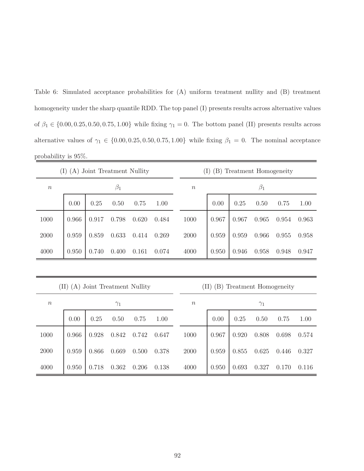Table 6: Simulated acceptance probabilities for (A) uniform treatment nullity and (B) treatment homogeneity under the sharp quantile RDD. The top panel (I) presents results across alternative values of  $\beta_1 \in \{0.00, 0.25, 0.50, 0.75, 1.00\}$  while fixing  $\gamma_1 = 0$ . The bottom panel (II) presents results across alternative values of  $\gamma_1 \in \{0.00, 0.25, 0.50, 0.75, 1.00\}$  while fixing  $\beta_1 = 0$ . The nominal acceptance probability is 95%.

|                  | (A) Joint Treatment Nullity<br>(1) |       |           |       |       |  | (B)<br>Treatment Homogeneity<br>(1) |       |       |           |       |       |  |  |
|------------------|------------------------------------|-------|-----------|-------|-------|--|-------------------------------------|-------|-------|-----------|-------|-------|--|--|
| $\boldsymbol{n}$ |                                    |       | $\beta_1$ |       |       |  | $\boldsymbol{n}$                    |       |       | $\beta_1$ |       |       |  |  |
|                  | 0.00                               | 0.25  | 0.50      | 0.75  | 1.00  |  |                                     | 0.00  | 0.25  | 0.50      | 0.75  | 1.00  |  |  |
| 1000             | 0.966                              | 0.917 | 0.798     | 0.620 | 0.484 |  | 1000                                | 0.967 | 0.967 | 0.965     | 0.954 | 0.963 |  |  |
| 2000             | 0.959                              | 0.859 | 0.633     | 0.414 | 0.269 |  | 2000                                | 0.959 | 0.959 | 0.966     | 0.955 | 0.958 |  |  |
| 4000             | 0.950                              | 0.740 | 0.400     | 0.161 | 0.074 |  | 4000                                | 0.950 | 0.946 | 0.958     | 0.948 | 0.947 |  |  |
|                  |                                    |       |           |       |       |  |                                     |       |       |           |       |       |  |  |

|                  | (A) Joint Treatment Nullity<br>(II) |       |            |       |       |  |        | 'B<br>Treatment Homogeneity<br>(II) |       |            |       |       |  |  |  |
|------------------|-------------------------------------|-------|------------|-------|-------|--|--------|-------------------------------------|-------|------------|-------|-------|--|--|--|
| $\boldsymbol{n}$ |                                     |       | $\gamma_1$ |       |       |  | $\, n$ |                                     |       | $\gamma_1$ |       |       |  |  |  |
|                  | 0.00                                | 0.25  | 0.50       | 0.75  | 1.00  |  |        | 0.00                                | 0.25  | 0.50       | 0.75  | 1.00  |  |  |  |
| 1000             | 0.966                               | 0.928 | 0.842      | 0.742 | 0.647 |  | 1000   | 0.967                               | 0.920 | 0.808      | 0.698 | 0.574 |  |  |  |
| 2000             | 0.959                               | 0.866 | 0.669      | 0.500 | 0.378 |  | 2000   | 0.959                               | 0.855 | 0.625      | 0.446 | 0.327 |  |  |  |
| 4000             | 0.950                               | 0.718 | 0.362      | 0.206 | 0.138 |  | 4000   | 0.950                               | 0.693 | 0.327      | 0.170 | 0.116 |  |  |  |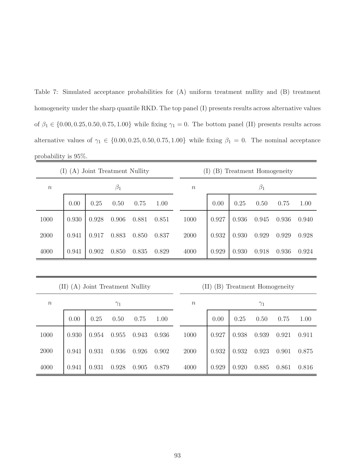Table 7: Simulated acceptance probabilities for (A) uniform treatment nullity and (B) treatment homogeneity under the sharp quantile RKD. The top panel (I) presents results across alternative values of  $\beta_1 \in \{0.00, 0.25, 0.50, 0.75, 1.00\}$  while fixing  $\gamma_1 = 0$ . The bottom panel (II) presents results across alternative values of  $\gamma_1 \in \{0.00, 0.25, 0.50, 0.75, 1.00\}$  while fixing  $\beta_1 = 0$ . The nominal acceptance probability is 95%.

|                  | (I)         |       | (A) Joint Treatment Nullity |       |       |                  | (I)<br>(B)  | Treatment Homogeneity |            |       |       |
|------------------|-------------|-------|-----------------------------|-------|-------|------------------|-------------|-----------------------|------------|-------|-------|
| $\boldsymbol{n}$ |             |       | $\beta_1$                   |       |       | $\boldsymbol{n}$ |             |                       | $\beta_1$  |       |       |
|                  | 0.00        | 0.25  | 0.50                        | 0.75  | 1.00  |                  | 0.00        | 0.25                  | 0.50       | 0.75  | 1.00  |
| 1000             | 0.930       | 0.928 | 0.906                       | 0.881 | 0.851 | 1000             | 0.927       | 0.936                 | 0.945      | 0.936 | 0.940 |
| 2000             | 0.941       | 0.917 | 0.883                       | 0.850 | 0.837 | 2000             | 0.932       | 0.930                 | 0.929      | 0.929 | 0.928 |
| 4000             | 0.941       | 0.902 | 0.850                       | 0.835 | 0.829 | 4000             | 0.929       | 0.930                 | 0.918      | 0.936 | 0.924 |
|                  |             |       |                             |       |       |                  |             |                       |            |       |       |
|                  | (II)<br>(A) |       | Joint Treatment Nullity     |       |       |                  | (II)<br>(B) | Treatment Homogeneity |            |       |       |
| $\, n$           |             |       | $\gamma_1$                  |       |       | $\boldsymbol{n}$ |             |                       | $\gamma_1$ |       |       |
|                  | 0.00        | 0.25  | 0.50                        | 0.75  | 1.00  |                  | 0.00        | 0.25                  | 0.50       | 0.75  | 1.00  |
| 1000             | 0.930       | 0.954 | 0.955                       | 0.943 | 0.936 | 1000             | 0.927       | 0.938                 | 0.939      | 0.921 | 0.911 |
| 2000             | 0.941       | 0.931 | 0.936                       | 0.926 | 0.902 | 2000             | 0.932       | 0.932                 | 0.923      | 0.901 | 0.875 |

4000 0.941 0.931 0.928 0.905 0.879 4000 0.929 0.920 0.885 0.861 0.816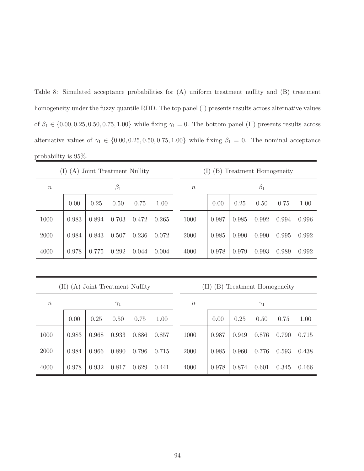Table 8: Simulated acceptance probabilities for (A) uniform treatment nullity and (B) treatment homogeneity under the fuzzy quantile RDD. The top panel (I) presents results across alternative values of  $\beta_1 \in \{0.00, 0.25, 0.50, 0.75, 1.00\}$  while fixing  $\gamma_1 = 0$ . The bottom panel (II) presents results across alternative values of  $\gamma_1 \in \{0.00, 0.25, 0.50, 0.75, 1.00\}$  while fixing  $\beta_1 = 0$ . The nominal acceptance probability is 95%.

|                  | (A) Joint Treatment Nullity<br>$\bf{I})$ |       |           |       |       |  |        | (B)<br>Treatment Homogeneity |       |           |       |       |  |  |
|------------------|------------------------------------------|-------|-----------|-------|-------|--|--------|------------------------------|-------|-----------|-------|-------|--|--|
| $\boldsymbol{n}$ |                                          |       | $\beta_1$ |       |       |  | $\, n$ |                              |       | $\beta_1$ |       |       |  |  |
|                  | 0.00                                     | 0.25  | 0.50      | 0.75  | 1.00  |  |        | 0.00                         | 0.25  | 0.50      | 0.75  | 1.00  |  |  |
| 1000             | 0.983                                    | 0.894 | 0.703     | 0.472 | 0.265 |  | 1000   | 0.987                        | 0.985 | 0.992     | 0.994 | 0.996 |  |  |
| 2000             | 0.984                                    | 0.843 | 0.507     | 0.236 | 0.072 |  | 2000   | 0.985                        | 0.990 | 0.990     | 0.995 | 0.992 |  |  |
| 4000             | 0.978                                    | 0.775 | 0.292     | 0.044 | 0.004 |  | 4000   | 0.978                        | 0.979 | 0.993     | 0.989 | 0.992 |  |  |
|                  |                                          |       |           |       |       |  |        |                              |       |           |       |       |  |  |

|                  |       | (11)<br>(A) Joint Treatment Nullity |            |       |       |  |        |       | Treatment Homogeneity<br>$\vert B \rangle$<br>$\left( \prod \right)$ |            |       |       |  |  |  |  |
|------------------|-------|-------------------------------------|------------|-------|-------|--|--------|-------|----------------------------------------------------------------------|------------|-------|-------|--|--|--|--|
| $\boldsymbol{n}$ |       |                                     | $\gamma_1$ |       |       |  | $\, n$ |       |                                                                      | $\gamma_1$ |       |       |  |  |  |  |
|                  | 0.00  | 0.25                                | 0.50       | 0.75  | 1.00  |  |        | 0.00  | 0.25                                                                 | 0.50       | 0.75  | 1.00  |  |  |  |  |
| 1000             | 0.983 | 0.968                               | 0.933      | 0.886 | 0.857 |  | 1000   | 0.987 | 0.949                                                                | 0.876      | 0.790 | 0.715 |  |  |  |  |
| 2000             | 0.984 | 0.966                               | 0.890      | 0.796 | 0.715 |  | 2000   | 0.985 | 0.960                                                                | 0.776      | 0.593 | 0.438 |  |  |  |  |
| 4000             | 0.978 | 0.932                               | 0.817      | 0.629 | 0.441 |  | 4000   | 0.978 | 0.874                                                                | 0.601      | 0.345 | 0.166 |  |  |  |  |